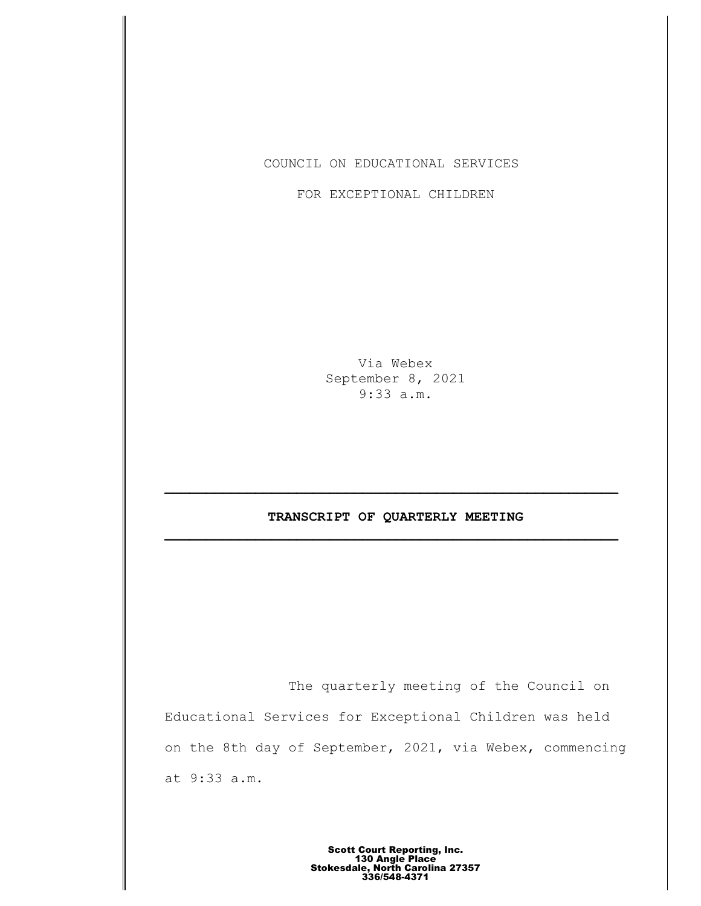COUNCIL ON EDUCATIONAL SERVICES

FOR EXCEPTIONAL CHILDREN

Via Webex September 8, 2021 9:33 a.m.

# **TRANSCRIPT OF QUARTERLY MEETING \_\_\_\_\_\_\_\_\_\_\_\_\_\_\_\_\_\_\_\_\_\_\_\_\_\_\_\_\_\_\_\_\_\_\_\_\_\_\_\_\_\_\_\_\_\_\_\_\_\_\_\_\_\_\_**

The quarterly meeting of the Council on Educational Services for Exceptional Children was held on the 8th day of September, 2021, via Webex, commencing at 9:33 a.m.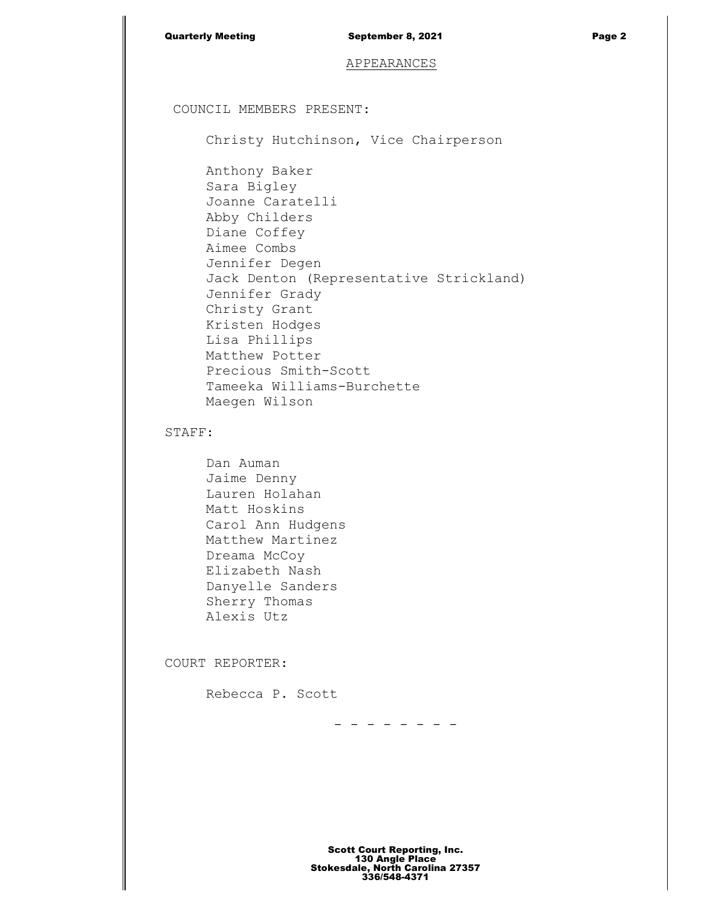| <b>Quarterly Meeting</b>                                                                                                                                                                                                                            | September 8, 2021                                                     | Page 2 |
|-----------------------------------------------------------------------------------------------------------------------------------------------------------------------------------------------------------------------------------------------------|-----------------------------------------------------------------------|--------|
|                                                                                                                                                                                                                                                     | APPEARANCES                                                           |        |
| COUNCIL MEMBERS PRESENT:                                                                                                                                                                                                                            |                                                                       |        |
|                                                                                                                                                                                                                                                     | Christy Hutchinson, Vice Chairperson                                  |        |
| Anthony Baker<br>Sara Bigley<br>Joanne Caratelli<br>Abby Childers<br>Diane Coffey<br>Aimee Combs<br>Jennifer Degen<br>Jennifer Grady<br>Christy Grant<br>Kristen Hodges<br>Lisa Phillips<br>Matthew Potter<br>Precious Smith-Scott<br>Maegen Wilson | Jack Denton (Representative Strickland)<br>Tameeka Williams-Burchette |        |
| STAFF:                                                                                                                                                                                                                                              |                                                                       |        |
| Dan Auman<br>Jaime Denny<br>Lauren Holahan<br>Matt Hoskins<br>Carol Ann Hudgens<br>Matthew Martinez<br>Dreama McCoy<br>Elizabeth Nash<br>Danyelle Sanders<br>Sherry Thomas<br>Alexis Utz                                                            |                                                                       |        |
| COURT REPORTER:                                                                                                                                                                                                                                     |                                                                       |        |
| Rebecca P. Scott                                                                                                                                                                                                                                    |                                                                       |        |

- - - - - - - -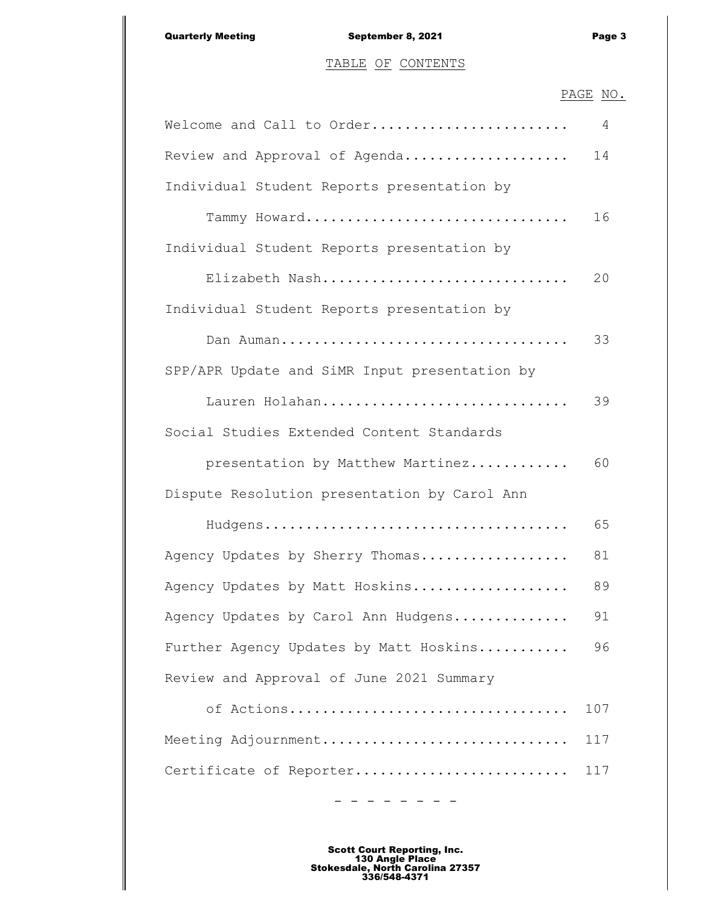# TABLE OF CONTENTS

## PAGE NO.

| Welcome and Call to Order                     | 4   |
|-----------------------------------------------|-----|
| Review and Approval of Agenda                 | 14  |
| Individual Student Reports presentation by    |     |
| Tammy Howard                                  | 16  |
| Individual Student Reports presentation by    |     |
| Elizabeth Nash                                | 20  |
| Individual Student Reports presentation by    |     |
| Dan Auman                                     | 33  |
| SPP/APR Update and SiMR Input presentation by |     |
| Lauren Holahan                                | 39  |
| Social Studies Extended Content Standards     |     |
| presentation by Matthew Martinez              | 60  |
| Dispute Resolution presentation by Carol Ann  |     |
|                                               | 65  |
| Agency Updates by Sherry Thomas               | 81  |
| Agency Updates by Matt Hoskins                | 89  |
| Agency Updates by Carol Ann Hudgens           | 91  |
| Further Agency Updates by Matt Hoskins        | 96  |
| Review and Approval of June 2021 Summary      |     |
| of Actions                                    | 107 |
| Meeting Adjournment                           | 117 |
| Certificate of Reporter                       | 117 |

Scott Court Reporting, Inc. 130 Angle Place Stokesdale, North Carolina 27357 336/548-4371

- - - - - - - -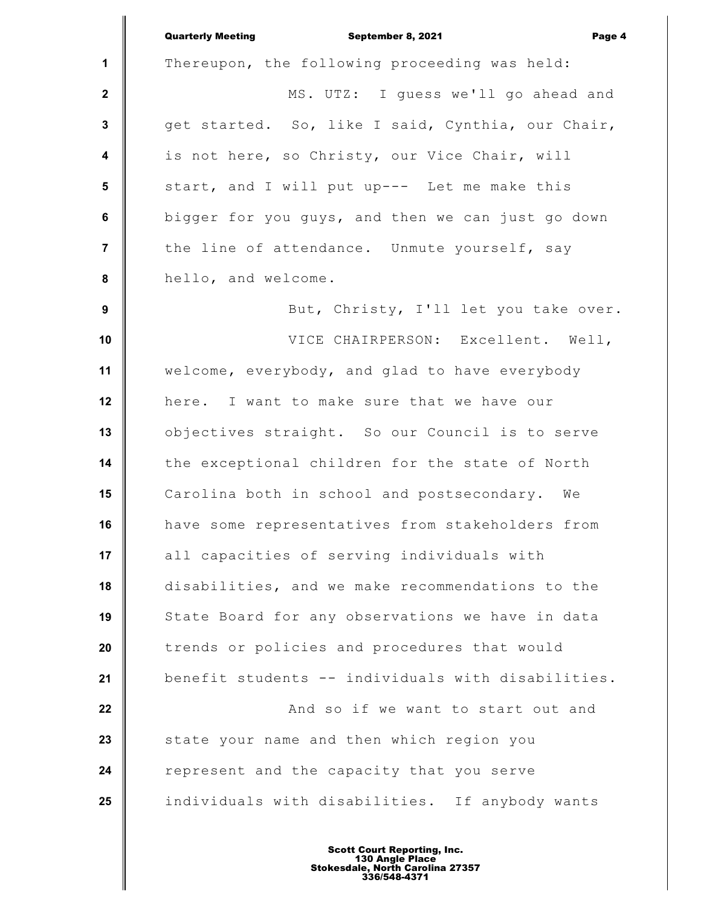|                         | <b>Quarterly Meeting</b><br>September 8, 2021<br>Page 4 |
|-------------------------|---------------------------------------------------------|
| $\mathbf 1$             | Thereupon, the following proceeding was held:           |
| $\mathbf{2}$            | MS. UTZ: I guess we'll go ahead and                     |
| $\mathbf{3}$            | get started. So, like I said, Cynthia, our Chair,       |
| $\overline{\mathbf{4}}$ | is not here, so Christy, our Vice Chair, will           |
| 5                       | start, and I will put up--- Let me make this            |
| 6                       | bigger for you guys, and then we can just go down       |
| $\overline{7}$          | the line of attendance. Unmute yourself, say            |
| 8                       | hello, and welcome.                                     |
| 9                       | But, Christy, I'll let you take over.                   |
| 10                      | VICE CHAIRPERSON: Excellent. Well,                      |
| 11                      | welcome, everybody, and glad to have everybody          |
| 12                      | here. I want to make sure that we have our              |
| 13                      | objectives straight. So our Council is to serve         |
| 14                      | the exceptional children for the state of North         |
| 15                      | Carolina both in school and postsecondary. We           |
| 16                      | have some representatives from stakeholders from        |
| 17                      | all capacities of serving individuals with              |
| 18                      | disabilities, and we make recommendations to the        |
| 19                      | State Board for any observations we have in data        |
| 20                      | trends or policies and procedures that would            |
| 21                      | benefit students -- individuals with disabilities.      |
| 22                      | And so if we want to start out and                      |
| 23                      | state your name and then which region you               |
| 24                      | represent and the capacity that you serve               |
| 25                      | individuals with disabilities. If anybody wants         |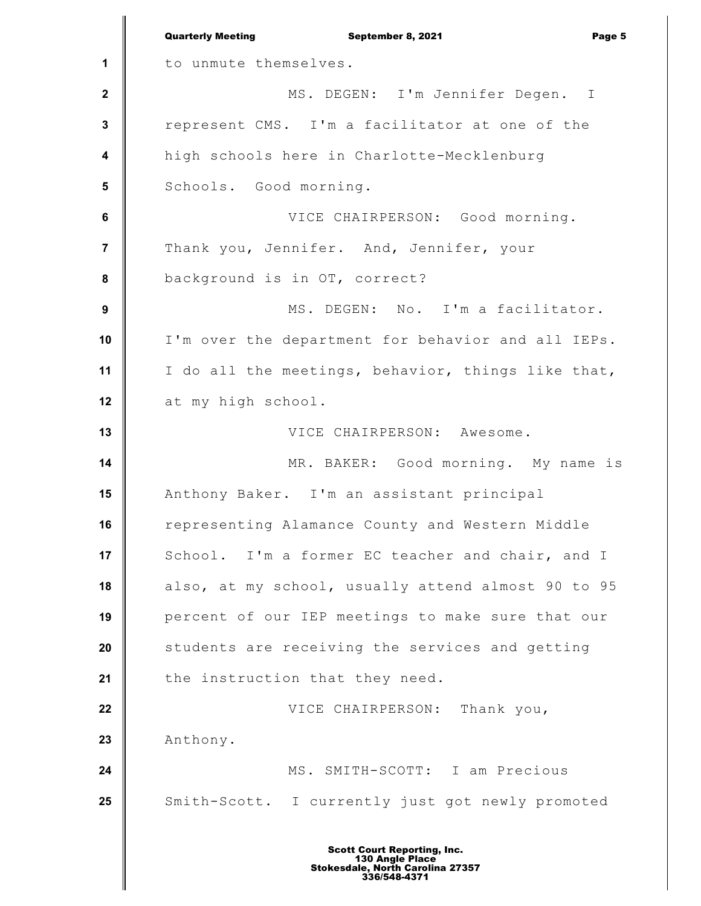**1 2 3 4 5 6 7 8 9 10 11 12 13 14 15 16 17 18 19 20 21 22 23 24 25** Quarterly Meeting **September 8, 2021 Page 5** to unmute themselves. MS. DEGEN: I'm Jennifer Degen. I represent CMS. I'm a facilitator at one of the high schools here in Charlotte-Mecklenburg Schools. Good morning. VICE CHAIRPERSON: Good morning. Thank you, Jennifer. And, Jennifer, your background is in OT, correct? MS. DEGEN: No. I'm a facilitator. I'm over the department for behavior and all IEPs. I do all the meetings, behavior, things like that, at my high school. VICE CHAIRPERSON: Awesome. MR. BAKER: Good morning. My name is Anthony Baker. I'm an assistant principal representing Alamance County and Western Middle School. I'm a former EC teacher and chair, and I also, at my school, usually attend almost 90 to 95 percent of our IEP meetings to make sure that our students are receiving the services and getting the instruction that they need. VICE CHAIRPERSON: Thank you, Anthony. MS. SMITH-SCOTT: I am Precious Smith-Scott. I currently just got newly promoted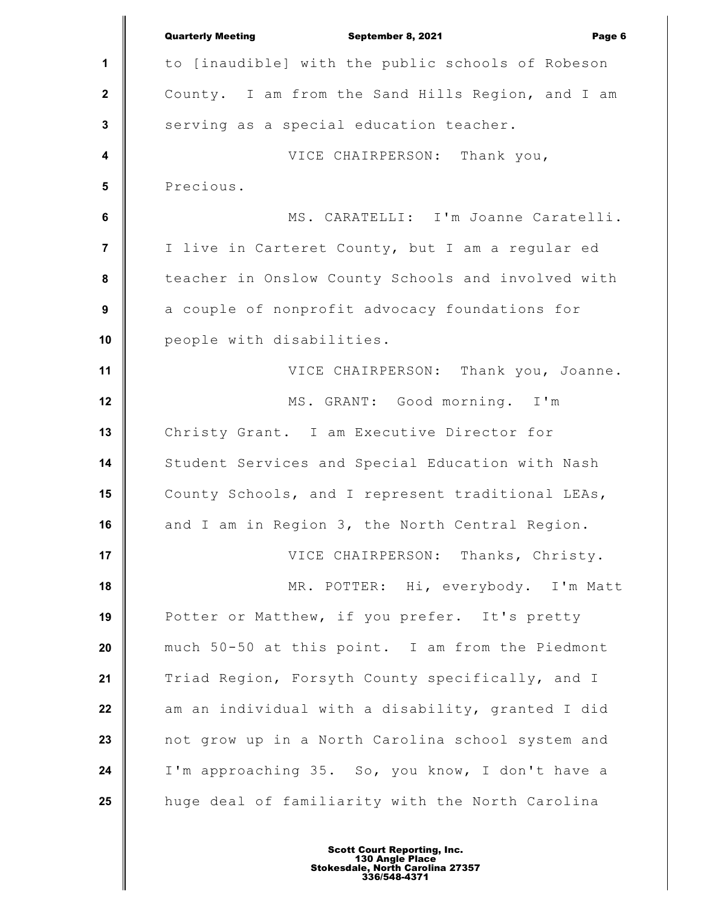|                         | <b>Quarterly Meeting</b><br>September 8, 2021<br>Page 6 |
|-------------------------|---------------------------------------------------------|
| 1                       | to [inaudible] with the public schools of Robeson       |
| $\mathbf{2}$            | County. I am from the Sand Hills Region, and I am       |
| $\mathbf{3}$            | serving as a special education teacher.                 |
| $\overline{\mathbf{4}}$ | VICE CHAIRPERSON: Thank you,                            |
| $5\phantom{1}$          | Precious.                                               |
| $\bf 6$                 | MS. CARATELLI: I'm Joanne Caratelli.                    |
| $\overline{7}$          | I live in Carteret County, but I am a regular ed        |
| $\pmb{8}$               | teacher in Onslow County Schools and involved with      |
| $\boldsymbol{9}$        | a couple of nonprofit advocacy foundations for          |
| 10                      | people with disabilities.                               |
| 11                      | VICE CHAIRPERSON: Thank you, Joanne.                    |
| 12                      | MS. GRANT: Good morning. I'm                            |
| 13                      | Christy Grant. I am Executive Director for              |
| 14                      | Student Services and Special Education with Nash        |
| 15                      | County Schools, and I represent traditional LEAs,       |
| 16                      | and I am in Region 3, the North Central Region.         |
| 17                      | VICE CHAIRPERSON: Thanks, Christy.                      |
| 18                      | MR. POTTER: Hi, everybody. I'm Matt                     |
| 19                      | Potter or Matthew, if you prefer. It's pretty           |
| 20                      | much 50-50 at this point. I am from the Piedmont        |
| 21                      | Triad Region, Forsyth County specifically, and I        |
| 22                      | am an individual with a disability, granted I did       |
| 23                      | not grow up in a North Carolina school system and       |
| 24                      | I'm approaching 35. So, you know, I don't have a        |
| 25                      | huge deal of familiarity with the North Carolina        |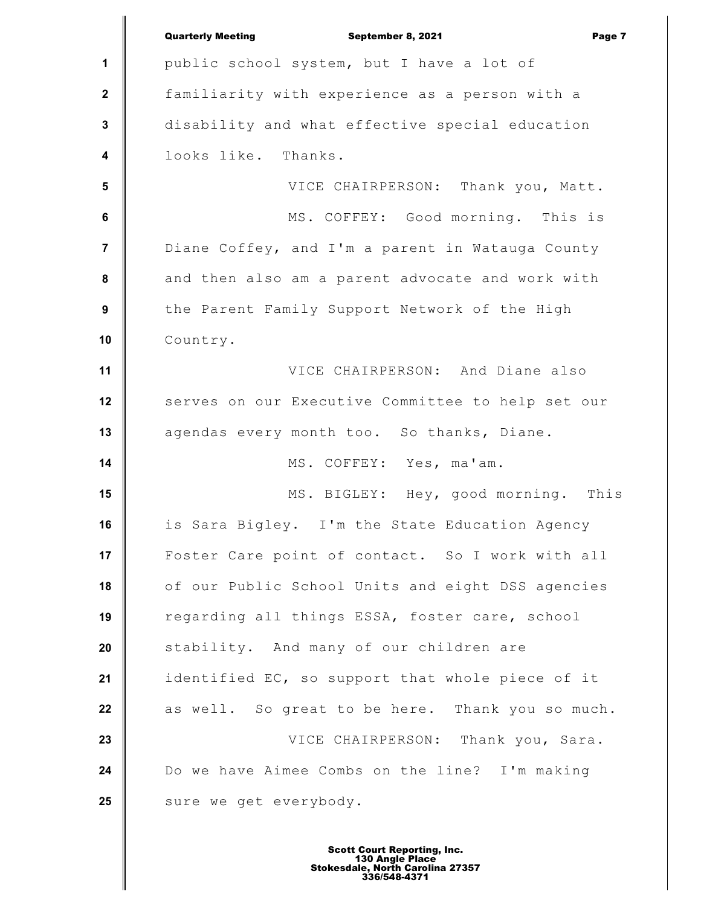|                         | <b>Quarterly Meeting</b><br>September 8, 2021<br>Page 7 |
|-------------------------|---------------------------------------------------------|
| 1                       | public school system, but I have a lot of               |
| $\boldsymbol{2}$        | familiarity with experience as a person with a          |
| $\mathbf{3}$            | disability and what effective special education         |
| $\overline{\mathbf{4}}$ | looks like. Thanks.                                     |
| 5                       | VICE CHAIRPERSON: Thank you, Matt.                      |
| 6                       | MS. COFFEY: Good morning. This is                       |
| $\overline{7}$          | Diane Coffey, and I'm a parent in Watauga County        |
| $\pmb{8}$               | and then also am a parent advocate and work with        |
| $\boldsymbol{9}$        | the Parent Family Support Network of the High           |
| 10                      | Country.                                                |
| 11                      | VICE CHAIRPERSON: And Diane also                        |
| 12                      | serves on our Executive Committee to help set our       |
| 13                      | agendas every month too. So thanks, Diane.              |
| 14                      | MS. COFFEY: Yes, ma'am.                                 |
| 15                      | MS. BIGLEY: Hey, good morning. This                     |
| 16                      | is Sara Bigley. I'm the State Education Agency          |
| 17                      | Foster Care point of contact. So I work with all        |
| 18                      | of our Public School Units and eight DSS agencies       |
| 19                      | regarding all things ESSA, foster care, school          |
| 20                      | stability. And many of our children are                 |
| 21                      | identified EC, so support that whole piece of it        |
| 22                      | as well. So great to be here. Thank you so much.        |
| 23                      | VICE CHAIRPERSON: Thank you, Sara.                      |
| 24                      | Do we have Aimee Combs on the line? I'm making          |
| 25                      | sure we get everybody.                                  |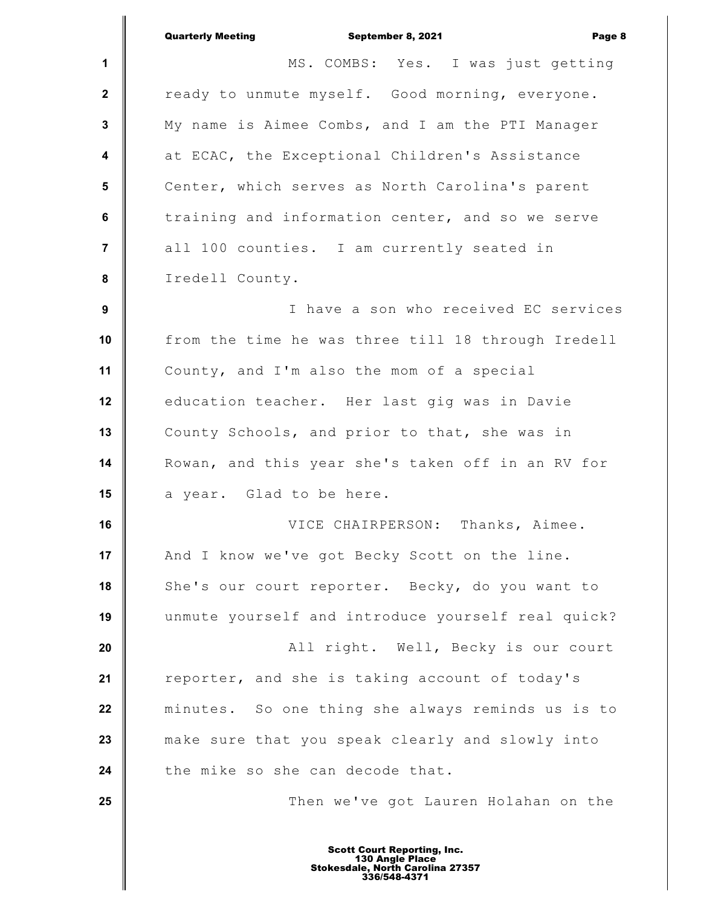|                 | <b>Quarterly Meeting</b><br>September 8, 2021<br>Page 8                                                   |
|-----------------|-----------------------------------------------------------------------------------------------------------|
| 1               | MS. COMBS: Yes. I was just getting                                                                        |
| $\mathbf{2}$    | ready to unmute myself. Good morning, everyone.                                                           |
| 3               | My name is Aimee Combs, and I am the PTI Manager                                                          |
| 4               | at ECAC, the Exceptional Children's Assistance                                                            |
| $5\phantom{.0}$ | Center, which serves as North Carolina's parent                                                           |
| $\bf 6$         | training and information center, and so we serve                                                          |
| $\overline{7}$  | all 100 counties. I am currently seated in                                                                |
| 8               | Iredell County.                                                                                           |
| 9               | I have a son who received EC services                                                                     |
| 10              | from the time he was three till 18 through Iredell                                                        |
| 11              | County, and I'm also the mom of a special                                                                 |
| 12              | education teacher. Her last gig was in Davie                                                              |
| 13              | County Schools, and prior to that, she was in                                                             |
| 14              | Rowan, and this year she's taken off in an RV for                                                         |
| 15              | a year. Glad to be here.                                                                                  |
| 16              | VICE CHAIRPERSON: Thanks, Aimee.                                                                          |
| 17              | And I know we've got Becky Scott on the line.                                                             |
| 18              | She's our court reporter. Becky, do you want to                                                           |
| 19              | unmute yourself and introduce yourself real quick?                                                        |
| 20              | All right. Well, Becky is our court                                                                       |
| 21              | reporter, and she is taking account of today's                                                            |
| 22              | minutes. So one thing she always reminds us is to                                                         |
| 23              | make sure that you speak clearly and slowly into                                                          |
| 24              | the mike so she can decode that.                                                                          |
| 25              | Then we've got Lauren Holahan on the                                                                      |
|                 |                                                                                                           |
|                 | <b>Scott Court Reporting, Inc.</b><br>130 Angle Place<br>Stokesdale, North Carolina 27357<br>336/548-4371 |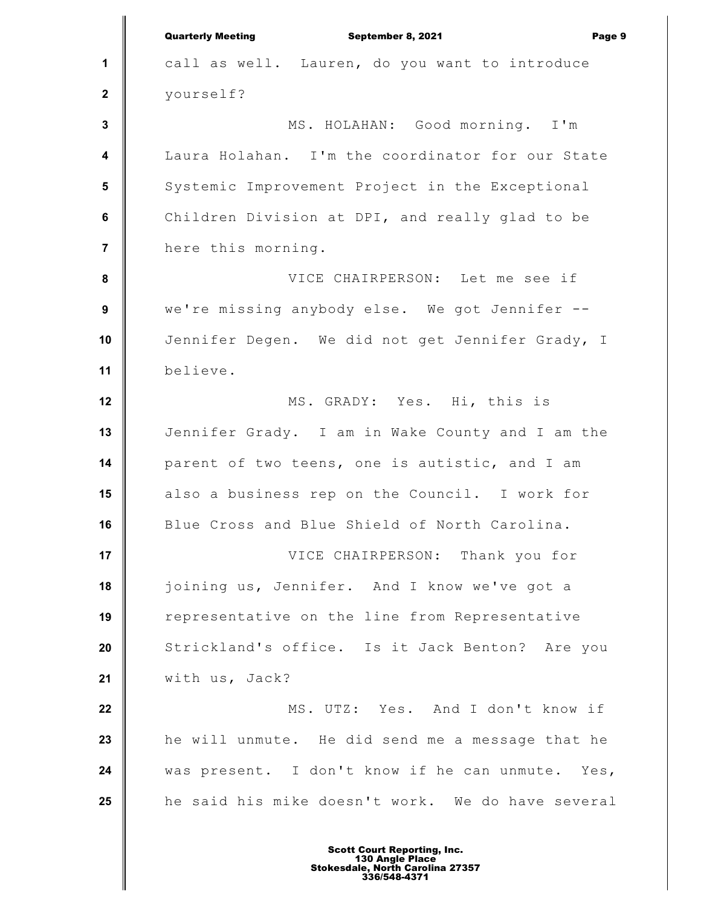**1 2 3 4 5 6 7 8 9 10 11 12 13 14 15 16 17 18 19 20 21 22 23 24 25** Quarterly Meeting September 8, 2021 Page 9 call as well. Lauren, do you want to introduce yourself? MS. HOLAHAN: Good morning. I'm Laura Holahan. I'm the coordinator for our State Systemic Improvement Project in the Exceptional Children Division at DPI, and really glad to be here this morning. VICE CHAIRPERSON: Let me see if we're missing anybody else. We got Jennifer -- Jennifer Degen. We did not get Jennifer Grady, I believe. MS. GRADY: Yes. Hi, this is Jennifer Grady. I am in Wake County and I am the parent of two teens, one is autistic, and I am also a business rep on the Council. I work for Blue Cross and Blue Shield of North Carolina. VICE CHAIRPERSON: Thank you for joining us, Jennifer. And I know we've got a representative on the line from Representative Strickland's office. Is it Jack Benton? Are you with us, Jack? MS. UTZ: Yes. And I don't know if he will unmute. He did send me a message that he was present. I don't know if he can unmute. Yes, he said his mike doesn't work. We do have several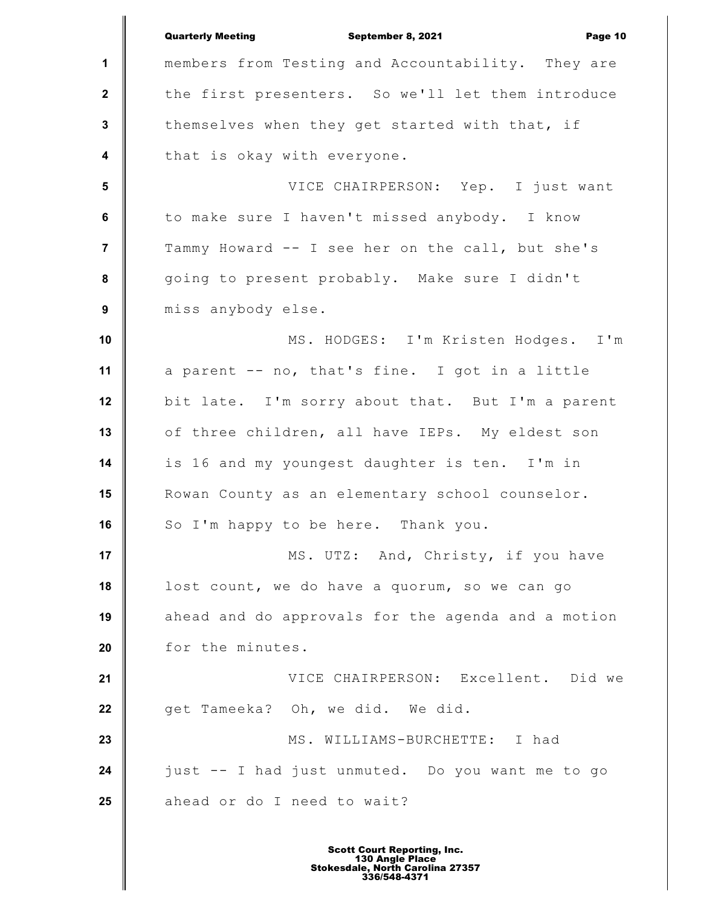|                  | <b>Quarterly Meeting</b><br>September 8, 2021<br>Page 10 |
|------------------|----------------------------------------------------------|
| $\mathbf{1}$     | members from Testing and Accountability. They are        |
| $\mathbf{2}$     | the first presenters. So we'll let them introduce        |
| $\mathbf{3}$     | themselves when they get started with that, if           |
| $\boldsymbol{4}$ | that is okay with everyone.                              |
| $5\phantom{1}$   | VICE CHAIRPERSON: Yep. I just want                       |
| 6                | to make sure I haven't missed anybody. I know            |
| $\overline{7}$   | Tammy Howard -- I see her on the call, but she's         |
| 8                | going to present probably. Make sure I didn't            |
| 9                | miss anybody else.                                       |
| 10               | MS. HODGES: I'm Kristen Hodges. I'm                      |
| 11               | a parent -- no, that's fine. I got in a little           |
| 12               | bit late. I'm sorry about that. But I'm a parent         |
| 13               | of three children, all have IEPs. My eldest son          |
| 14               | is 16 and my youngest daughter is ten. I'm in            |
| 15               | Rowan County as an elementary school counselor.          |
| 16               | So I'm happy to be here. Thank you.                      |
| 17               | MS. UTZ: And, Christy, if you have                       |
| 18               | lost count, we do have a quorum, so we can go            |
| 19               | ahead and do approvals for the agenda and a motion       |
| 20               | for the minutes.                                         |
| 21               | VICE CHAIRPERSON: Excellent. Did we                      |
| 22               | get Tameeka? Oh, we did. We did.                         |
| 23               | MS. WILLIAMS-BURCHETTE: I had                            |
| 24               | just -- I had just unmuted. Do you want me to go         |
| 25               | ahead or do I need to wait?                              |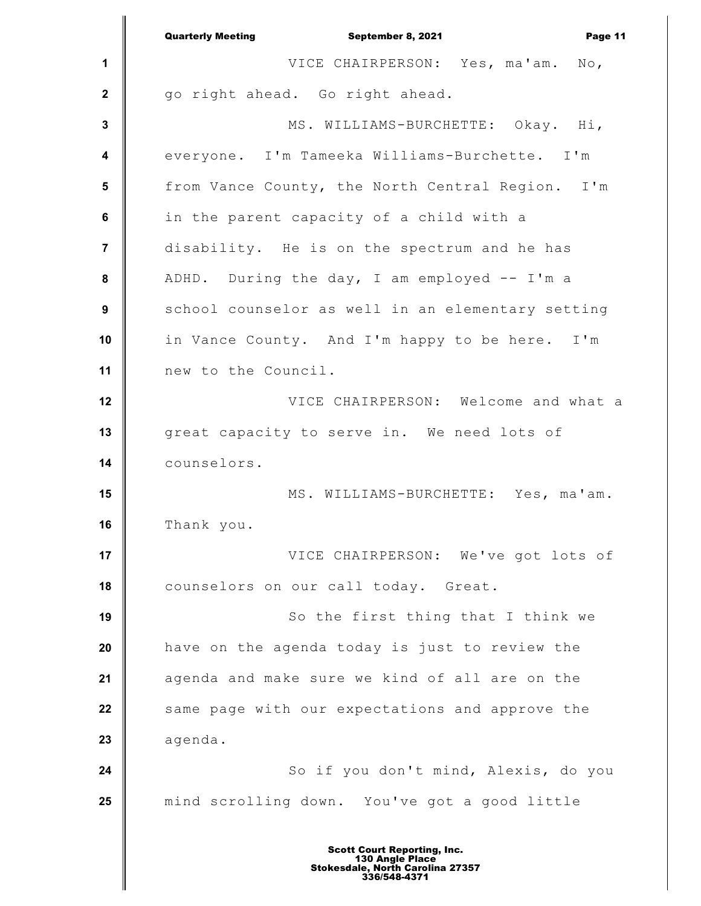|                         | <b>Quarterly Meeting</b><br>September 8, 2021<br>Page 11 |
|-------------------------|----------------------------------------------------------|
| 1                       | VICE CHAIRPERSON: Yes, ma'am. No,                        |
| $\mathbf{2}$            | go right ahead. Go right ahead.                          |
| $\mathbf{3}$            | MS. WILLIAMS-BURCHETTE: Okay. Hi,                        |
| $\overline{\mathbf{4}}$ | everyone. I'm Tameeka Williams-Burchette. I'm            |
| 5                       | from Vance County, the North Central Region. I'm         |
| 6                       | in the parent capacity of a child with a                 |
| $\overline{7}$          | disability. He is on the spectrum and he has             |
| 8                       | ADHD. During the day, I am employed -- I'm a             |
| $\boldsymbol{9}$        | school counselor as well in an elementary setting        |
| 10                      | in Vance County. And I'm happy to be here. I'm           |
| 11                      | new to the Council.                                      |
| 12                      | VICE CHAIRPERSON: Welcome and what a                     |
| 13                      | great capacity to serve in. We need lots of              |
| 14                      | counselors.                                              |
| 15                      | MS. WILLIAMS-BURCHETTE: Yes, ma'am.                      |
| 16                      | Thank you.                                               |
| 17                      | VICE CHAIRPERSON: We've got lots of                      |
| 18                      | counselors on our call today. Great.                     |
| 19                      | So the first thing that I think we                       |
| 20                      | have on the agenda today is just to review the           |
| 21                      | agenda and make sure we kind of all are on the           |
| 22                      | same page with our expectations and approve the          |
| 23                      | agenda.                                                  |
| 24                      | So if you don't mind, Alexis, do you                     |
| 25                      | mind scrolling down. You've got a good little            |
|                         |                                                          |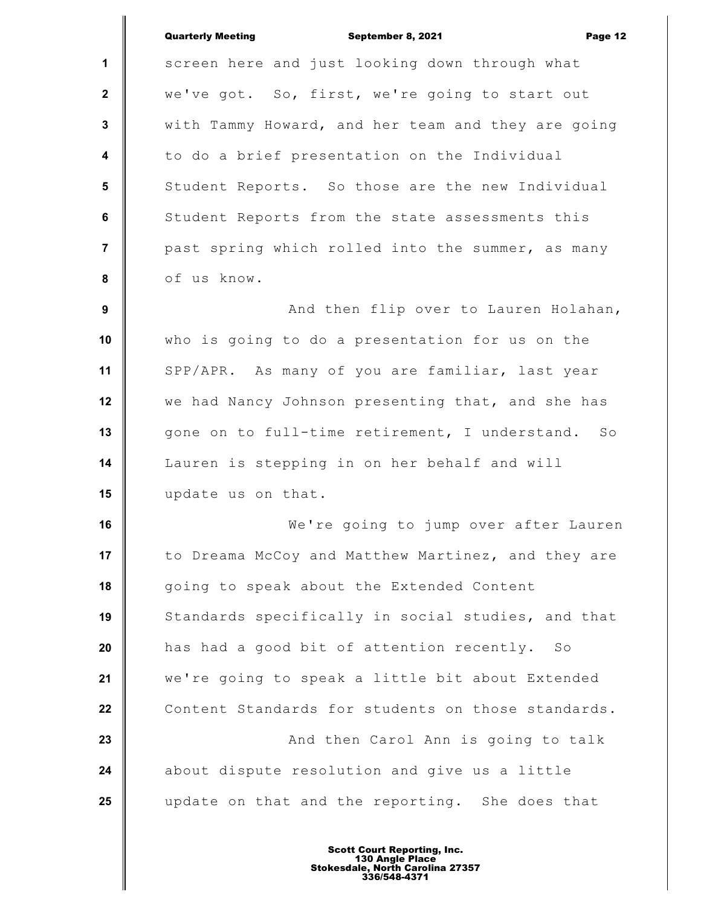|                         | <b>Quarterly Meeting</b><br>September 8, 2021<br>Page 12 |
|-------------------------|----------------------------------------------------------|
| $\mathbf{1}$            | screen here and just looking down through what           |
| $\mathbf{2}$            | we've got. So, first, we're going to start out           |
| $\mathbf{3}$            | with Tammy Howard, and her team and they are going       |
| $\overline{\mathbf{4}}$ | to do a brief presentation on the Individual             |
| 5                       | Student Reports. So those are the new Individual         |
| 6                       | Student Reports from the state assessments this          |
| $\overline{7}$          | past spring which rolled into the summer, as many        |
| 8                       | of us know.                                              |
| 9                       | And then flip over to Lauren Holahan,                    |
| 10                      | who is going to do a presentation for us on the          |
| 11                      | SPP/APR. As many of you are familiar, last year          |
| 12                      | we had Nancy Johnson presenting that, and she has        |
| 13                      | gone on to full-time retirement, I understand. So        |
| 14                      | Lauren is stepping in on her behalf and will             |
| 15                      | update us on that.                                       |
| 16                      | We're going to jump over after Lauren                    |
| 17                      | to Dreama McCoy and Matthew Martinez, and they are       |
| 18                      | going to speak about the Extended Content                |
| 19                      | Standards specifically in social studies, and that       |
| 20                      | has had a good bit of attention recently.<br>SO          |
| 21                      | we're going to speak a little bit about Extended         |
| 22                      | Content Standards for students on those standards.       |
| 23                      | And then Carol Ann is going to talk                      |
| 24                      | about dispute resolution and give us a little            |
| 25                      | update on that and the reporting. She does that          |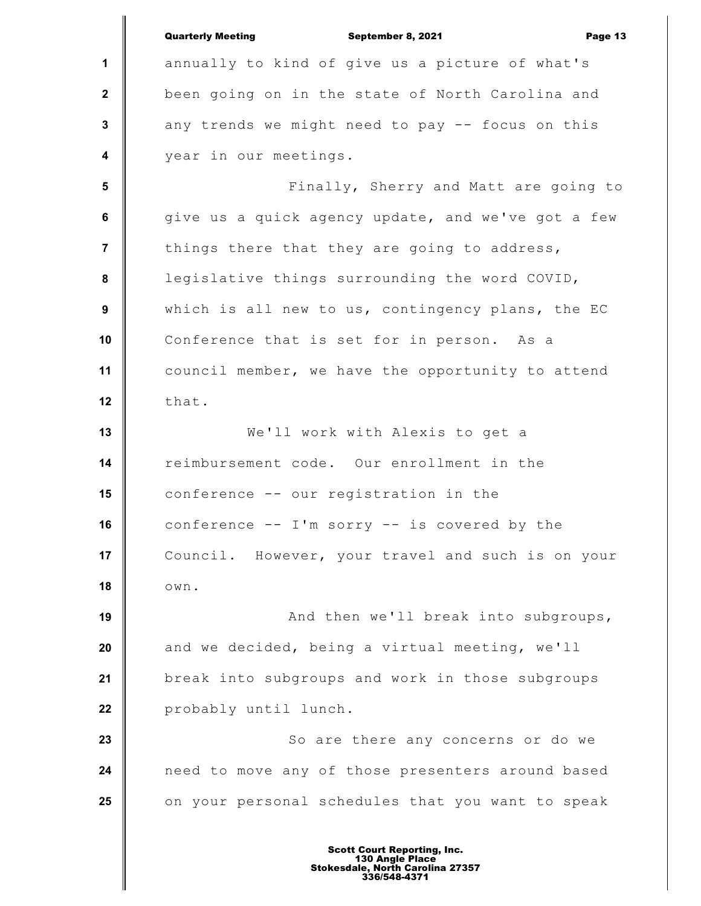**1 2 3 4 5 6 7 8 9 10 11 12 13 14 15 16 17 18 19 20 21 22 23 24 25** Quarterly Meeting September 8, 2021 Page 13 annually to kind of give us a picture of what's been going on in the state of North Carolina and any trends we might need to pay -- focus on this year in our meetings. Finally, Sherry and Matt are going to give us a quick agency update, and we've got a few things there that they are going to address, legislative things surrounding the word COVID, which is all new to us, contingency plans, the EC Conference that is set for in person. As a council member, we have the opportunity to attend that. We'll work with Alexis to get a reimbursement code. Our enrollment in the conference -- our registration in the conference  $--$  I'm sorry  $--$  is covered by the Council. However, your travel and such is on your own. And then we'll break into subgroups, and we decided, being a virtual meeting, we'll break into subgroups and work in those subgroups probably until lunch. So are there any concerns or do we need to move any of those presenters around based on your personal schedules that you want to speak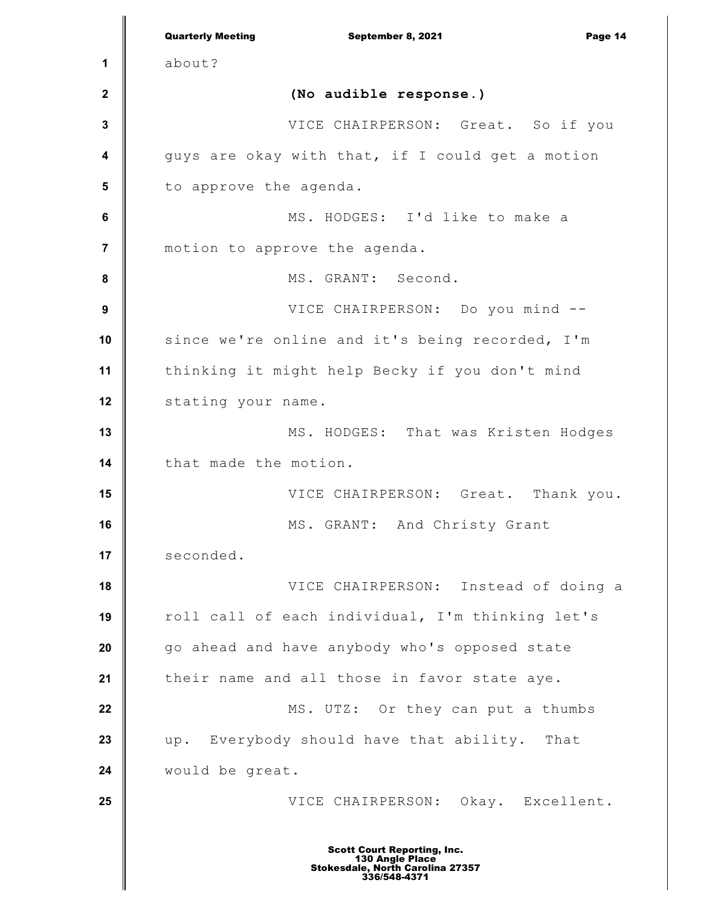|                  | <b>Quarterly Meeting</b><br>September 8, 2021<br>Page 14                                                  |
|------------------|-----------------------------------------------------------------------------------------------------------|
| 1                | about?                                                                                                    |
| $\mathbf{2}$     | (No audible response.)                                                                                    |
| 3                | VICE CHAIRPERSON: Great. So if you                                                                        |
| 4                | guys are okay with that, if I could get a motion                                                          |
| 5                | to approve the agenda.                                                                                    |
| $\bf 6$          | MS. HODGES: I'd like to make a                                                                            |
| $\overline{7}$   | motion to approve the agenda.                                                                             |
| 8                | MS. GRANT: Second.                                                                                        |
| $\boldsymbol{9}$ | VICE CHAIRPERSON: Do you mind --                                                                          |
| 10               | since we're online and it's being recorded, I'm                                                           |
| 11               | thinking it might help Becky if you don't mind                                                            |
| 12               | stating your name.                                                                                        |
| 13               | MS. HODGES: That was Kristen Hodges                                                                       |
| 14               | that made the motion.                                                                                     |
| 15               | VICE CHAIRPERSON: Great. Thank you.                                                                       |
| 16               | MS. GRANT: And Christy Grant                                                                              |
| 17               | seconded.                                                                                                 |
| 18               | VICE CHAIRPERSON: Instead of doing a                                                                      |
| 19               | roll call of each individual, I'm thinking let's                                                          |
| 20               | go ahead and have anybody who's opposed state                                                             |
| 21               | their name and all those in favor state aye.                                                              |
| 22               | MS. UTZ: Or they can put a thumbs                                                                         |
| 23               | up. Everybody should have that ability. That                                                              |
| 24               | would be great.                                                                                           |
| 25               | VICE CHAIRPERSON: Okay. Excellent.                                                                        |
|                  | <b>Scott Court Reporting, Inc.</b><br>130 Angle Place<br>Stokesdale, North Carolina 27357<br>336/548-4371 |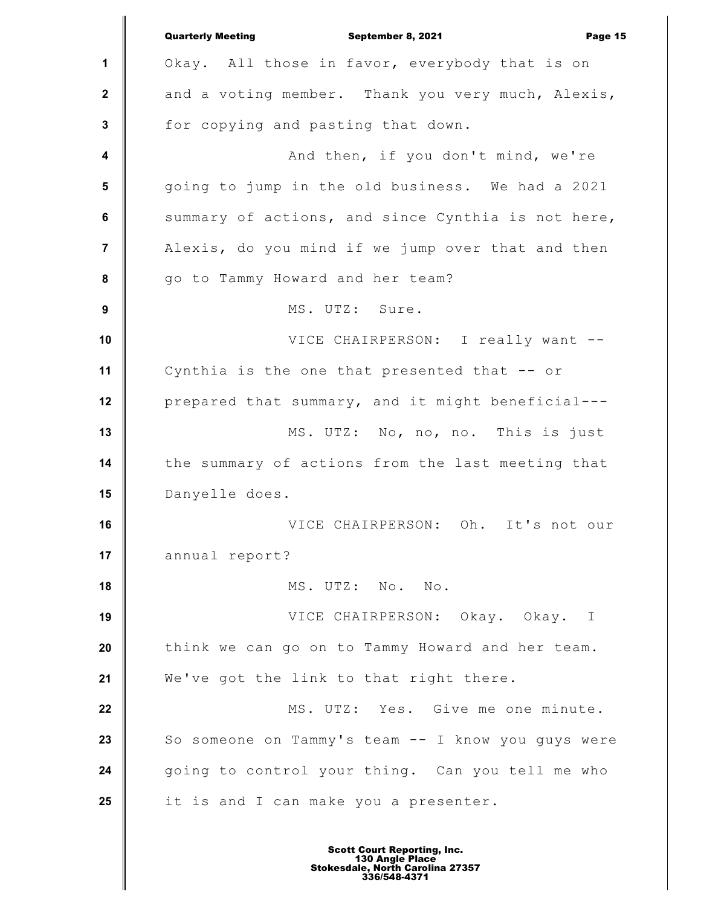|                  | <b>Quarterly Meeting</b><br>September 8, 2021<br>Page 15 |
|------------------|----------------------------------------------------------|
| 1                | Okay. All those in favor, everybody that is on           |
| $\mathbf{2}$     | and a voting member. Thank you very much, Alexis,        |
| $\mathbf{3}$     | for copying and pasting that down.                       |
| $\boldsymbol{4}$ | And then, if you don't mind, we're                       |
| $5\phantom{.0}$  | going to jump in the old business. We had a 2021         |
| 6                | summary of actions, and since Cynthia is not here,       |
| $\overline{7}$   | Alexis, do you mind if we jump over that and then        |
| 8                | go to Tammy Howard and her team?                         |
| $\boldsymbol{9}$ | MS. UTZ: Sure.                                           |
| 10               | VICE CHAIRPERSON: I really want --                       |
| 11               | Cynthia is the one that presented that -- or             |
| 12               | prepared that summary, and it might beneficial---        |
| 13               | MS. UTZ: No, no, no. This is just                        |
| 14               | the summary of actions from the last meeting that        |
| 15               | Danyelle does.                                           |
| 16               | VICE CHAIRPERSON: Oh. It's not our                       |
| 17               | annual report?                                           |
| 18               | MS. UTZ: No. No.                                         |
| 19               | VICE CHAIRPERSON: Okay. Okay. I                          |
| 20               | think we can go on to Tammy Howard and her team.         |
| 21               | We've got the link to that right there.                  |
| 22               | MS. UTZ: Yes. Give me one minute.                        |
| 23               | So someone on Tammy's team -- I know you guys were       |
| 24               | going to control your thing. Can you tell me who         |
| 25               | it is and I can make you a presenter.                    |
|                  |                                                          |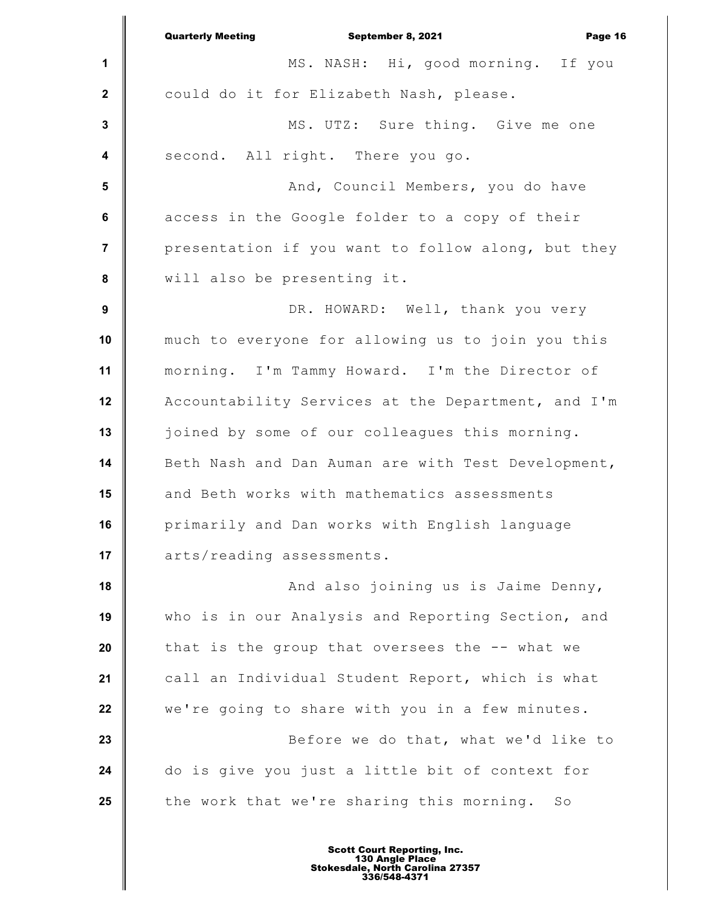|                         | Page 16<br><b>Quarterly Meeting</b><br>September 8, 2021 |
|-------------------------|----------------------------------------------------------|
| 1                       | MS. NASH: Hi, good morning. If you                       |
| $\mathbf{2}$            | could do it for Elizabeth Nash, please.                  |
| $\mathbf{3}$            | MS. UTZ: Sure thing. Give me one                         |
| $\overline{\mathbf{4}}$ | second. All right. There you go.                         |
| $5\phantom{1}$          | And, Council Members, you do have                        |
| $\bf 6$                 | access in the Google folder to a copy of their           |
| $\overline{7}$          | presentation if you want to follow along, but they       |
| 8                       | will also be presenting it.                              |
| $\boldsymbol{9}$        | DR. HOWARD: Well, thank you very                         |
| 10                      | much to everyone for allowing us to join you this        |
| 11                      | morning. I'm Tammy Howard. I'm the Director of           |
| 12                      | Accountability Services at the Department, and I'm       |
| 13                      | joined by some of our colleagues this morning.           |
| 14                      | Beth Nash and Dan Auman are with Test Development,       |
| 15                      | and Beth works with mathematics assessments              |
| 16                      | primarily and Dan works with English language            |
| 17                      | arts/reading assessments.                                |
| 18                      | And also joining us is Jaime Denny,                      |
| 19                      | who is in our Analysis and Reporting Section, and        |
| 20                      | that is the group that oversees the -- what we           |
| 21                      | call an Individual Student Report, which is what         |
| 22                      | we're going to share with you in a few minutes.          |
| 23                      | Before we do that, what we'd like to                     |
| 24                      | do is give you just a little bit of context for          |
| 25                      | the work that we're sharing this morning.<br>SO          |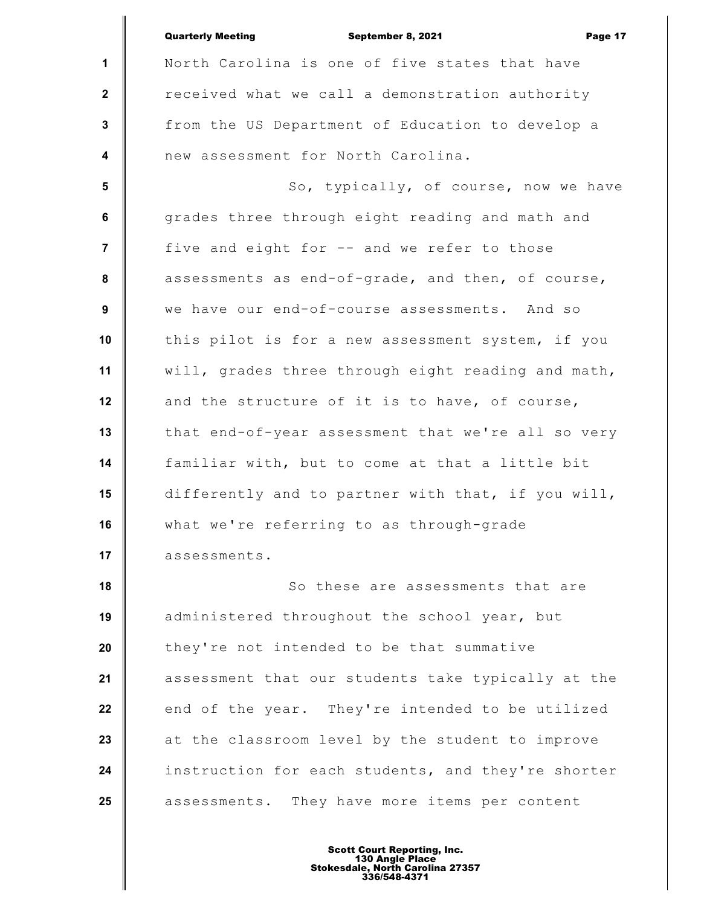|                         | <b>Quarterly Meeting</b><br>September 8, 2021<br>Page 17 |
|-------------------------|----------------------------------------------------------|
| $\mathbf 1$             | North Carolina is one of five states that have           |
| $\mathbf{2}$            | received what we call a demonstration authority          |
| $\mathbf{3}$            | from the US Department of Education to develop a         |
| $\overline{\mathbf{4}}$ | new assessment for North Carolina.                       |
| $5\phantom{.0}$         | So, typically, of course, now we have                    |
| 6                       | grades three through eight reading and math and          |
| $\overline{7}$          | five and eight for -- and we refer to those              |
| 8                       | assessments as end-of-grade, and then, of course,        |
| 9                       | we have our end-of-course assessments. And so            |
| 10                      | this pilot is for a new assessment system, if you        |
| 11                      | will, grades three through eight reading and math,       |
| 12                      | and the structure of it is to have, of course,           |
| 13                      | that end-of-year assessment that we're all so very       |
| 14                      | familiar with, but to come at that a little bit          |
| 15                      | differently and to partner with that, if you will,       |
| 16                      | what we're referring to as through-grade                 |
| 17                      | assessments.                                             |
| 18                      | So these are assessments that are                        |
| 19                      | administered throughout the school year, but             |
| 20                      | they're not intended to be that summative                |
| 21                      | assessment that our students take typically at the       |
| 22                      | end of the year. They're intended to be utilized         |
| 23                      | at the classroom level by the student to improve         |
| 24                      | instruction for each students, and they're shorter       |
| 25                      | assessments. They have more items per content            |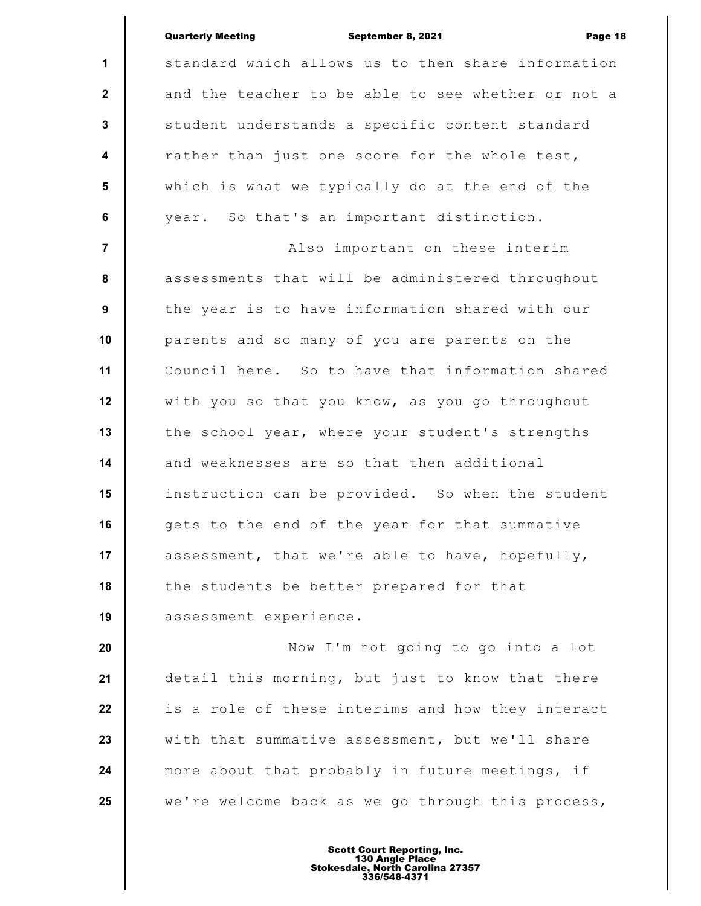## Quarterly Meeting September 8, 2021 Page 18

**1 2 3 4 5 6 7 8 9 10 11 12 13 14 15 16 17 18 19** standard which allows us to then share information and the teacher to be able to see whether or not a student understands a specific content standard rather than just one score for the whole test, which is what we typically do at the end of the year. So that's an important distinction. Also important on these interim assessments that will be administered throughout the year is to have information shared with our parents and so many of you are parents on the Council here. So to have that information shared with you so that you know, as you go throughout the school year, where your student's strengths and weaknesses are so that then additional instruction can be provided. So when the student gets to the end of the year for that summative assessment, that we're able to have, hopefully, the students be better prepared for that assessment experience.

**20 21 22 23 24 25** Now I'm not going to go into a lot detail this morning, but just to know that there is a role of these interims and how they interact with that summative assessment, but we'll share more about that probably in future meetings, if we're welcome back as we go through this process,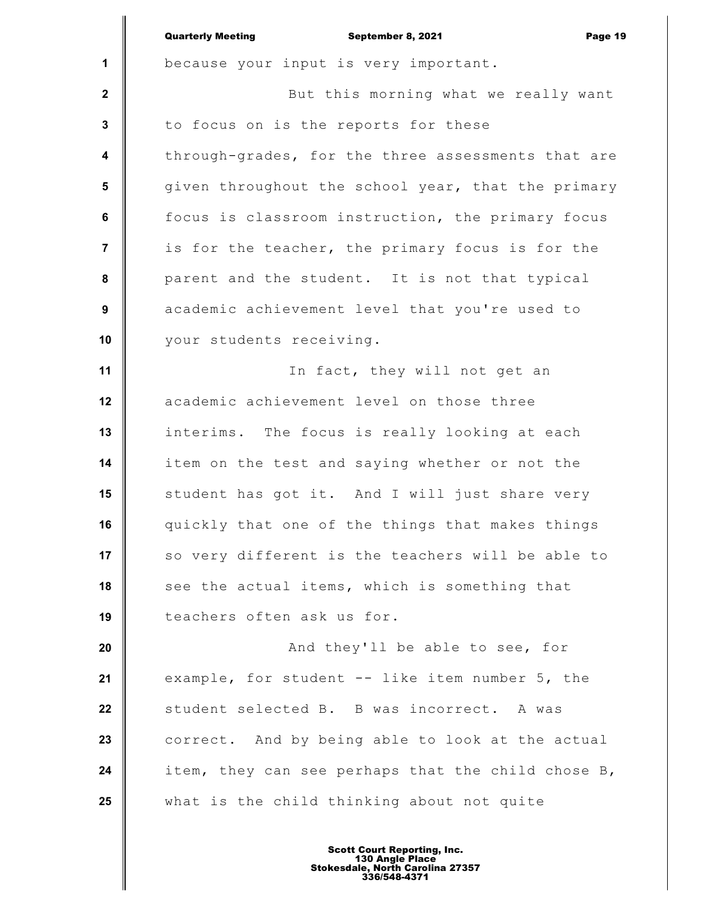|                         | <b>Quarterly Meeting</b><br>Page 19<br>September 8, 2021 |
|-------------------------|----------------------------------------------------------|
| 1                       | because your input is very important.                    |
| $\mathbf{2}$            | But this morning what we really want                     |
| 3                       | to focus on is the reports for these                     |
| $\overline{\mathbf{4}}$ | through-grades, for the three assessments that are       |
| $5\phantom{.0}$         | given throughout the school year, that the primary       |
| 6                       | focus is classroom instruction, the primary focus        |
| $\overline{7}$          | is for the teacher, the primary focus is for the         |
| 8                       | parent and the student. It is not that typical           |
| 9                       | academic achievement level that you're used to           |
| 10                      | your students receiving.                                 |
| 11                      | In fact, they will not get an                            |
| 12                      | academic achievement level on those three                |
| 13                      | interims. The focus is really looking at each            |
| 14                      | item on the test and saying whether or not the           |
| 15                      | student has got it. And I will just share very           |
| 16                      | quickly that one of the things that makes things         |
| 17                      | so very different is the teachers will be able to        |
| 18                      | see the actual items, which is something that            |
| 19                      | teachers often ask us for.                               |
| 20                      | And they'll be able to see, for                          |
| 21                      | example, for student -- like item number 5, the          |
| 22                      | student selected B. B was incorrect. A was               |
| 23                      | correct. And by being able to look at the actual         |
| 24                      | item, they can see perhaps that the child chose B,       |
| 25                      | what is the child thinking about not quite               |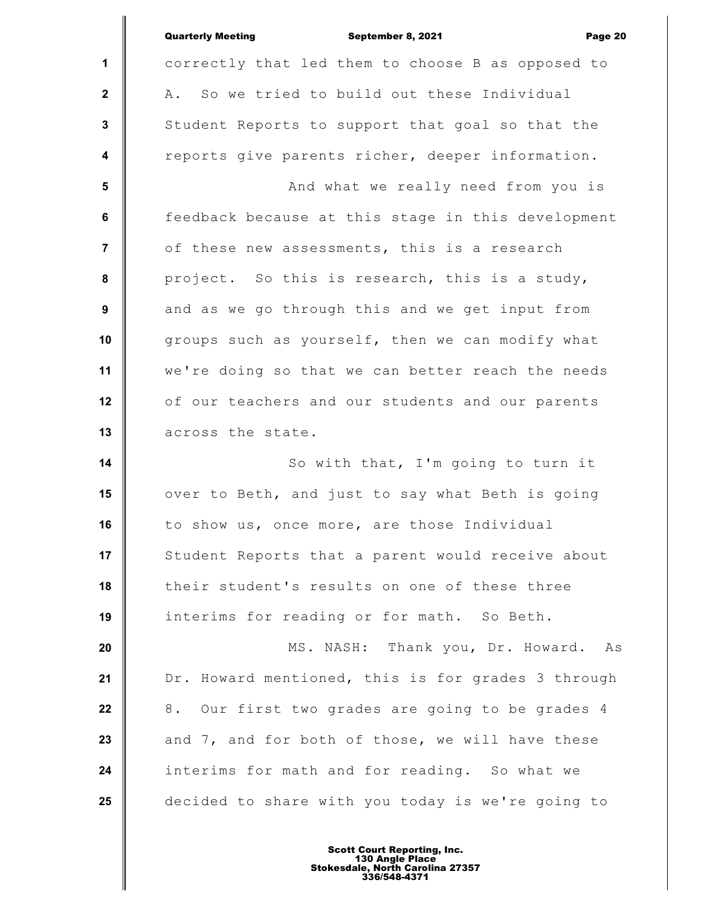|                         | <b>Quarterly Meeting</b><br>September 8, 2021<br>Page 20 |
|-------------------------|----------------------------------------------------------|
| $\mathbf{1}$            | correctly that led them to choose B as opposed to        |
| $\mathbf{2}$            | A. So we tried to build out these Individual             |
| $\mathbf{3}$            | Student Reports to support that goal so that the         |
| $\overline{\mathbf{4}}$ | reports give parents richer, deeper information.         |
| 5                       | And what we really need from you is                      |
| 6                       | feedback because at this stage in this development       |
| $\overline{7}$          | of these new assessments, this is a research             |
| 8                       | project. So this is research, this is a study,           |
| $\boldsymbol{9}$        | and as we go through this and we get input from          |
| 10                      | groups such as yourself, then we can modify what         |
| 11                      | we're doing so that we can better reach the needs        |
| 12                      | of our teachers and our students and our parents         |
| 13                      | across the state.                                        |
| 14                      | So with that, I'm going to turn it                       |
| 15                      | over to Beth, and just to say what Beth is going         |
| 16                      | to show us, once more, are those Individual              |
| 17                      | Student Reports that a parent would receive about        |
| 18                      | their student's results on one of these three            |
| 19                      | interims for reading or for math. So Beth.               |
| 20                      | MS. NASH: Thank you, Dr. Howard.<br>As                   |
| 21                      | Dr. Howard mentioned, this is for grades 3 through       |
| 22                      | 8. Our first two grades are going to be grades 4         |
| 23                      | and 7, and for both of those, we will have these         |
| 24                      | interims for math and for reading. So what we            |
| 25                      | decided to share with you today is we're going to        |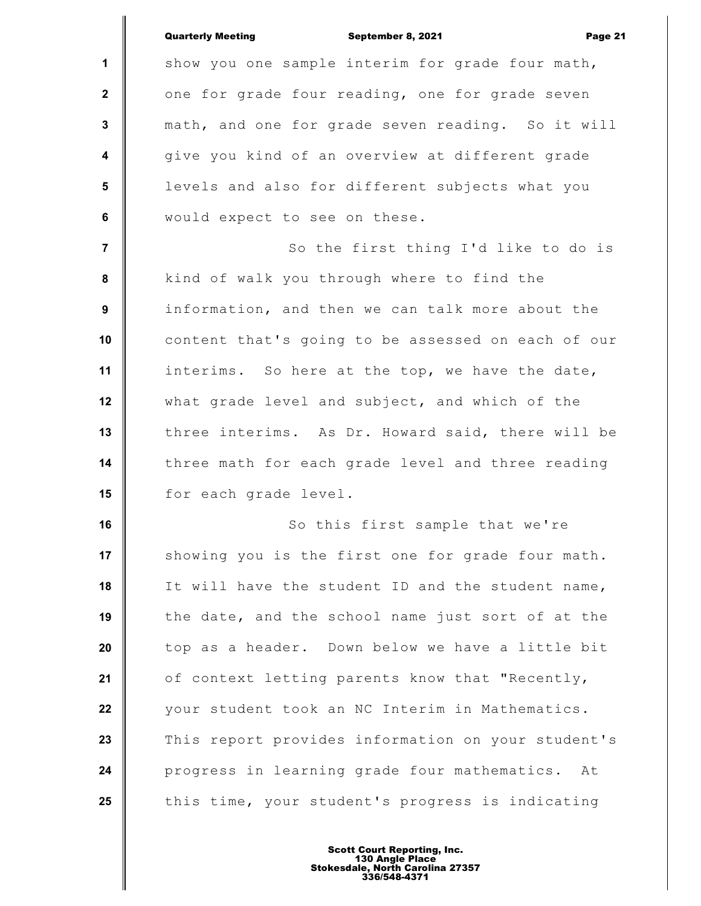|                  | <b>Quarterly Meeting</b><br>September 8, 2021<br>Page 21 |
|------------------|----------------------------------------------------------|
| 1                | show you one sample interim for grade four math,         |
| $\mathbf{2}$     | one for grade four reading, one for grade seven          |
| $\mathbf{3}$     | math, and one for grade seven reading. So it will        |
| $\boldsymbol{4}$ | give you kind of an overview at different grade          |
| 5                | levels and also for different subjects what you          |
| 6                | would expect to see on these.                            |
| $\overline{7}$   | So the first thing I'd like to do is                     |
| 8                | kind of walk you through where to find the               |
| 9                | information, and then we can talk more about the         |
| 10               | content that's going to be assessed on each of our       |
| 11               | interims. So here at the top, we have the date,          |
| 12               | what grade level and subject, and which of the           |
| 13               | three interims. As Dr. Howard said, there will be        |
| 14               | three math for each grade level and three reading        |
| 15               | for each grade level.                                    |
| 16               | So this first sample that we're                          |
| 17               | showing you is the first one for grade four math.        |
| 18               | It will have the student ID and the student name,        |
| 19               | the date, and the school name just sort of at the        |
| 20               | top as a header. Down below we have a little bit         |
| 21               | of context letting parents know that "Recently,          |
| 22               | your student took an NC Interim in Mathematics.          |
| 23               | This report provides information on your student's       |
| 24               | progress in learning grade four mathematics. At          |
| 25               | this time, your student's progress is indicating         |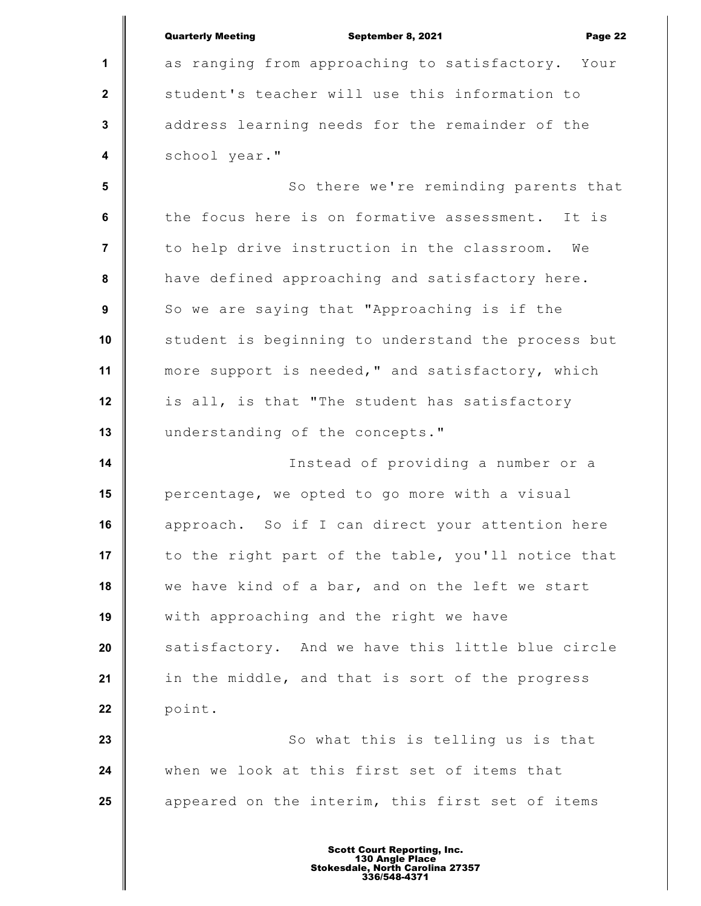|                         | <b>Quarterly Meeting</b><br>September 8, 2021<br>Page 22 |
|-------------------------|----------------------------------------------------------|
| 1                       | as ranging from approaching to satisfactory.<br>Your     |
| $\mathbf{2}$            | student's teacher will use this information to           |
| $\mathbf 3$             | address learning needs for the remainder of the          |
| $\overline{\mathbf{4}}$ | school year."                                            |
| $5\phantom{1}$          | So there we're reminding parents that                    |
| $\bf 6$                 | the focus here is on formative assessment. It is         |
| $\overline{7}$          | to help drive instruction in the classroom.<br>We        |
| ${\bf 8}$               | have defined approaching and satisfactory here.          |
| $\boldsymbol{9}$        | So we are saying that "Approaching is if the             |
| 10                      | student is beginning to understand the process but       |
| 11                      | more support is needed," and satisfactory, which         |
| 12                      | is all, is that "The student has satisfactory            |
| 13                      | understanding of the concepts."                          |
| 14                      | Instead of providing a number or a                       |
| 15                      | percentage, we opted to go more with a visual            |
| 16                      | approach. So if I can direct your attention here         |
| 17                      | to the right part of the table, you'll notice that       |
| 18                      | we have kind of a bar, and on the left we start          |
| 19                      | with approaching and the right we have                   |
| 20                      | satisfactory. And we have this little blue circle        |
| 21                      | in the middle, and that is sort of the progress          |
| 22                      | point.                                                   |
| 23                      | So what this is telling us is that                       |
| 24                      | when we look at this first set of items that             |
| 25                      | appeared on the interim, this first set of items         |
|                         |                                                          |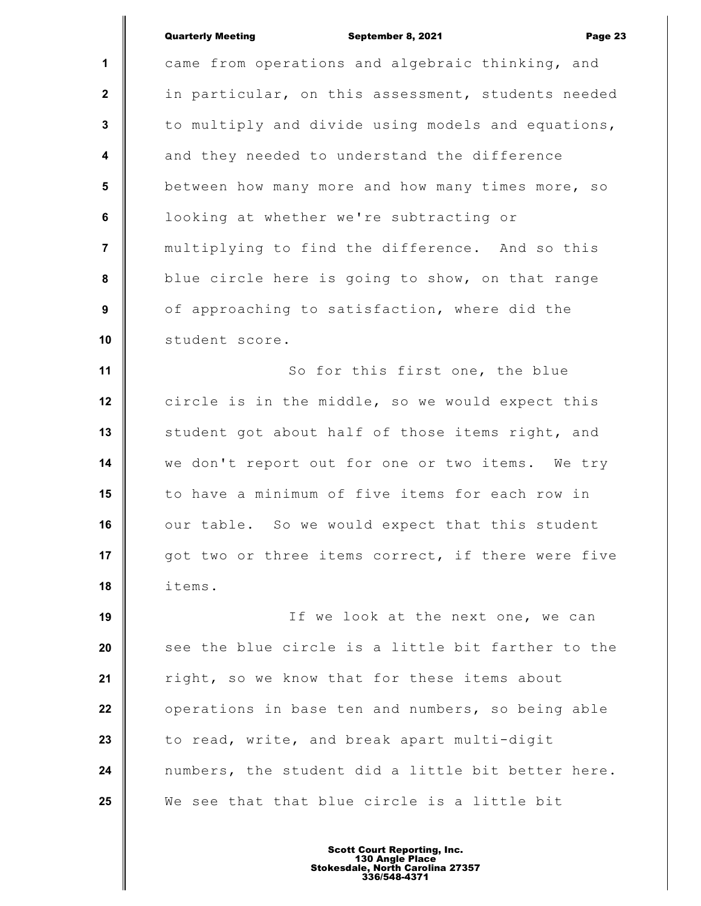## Quarterly Meeting September 8, 2021 Page 23

**1 2 3 4 5 6 7 8 9 10 11 12 13 14 15 16 17 18 19 20 21 22 23 24 25** came from operations and algebraic thinking, and in particular, on this assessment, students needed to multiply and divide using models and equations, and they needed to understand the difference between how many more and how many times more, so looking at whether we're subtracting or multiplying to find the difference. And so this blue circle here is going to show, on that range of approaching to satisfaction, where did the student score. So for this first one, the blue circle is in the middle, so we would expect this student got about half of those items right, and we don't report out for one or two items. We try to have a minimum of five items for each row in our table. So we would expect that this student got two or three items correct, if there were five items. If we look at the next one, we can see the blue circle is a little bit farther to the right, so we know that for these items about operations in base ten and numbers, so being able to read, write, and break apart multi-digit numbers, the student did a little bit better here. We see that that blue circle is a little bit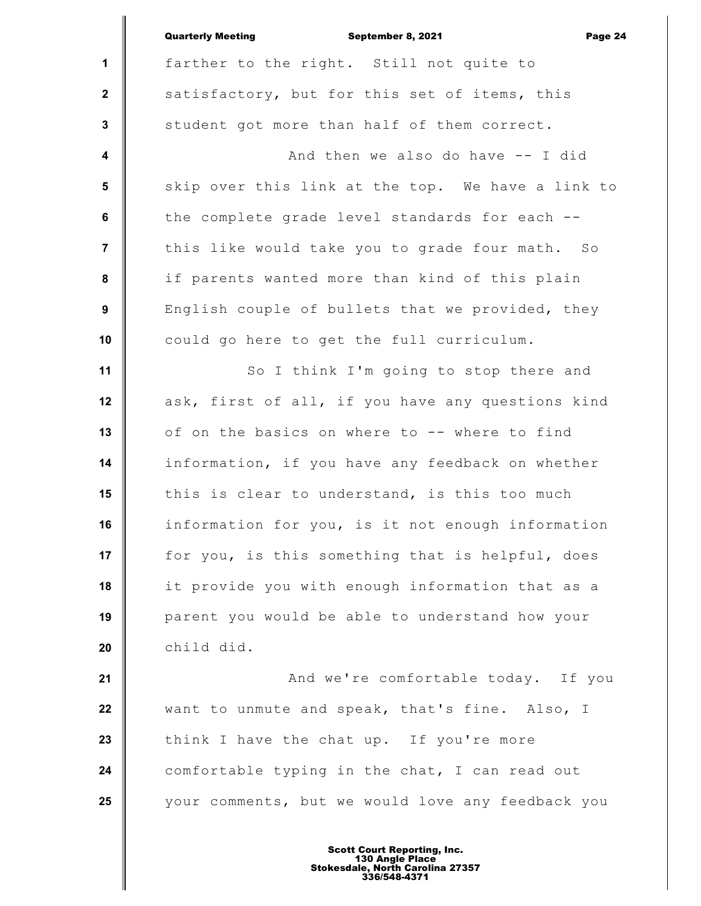|                  | <b>Quarterly Meeting</b><br>September 8, 2021<br>Page 24 |
|------------------|----------------------------------------------------------|
| 1                | farther to the right. Still not quite to                 |
| $\mathbf{2}$     | satisfactory, but for this set of items, this            |
| $\mathbf{3}$     | student got more than half of them correct.              |
| $\boldsymbol{4}$ | And then we also do have -- I did                        |
| 5                | skip over this link at the top. We have a link to        |
| 6                | the complete grade level standards for each --           |
| $\overline{7}$   | this like would take you to grade four math. So          |
| 8                | if parents wanted more than kind of this plain           |
| 9                | English couple of bullets that we provided, they         |
| 10               | could go here to get the full curriculum.                |
| 11               | So I think I'm going to stop there and                   |
| 12               | ask, first of all, if you have any questions kind        |
| 13               | of on the basics on where to -- where to find            |
| 14               | information, if you have any feedback on whether         |
| 15               | this is clear to understand, is this too much            |
| 16               | information for you, is it not enough information        |
| 17               | for you, is this something that is helpful, does         |
| 18               | it provide you with enough information that as a         |
| 19               | parent you would be able to understand how your          |
| 20               | child did.                                               |
| 21               | And we're comfortable today. If you                      |
| 22               | want to unmute and speak, that's fine. Also, I           |
| 23               | think I have the chat up. If you're more                 |
| 24               | comfortable typing in the chat, I can read out           |
| 25               | your comments, but we would love any feedback you        |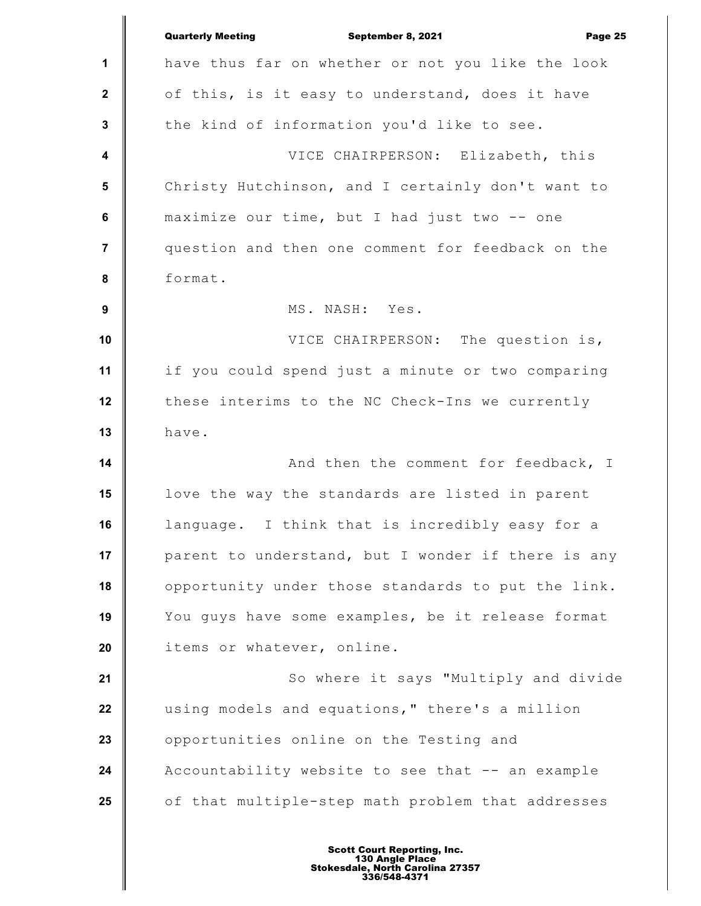|                  | <b>Quarterly Meeting</b><br>September 8, 2021<br>Page 25 |
|------------------|----------------------------------------------------------|
| 1                | have thus far on whether or not you like the look        |
| $\mathbf{2}$     | of this, is it easy to understand, does it have          |
| $\mathbf{3}$     | the kind of information you'd like to see.               |
| $\boldsymbol{4}$ | VICE CHAIRPERSON: Elizabeth, this                        |
| 5                | Christy Hutchinson, and I certainly don't want to        |
| 6                | maximize our time, but I had just two -- one             |
| $\overline{7}$   | question and then one comment for feedback on the        |
| ${\bf 8}$        | format.                                                  |
| 9                | MS. NASH: Yes.                                           |
| 10               | VICE CHAIRPERSON: The question is,                       |
| 11               | if you could spend just a minute or two comparing        |
| 12               | these interims to the NC Check-Ins we currently          |
| 13               | have.                                                    |
| 14               | And then the comment for feedback, I                     |
| 15               | love the way the standards are listed in parent          |
| 16               | language. I think that is incredibly easy for a          |
| 17               | parent to understand, but I wonder if there is any       |
| 18               | opportunity under those standards to put the link.       |
| 19               | You guys have some examples, be it release format        |
| 20               | items or whatever, online.                               |
| 21               | So where it says "Multiply and divide                    |
| 22               | using models and equations, " there's a million          |
| 23               | opportunities online on the Testing and                  |
| 24               | Accountability website to see that -- an example         |
| 25               | of that multiple-step math problem that addresses        |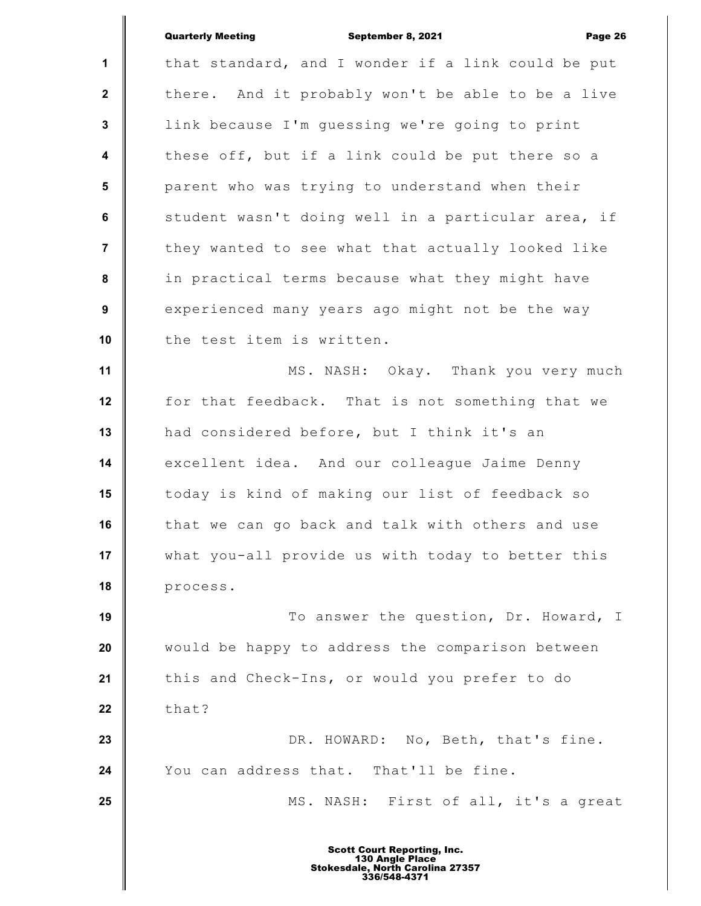|                         | <b>Quarterly Meeting</b><br>September 8, 2021<br>Page 26 |
|-------------------------|----------------------------------------------------------|
| 1                       | that standard, and I wonder if a link could be put       |
| $\mathbf{2}$            | there. And it probably won't be able to be a live        |
| $\mathbf 3$             | link because I'm guessing we're going to print           |
| $\overline{\mathbf{4}}$ | these off, but if a link could be put there so a         |
| $5\phantom{.0}$         | parent who was trying to understand when their           |
| $\bf 6$                 | student wasn't doing well in a particular area, if       |
| $\overline{7}$          | they wanted to see what that actually looked like        |
| ${\bf 8}$               | in practical terms because what they might have          |
| 9                       | experienced many years ago might not be the way          |
| 10                      | the test item is written.                                |
| 11                      | MS. NASH: Okay. Thank you very much                      |
| 12                      | for that feedback. That is not something that we         |
| 13                      | had considered before, but I think it's an               |
| 14                      | excellent idea. And our colleague Jaime Denny            |
| 15                      | today is kind of making our list of feedback so          |
| 16                      | that we can go back and talk with others and use         |
| 17                      | what you-all provide us with today to better this        |
| 18                      | process.                                                 |
| 19                      | To answer the question, Dr. Howard, I                    |
| 20                      | would be happy to address the comparison between         |
| 21                      | this and Check-Ins, or would you prefer to do            |
| 22                      | that?                                                    |
| 23                      | DR. HOWARD: No, Beth, that's fine.                       |
| 24                      | You can address that. That'll be fine.                   |
| 25                      | MS. NASH: First of all, it's a great                     |
|                         |                                                          |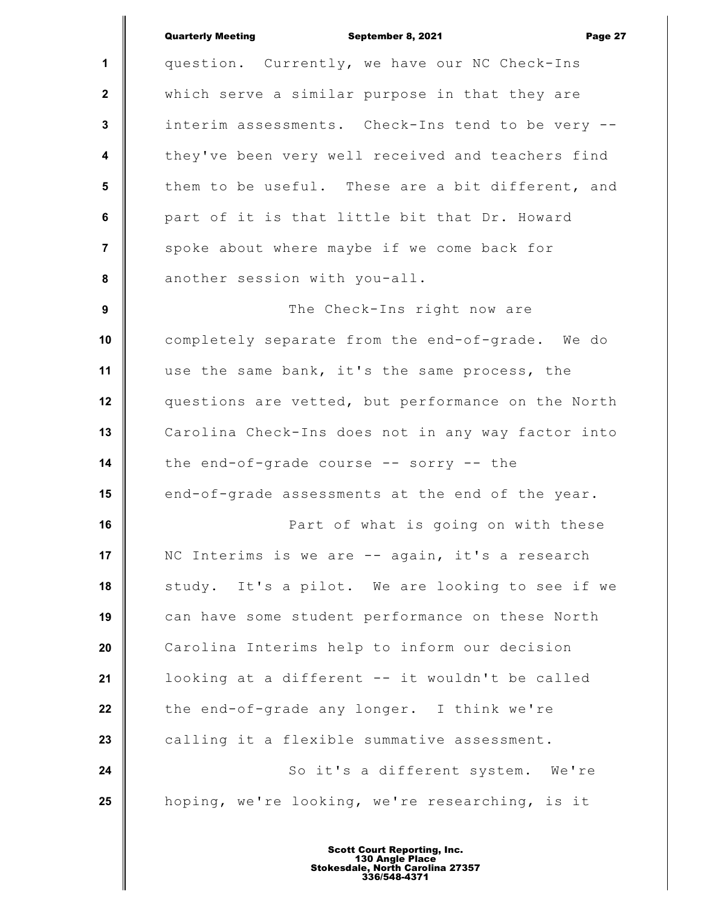|                         | <b>Quarterly Meeting</b><br>September 8, 2021<br>Page 27 |
|-------------------------|----------------------------------------------------------|
| $\mathbf{1}$            | question. Currently, we have our NC Check-Ins            |
| $\mathbf{2}$            | which serve a similar purpose in that they are           |
| $\mathbf{3}$            | interim assessments. Check-Ins tend to be very --        |
| $\overline{\mathbf{4}}$ | they've been very well received and teachers find        |
| 5                       | them to be useful. These are a bit different, and        |
| 6                       | part of it is that little bit that Dr. Howard            |
| $\overline{7}$          | spoke about where maybe if we come back for              |
| 8                       | another session with you-all.                            |
| $\boldsymbol{9}$        | The Check-Ins right now are                              |
| 10                      | completely separate from the end-of-grade. We do         |
| 11                      | use the same bank, it's the same process, the            |
| 12                      | questions are vetted, but performance on the North       |
| 13                      | Carolina Check-Ins does not in any way factor into       |
| 14                      | the end-of-grade course -- sorry -- the                  |
| 15                      | end-of-grade assessments at the end of the year.         |
| 16                      | Part of what is going on with these                      |
| 17                      | NC Interims is we are -- again, it's a research          |
| 18                      | study. It's a pilot. We are looking to see if we         |
| 19                      | can have some student performance on these North         |
| 20                      | Carolina Interims help to inform our decision            |
| 21                      | looking at a different -- it wouldn't be called          |
| 22                      | the end-of-grade any longer. I think we're               |
| 23                      | calling it a flexible summative assessment.              |
| 24                      | So it's a different system. We're                        |
| 25                      | hoping, we're looking, we're researching, is it          |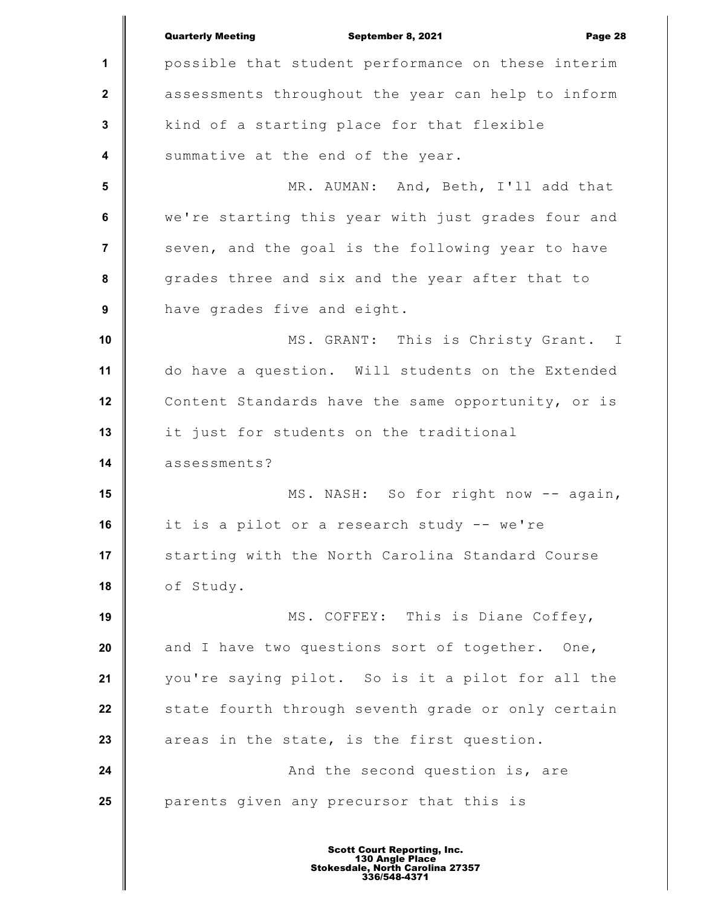|                         | <b>Quarterly Meeting</b><br>September 8, 2021<br>Page 28 |
|-------------------------|----------------------------------------------------------|
| 1                       | possible that student performance on these interim       |
| $\boldsymbol{2}$        | assessments throughout the year can help to inform       |
| 3                       | kind of a starting place for that flexible               |
| $\overline{\mathbf{4}}$ | summative at the end of the year.                        |
| $5\phantom{a}$          | MR. AUMAN: And, Beth, I'll add that                      |
| 6                       | we're starting this year with just grades four and       |
| $\overline{7}$          | seven, and the goal is the following year to have        |
| 8                       | grades three and six and the year after that to          |
| $\boldsymbol{9}$        | have grades five and eight.                              |
| 10                      | MS. GRANT: This is Christy Grant. I                      |
| 11                      | do have a question. Will students on the Extended        |
| 12                      | Content Standards have the same opportunity, or is       |
| 13                      | it just for students on the traditional                  |
| 14                      | assessments?                                             |
| 15                      | MS. NASH: So for right now -- again,                     |
| 16                      | it is a pilot or a research study -- we're               |
| 17                      | starting with the North Carolina Standard Course         |
| 18                      | of Study.                                                |
| 19                      | MS. COFFEY: This is Diane Coffey,                        |
| 20                      | and I have two questions sort of together. One,          |
| 21                      | you're saying pilot. So is it a pilot for all the        |
| 22                      | state fourth through seventh grade or only certain       |
| 23                      | areas in the state, is the first question.               |
| 24                      | And the second question is, are                          |
| 25                      | parents given any precursor that this is                 |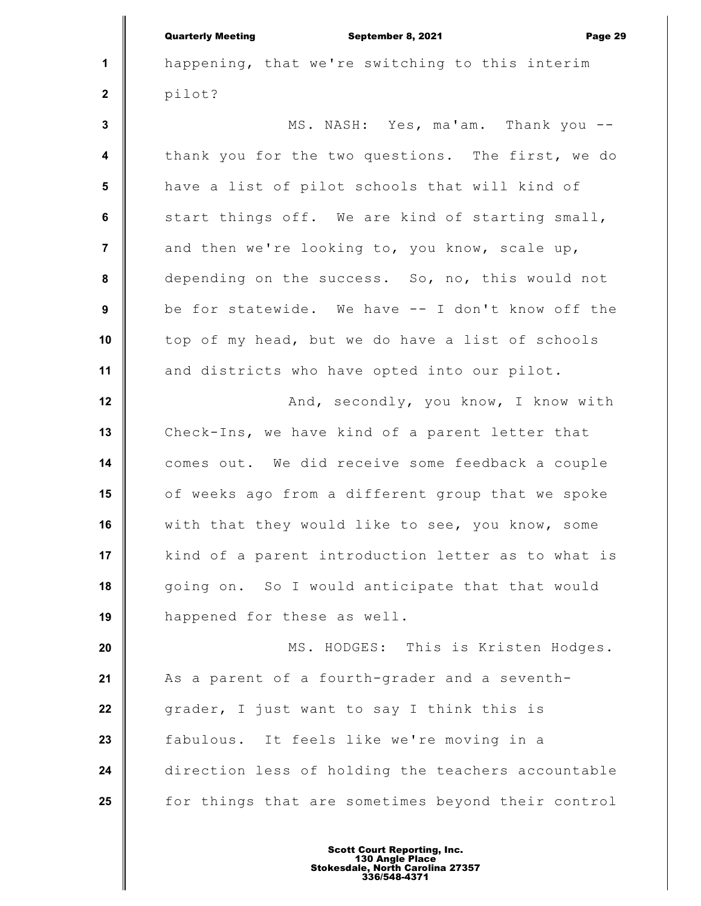**1 2 3 4 5 6 7 8 9 10 11 12 13 14 15 16 17 18 19 20 21 22 23 24 25** Quarterly Meeting September 8, 2021 Page 29 happening, that we're switching to this interim pilot? MS. NASH: Yes, ma'am. Thank you - thank you for the two questions. The first, we do have a list of pilot schools that will kind of start things off. We are kind of starting small, and then we're looking to, you know, scale up, depending on the success. So, no, this would not be for statewide. We have -- I don't know off the top of my head, but we do have a list of schools and districts who have opted into our pilot. And, secondly, you know, I know with Check-Ins, we have kind of a parent letter that comes out. We did receive some feedback a couple of weeks ago from a different group that we spoke with that they would like to see, you know, some kind of a parent introduction letter as to what is going on. So I would anticipate that that would happened for these as well. MS. HODGES: This is Kristen Hodges. As a parent of a fourth-grader and a seventhgrader, I just want to say I think this is fabulous. It feels like we're moving in a direction less of holding the teachers accountable for things that are sometimes beyond their control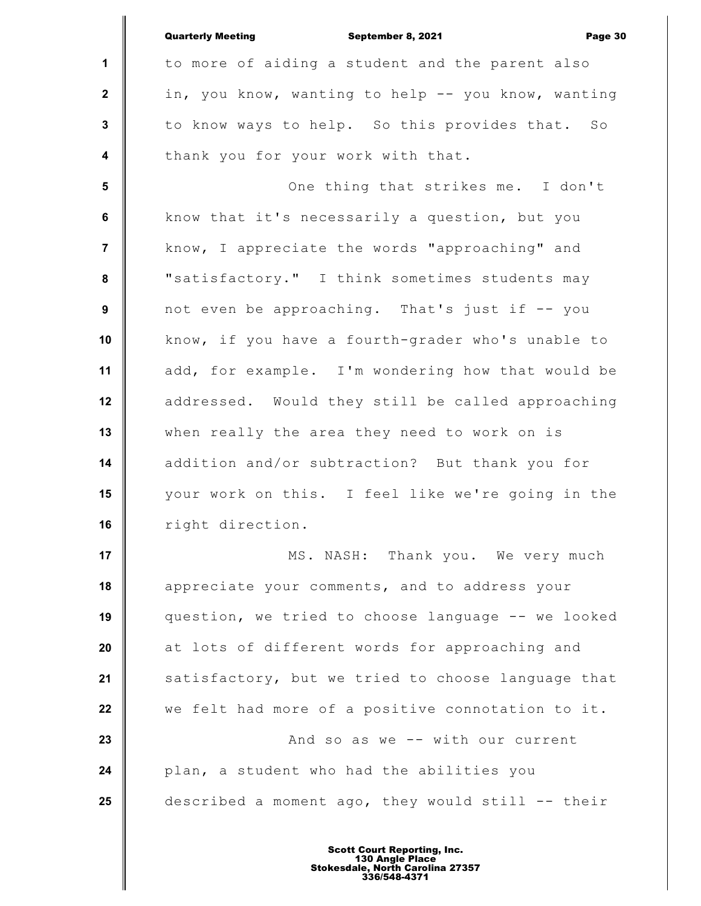|                  | <b>Quarterly Meeting</b><br>September 8, 2021<br>Page 30 |
|------------------|----------------------------------------------------------|
| $\mathbf{1}$     | to more of aiding a student and the parent also          |
| $\mathbf{2}$     | in, you know, wanting to help -- you know, wanting       |
| $\mathbf{3}$     | to know ways to help. So this provides that. So          |
| $\boldsymbol{4}$ | thank you for your work with that.                       |
| 5                | One thing that strikes me. I don't                       |
| 6                | know that it's necessarily a question, but you           |
| $\overline{7}$   | know, I appreciate the words "approaching" and           |
| 8                | "satisfactory." I think sometimes students may           |
| 9                | not even be approaching. That's just if -- you           |
| 10               | know, if you have a fourth-grader who's unable to        |
| 11               | add, for example. I'm wondering how that would be        |
| 12               | addressed. Would they still be called approaching        |
| 13               | when really the area they need to work on is             |
| 14               | addition and/or subtraction? But thank you for           |
| 15               | your work on this. I feel like we're going in the        |
| 16               | right direction.                                         |
| 17               | MS. NASH: Thank you. We very much                        |
| 18               | appreciate your comments, and to address your            |
| 19               | question, we tried to choose language -- we looked       |
| 20               | at lots of different words for approaching and           |
| 21               | satisfactory, but we tried to choose language that       |
| 22               | we felt had more of a positive connotation to it.        |
| 23               | And so as we -- with our current                         |
| 24               | plan, a student who had the abilities you                |
| 25               | described a moment ago, they would still -- their        |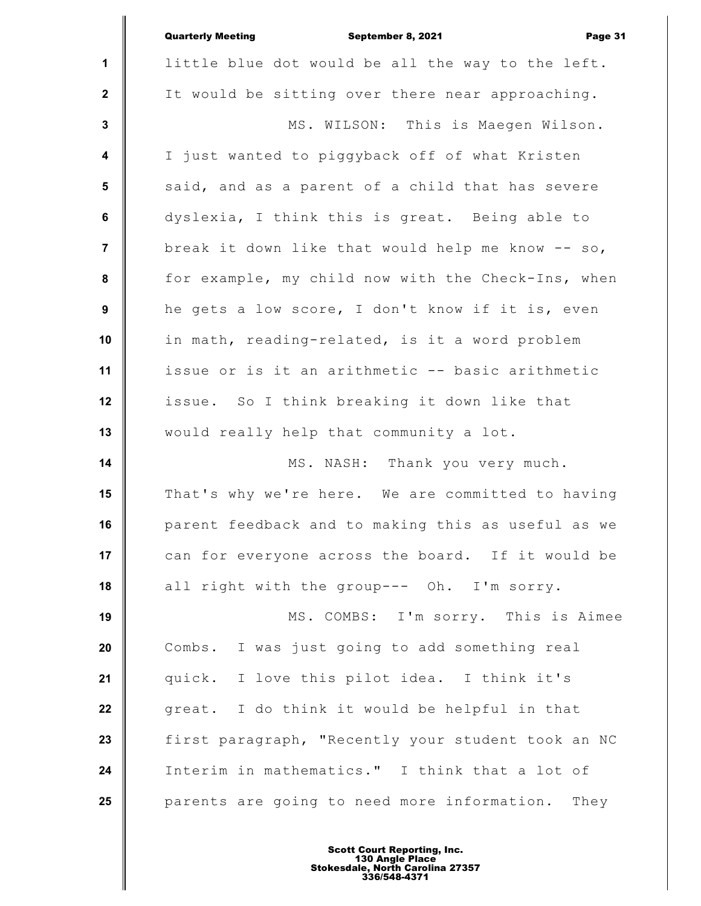|                         | <b>Quarterly Meeting</b><br>Page 31<br>September 8, 2021 |
|-------------------------|----------------------------------------------------------|
| 1                       | little blue dot would be all the way to the left.        |
| $\overline{2}$          | It would be sitting over there near approaching.         |
| $\mathbf 3$             | MS. WILSON: This is Maegen Wilson.                       |
| $\overline{\mathbf{4}}$ | I just wanted to piggyback off of what Kristen           |
| $5\phantom{1}$          | said, and as a parent of a child that has severe         |
| $\bf 6$                 | dyslexia, I think this is great. Being able to           |
| $\overline{7}$          | break it down like that would help me know $-$ so,       |
| 8                       | for example, my child now with the Check-Ins, when       |
| 9                       | he gets a low score, I don't know if it is, even         |
| 10                      | in math, reading-related, is it a word problem           |
| 11                      | issue or is it an arithmetic -- basic arithmetic         |
| 12                      | issue. So I think breaking it down like that             |
| 13                      | would really help that community a lot.                  |
| 14                      | MS. NASH: Thank you very much.                           |
| 15                      | That's why we're here. We are committed to having        |
| 16                      | parent feedback and to making this as useful as we       |
| 17                      | can for everyone across the board. If it would be        |
| 18                      | all right with the group--- Oh. I'm sorry.               |
| 19                      | MS. COMBS: I'm sorry. This is Aimee                      |
| 20                      | Combs. I was just going to add something real            |
| 21                      | quick. I love this pilot idea. I think it's              |
| 22                      | great. I do think it would be helpful in that            |
| 23                      | first paragraph, "Recently your student took an NC       |
| 24                      | Interim in mathematics." I think that a lot of           |
| 25                      | parents are going to need more information. They         |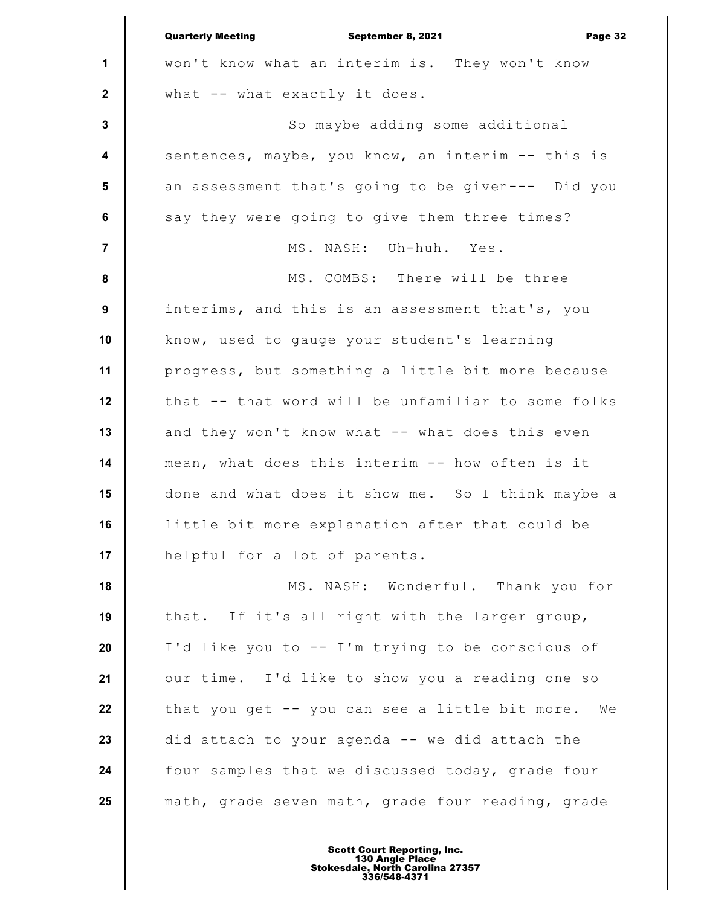|              | <b>Quarterly Meeting</b><br>September 8, 2021<br>Page 32 |
|--------------|----------------------------------------------------------|
| 1            | won't know what an interim is. They won't know           |
| $\mathbf{2}$ | what -- what exactly it does.                            |
| $\mathbf 3$  | So maybe adding some additional                          |
| 4            | sentences, maybe, you know, an interim -- this is        |
| 5            | an assessment that's going to be given--- Did you        |
| 6            | say they were going to give them three times?            |
| 7            | MS. NASH: Uh-huh. Yes.                                   |
| 8            | MS. COMBS: There will be three                           |
| 9            | interims, and this is an assessment that's, you          |
| 10           | know, used to gauge your student's learning              |
| 11           | progress, but something a little bit more because        |
| 12           | that -- that word will be unfamiliar to some folks       |
| 13           | and they won't know what -- what does this even          |
| 14           | mean, what does this interim -- how often is it          |
| 15           | done and what does it show me. So I think maybe a        |
| 16           | little bit more explanation after that could be          |
| 17           | helpful for a lot of parents.                            |
| 18           | MS. NASH: Wonderful. Thank you for                       |
| 19           | that. If it's all right with the larger group,           |
| 20           | I'd like you to -- I'm trying to be conscious of         |
| 21           | our time. I'd like to show you a reading one so          |
| 22           | that you get -- you can see a little bit more.<br>We     |
| 23           | did attach to your agenda -- we did attach the           |
| 24           | four samples that we discussed today, grade four         |
| 25           | math, grade seven math, grade four reading, grade        |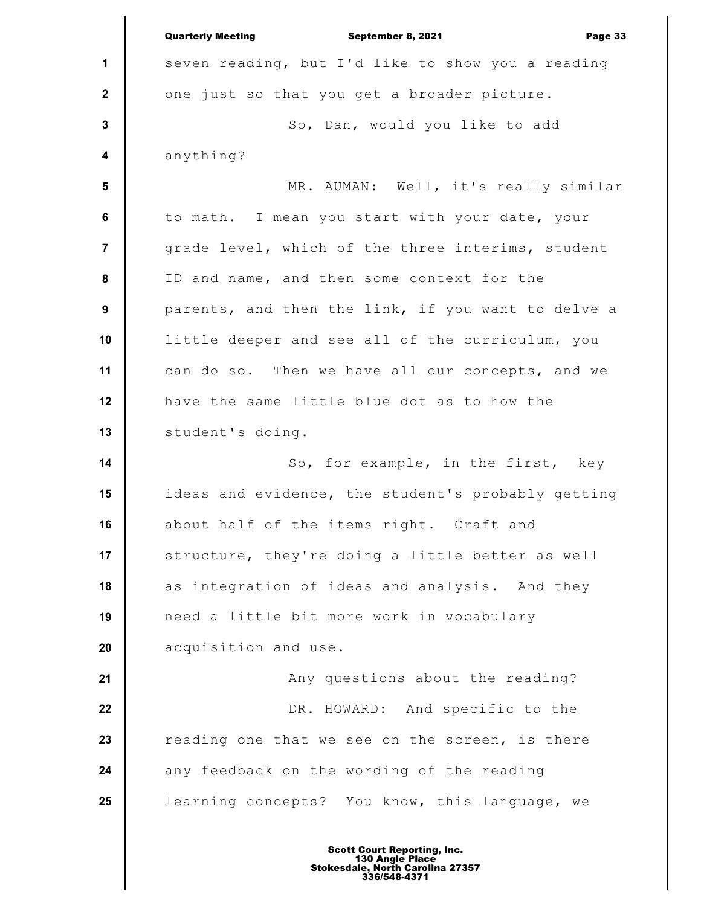|                  | <b>Quarterly Meeting</b><br>September 8, 2021<br>Page 33 |
|------------------|----------------------------------------------------------|
| $\mathbf 1$      | seven reading, but I'd like to show you a reading        |
| $\mathbf{2}$     | one just so that you get a broader picture.              |
| $\mathbf{3}$     | So, Dan, would you like to add                           |
| $\boldsymbol{4}$ | anything?                                                |
| $5\phantom{1}$   | MR. AUMAN: Well, it's really similar                     |
| 6                | to math. I mean you start with your date, your           |
| $\overline{7}$   | grade level, which of the three interims, student        |
| 8                | ID and name, and then some context for the               |
| 9                | parents, and then the link, if you want to delve a       |
| 10               | little deeper and see all of the curriculum, you         |
| 11               | can do so. Then we have all our concepts, and we         |
| 12               | have the same little blue dot as to how the              |
| 13               | student's doing.                                         |
| 14               | So, for example, in the first, key                       |
| 15               | ideas and evidence, the student's probably getting       |
| 16               | about half of the items right. Craft and                 |
| 17               | structure, they're doing a little better as well         |
| 18               | as integration of ideas and analysis. And they           |
| 19               | need a little bit more work in vocabulary                |
| 20               | acquisition and use.                                     |
| 21               | Any questions about the reading?                         |
| 22               | DR. HOWARD: And specific to the                          |
| 23               | reading one that we see on the screen, is there          |
| 24               | any feedback on the wording of the reading               |
| 25               | learning concepts? You know, this language, we           |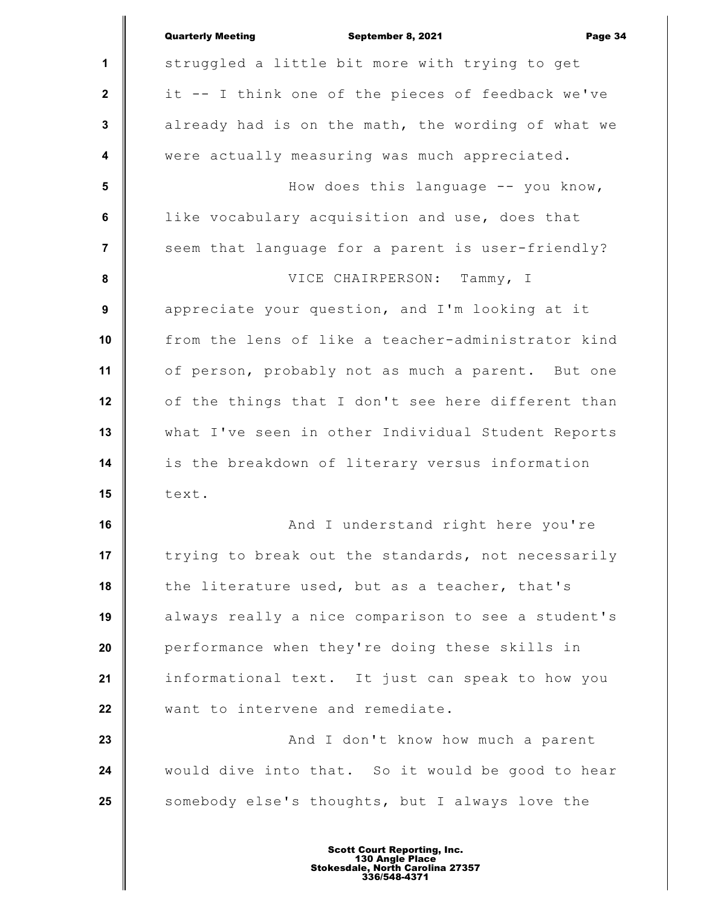|                         | <b>Quarterly Meeting</b><br>September 8, 2021<br>Page 34 |
|-------------------------|----------------------------------------------------------|
| 1                       | struggled a little bit more with trying to get           |
| $\mathbf 2$             | it -- I think one of the pieces of feedback we've        |
| $\mathbf 3$             | already had is on the math, the wording of what we       |
| $\overline{\mathbf{4}}$ | were actually measuring was much appreciated.            |
| $5\phantom{1}$          | How does this language -- you know,                      |
| 6                       | like vocabulary acquisition and use, does that           |
| 7                       | seem that language for a parent is user-friendly?        |
| 8                       | VICE CHAIRPERSON: Tammy, I                               |
| 9                       | appreciate your question, and I'm looking at it          |
| 10                      | from the lens of like a teacher-administrator kind       |
| 11                      | of person, probably not as much a parent. But one        |
| 12                      | of the things that I don't see here different than       |
| 13                      | what I've seen in other Individual Student Reports       |
| 14                      | is the breakdown of literary versus information          |
| 15                      | text.                                                    |
| 16                      | And I understand right here you're                       |
| 17                      | trying to break out the standards, not necessarily       |
| 18                      | the literature used, but as a teacher, that's            |
| 19                      | always really a nice comparison to see a student's       |
| 20                      | performance when they're doing these skills in           |
| 21                      | informational text. It just can speak to how you         |
| 22                      | want to intervene and remediate.                         |
| 23                      | And I don't know how much a parent                       |
| 24                      | would dive into that. So it would be good to hear        |
| 25                      | somebody else's thoughts, but I always love the          |
|                         |                                                          |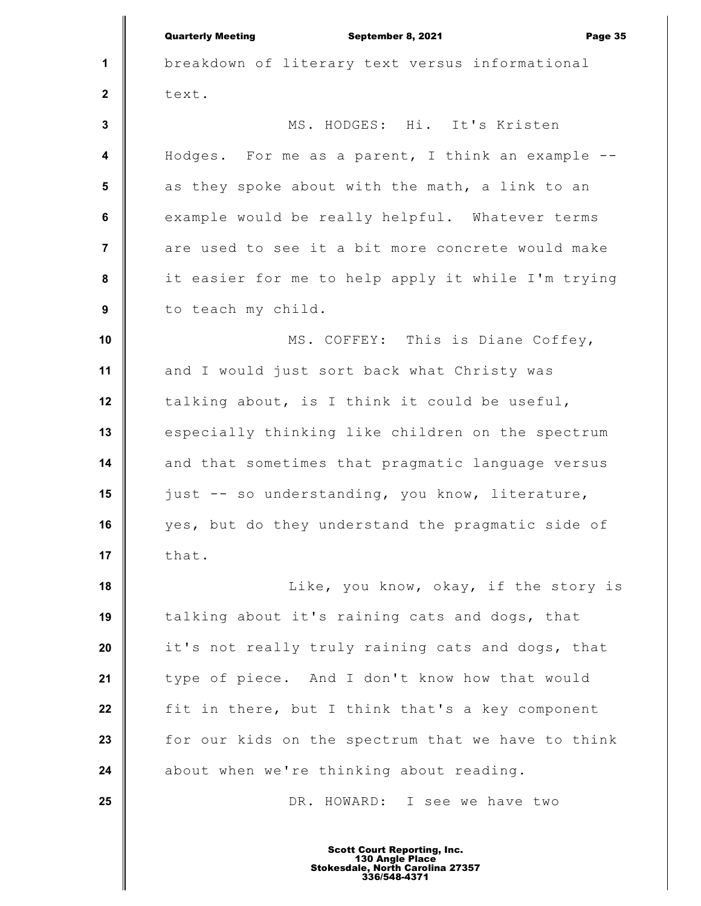|                         | <b>Quarterly Meeting</b><br>September 8, 2021<br>Page 35 |
|-------------------------|----------------------------------------------------------|
| 1                       | breakdown of literary text versus informational          |
| $\mathbf{2}$            | text.                                                    |
| $\mathbf{3}$            | MS. HODGES: Hi. It's Kristen                             |
| $\overline{\mathbf{4}}$ | Hodges. For me as a parent, I think an example --        |
| 5                       | as they spoke about with the math, a link to an          |
| $\bf 6$                 | example would be really helpful. Whatever terms          |
| $\overline{7}$          | are used to see it a bit more concrete would make        |
| 8                       | it easier for me to help apply it while I'm trying       |
| $\boldsymbol{9}$        | to teach my child.                                       |
| 10                      | MS. COFFEY: This is Diane Coffey,                        |
| 11                      | and I would just sort back what Christy was              |
| 12                      | talking about, is I think it could be useful,            |
| 13                      | especially thinking like children on the spectrum        |
| 14                      | and that sometimes that pragmatic language versus        |
| 15                      | just -- so understanding, you know, literature,          |
| 16                      | yes, but do they understand the pragmatic side of        |
| 17                      | that.                                                    |
| 18                      | Like, you know, okay, if the story is                    |
| 19                      | talking about it's raining cats and dogs, that           |
| 20                      | it's not really truly raining cats and dogs, that        |
| 21                      | type of piece. And I don't know how that would           |
| 22                      | fit in there, but I think that's a key component         |
| 23                      | for our kids on the spectrum that we have to think       |
| 24                      | about when we're thinking about reading.                 |
| 25                      | DR. HOWARD: I see we have two                            |
|                         |                                                          |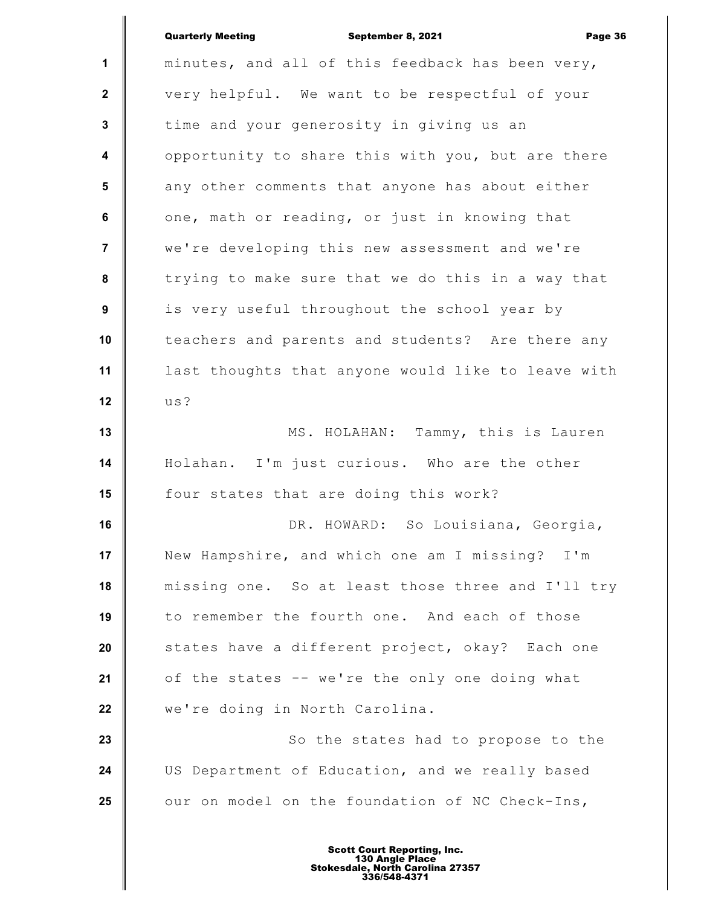|                         | <b>Quarterly Meeting</b><br>September 8, 2021<br>Page 36 |
|-------------------------|----------------------------------------------------------|
| $\mathbf{1}$            | minutes, and all of this feedback has been very,         |
| $\mathbf{2}$            | very helpful. We want to be respectful of your           |
| $\mathbf{3}$            | time and your generosity in giving us an                 |
| $\overline{\mathbf{4}}$ | opportunity to share this with you, but are there        |
| 5                       | any other comments that anyone has about either          |
| 6                       | one, math or reading, or just in knowing that            |
| $\overline{7}$          | we're developing this new assessment and we're           |
| 8                       | trying to make sure that we do this in a way that        |
| 9                       | is very useful throughout the school year by             |
| 10                      | teachers and parents and students? Are there any         |
| 11                      | last thoughts that anyone would like to leave with       |
| 12                      | us?                                                      |
| 13                      | MS. HOLAHAN: Tammy, this is Lauren                       |
| 14                      | Holahan. I'm just curious. Who are the other             |
| 15                      | four states that are doing this work?                    |
| 16                      | DR. HOWARD: So Louisiana, Georgia,                       |
| 17                      | New Hampshire, and which one am I missing? I'm           |
| 18                      | missing one. So at least those three and I'll try        |
| 19                      | to remember the fourth one. And each of those            |
| 20                      | states have a different project, okay? Each one          |
| 21                      | of the states -- we're the only one doing what           |
| 22                      | we're doing in North Carolina.                           |
| 23                      | So the states had to propose to the                      |
| 24                      | US Department of Education, and we really based          |
| 25                      | our on model on the foundation of NC Check-Ins,          |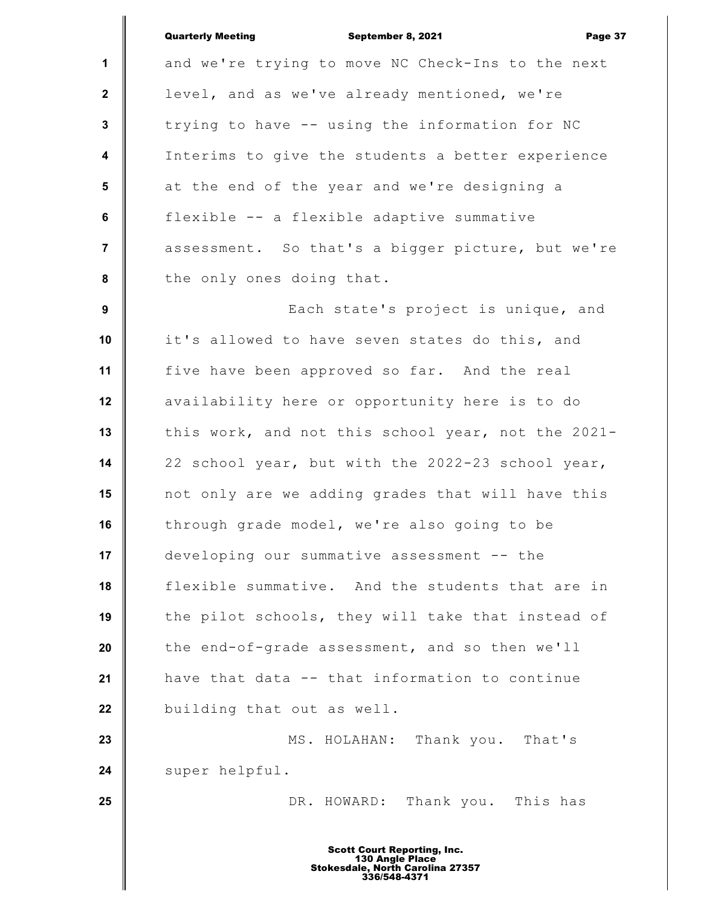**1 2 3 4 5 6 7 8 9 10 11 12 13 14 15 16 17 18 19 20 21 22 23 24 25** Quarterly Meeting September 8, 2021 Page 37 and we're trying to move NC Check-Ins to the next level, and as we've already mentioned, we're trying to have -- using the information for NC Interims to give the students a better experience at the end of the year and we're designing a flexible -- a flexible adaptive summative assessment. So that's a bigger picture, but we're the only ones doing that. Each state's project is unique, and it's allowed to have seven states do this, and five have been approved so far. And the real availability here or opportunity here is to do this work, and not this school year, not the 2021- 22 school year, but with the 2022-23 school year, not only are we adding grades that will have this through grade model, we're also going to be developing our summative assessment -- the flexible summative. And the students that are in the pilot schools, they will take that instead of the end-of-grade assessment, and so then we'll have that data -- that information to continue building that out as well. MS. HOLAHAN: Thank you. That's super helpful. DR. HOWARD: Thank you. This has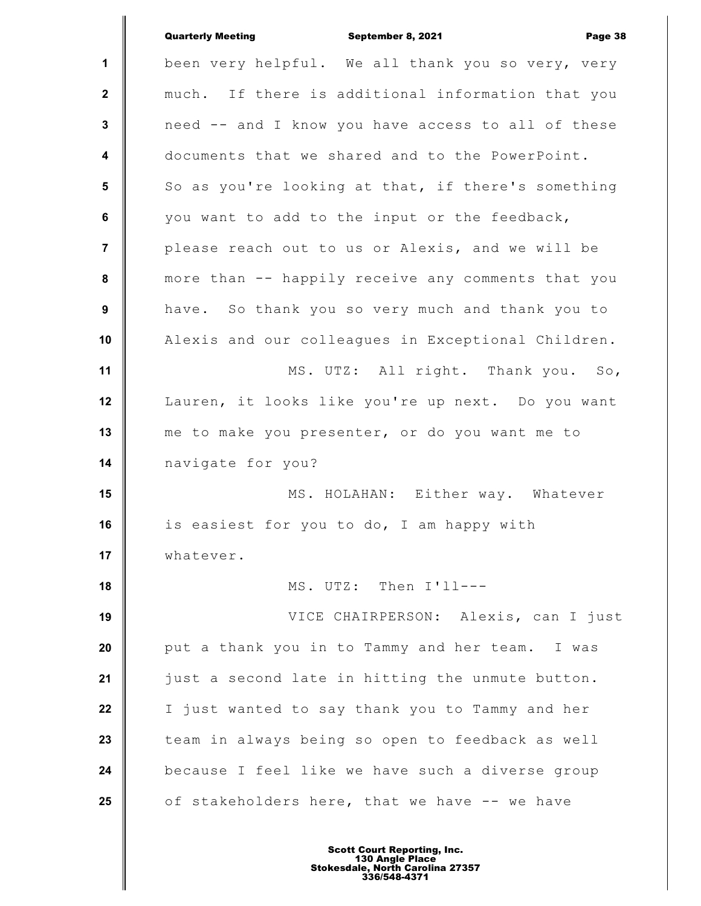|                         | <b>Quarterly Meeting</b><br>September 8, 2021<br>Page 38 |
|-------------------------|----------------------------------------------------------|
| $\mathbf{1}$            | been very helpful. We all thank you so very, very        |
| $\mathbf{2}$            | much. If there is additional information that you        |
| 3                       | need -- and I know you have access to all of these       |
| $\overline{\mathbf{4}}$ | documents that we shared and to the PowerPoint.          |
| $5\phantom{1}$          | So as you're looking at that, if there's something       |
| 6                       | you want to add to the input or the feedback,            |
| $\overline{7}$          | please reach out to us or Alexis, and we will be         |
| 8                       | more than -- happily receive any comments that you       |
| 9                       | have. So thank you so very much and thank you to         |
| 10                      | Alexis and our colleagues in Exceptional Children.       |
| 11                      | MS. UTZ: All right. Thank you. So,                       |
| 12                      | Lauren, it looks like you're up next. Do you want        |
| 13                      | me to make you presenter, or do you want me to           |
| 14                      | navigate for you?                                        |
| 15                      | MS. HOLAHAN: Either way. Whatever                        |
| 16                      | is easiest for you to do, I am happy with                |
| 17                      | whatever.                                                |
| 18                      | MS. UTZ: Then I'll---                                    |
| 19                      | VICE CHAIRPERSON: Alexis, can I just                     |
| 20                      | put a thank you in to Tammy and her team. I was          |
| 21                      | just a second late in hitting the unmute button.         |
| 22                      | I just wanted to say thank you to Tammy and her          |
| 23                      | team in always being so open to feedback as well         |
| 24                      | because I feel like we have such a diverse group         |
| 25                      | of stakeholders here, that we have -- we have            |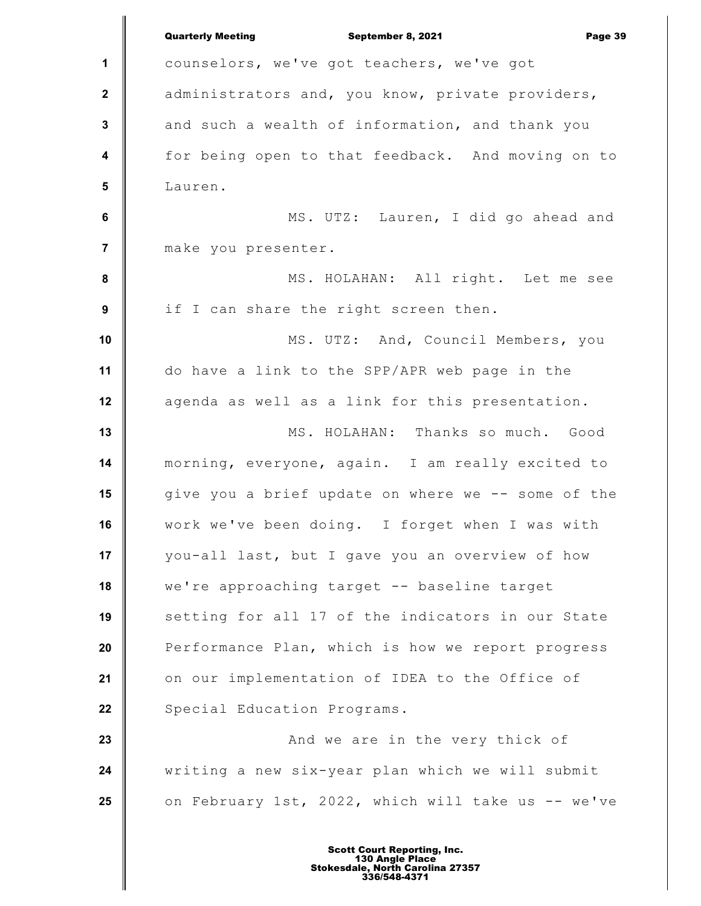|                         | <b>Quarterly Meeting</b><br>September 8, 2021<br>Page 39 |
|-------------------------|----------------------------------------------------------|
| 1                       | counselors, we've got teachers, we've got                |
| $\mathbf 2$             | administrators and, you know, private providers,         |
| $\mathbf 3$             | and such a wealth of information, and thank you          |
| $\overline{\mathbf{4}}$ | for being open to that feedback. And moving on to        |
| $5\phantom{1}$          | Lauren.                                                  |
| $\bf 6$                 | MS. UTZ: Lauren, I did go ahead and                      |
| $\overline{7}$          | make you presenter.                                      |
| 8                       | MS. HOLAHAN: All right. Let me see                       |
| $\boldsymbol{9}$        | if I can share the right screen then.                    |
| 10                      | MS. UTZ: And, Council Members, you                       |
| 11                      | do have a link to the SPP/APR web page in the            |
| 12                      | agenda as well as a link for this presentation.          |
| 13                      | MS. HOLAHAN: Thanks so much. Good                        |
| 14                      | morning, everyone, again. I am really excited to         |
| 15                      | give you a brief update on where we -- some of the       |
| 16                      | work we've been doing. I forget when I was with          |
| 17                      | you-all last, but I gave you an overview of how          |
| 18                      | we're approaching target -- baseline target              |
| 19                      | setting for all 17 of the indicators in our State        |
| 20                      | Performance Plan, which is how we report progress        |
| 21                      | on our implementation of IDEA to the Office of           |
| 22                      | Special Education Programs.                              |
| 23                      | And we are in the very thick of                          |
| 24                      | writing a new six-year plan which we will submit         |
| 25                      | on February 1st, 2022, which will take us -- we've       |
|                         |                                                          |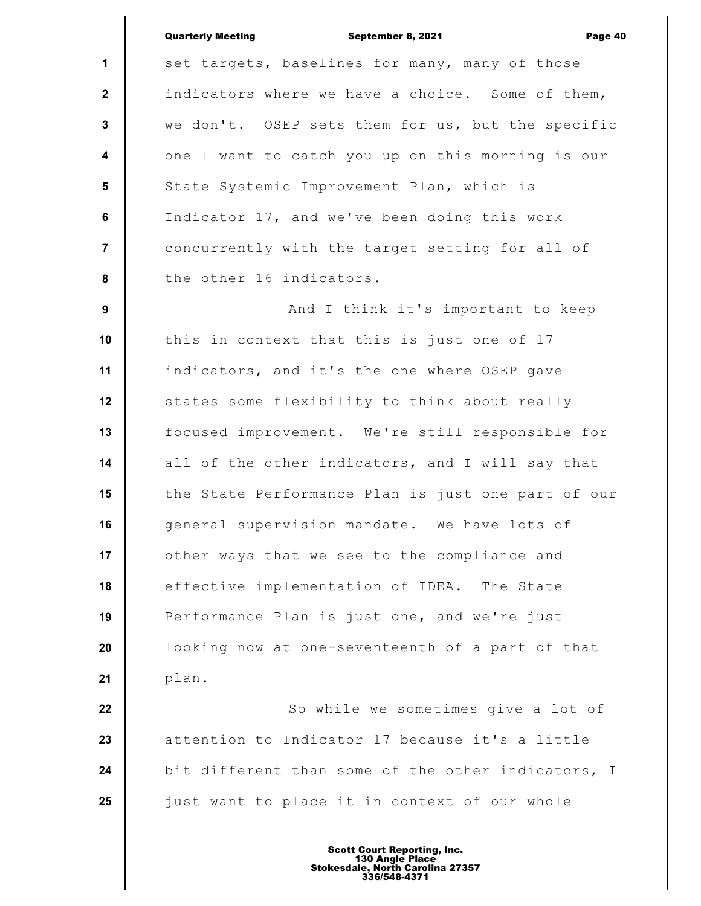|                  | <b>Quarterly Meeting</b><br>September 8, 2021<br>Page 40 |
|------------------|----------------------------------------------------------|
| $\mathbf{1}$     | set targets, baselines for many, many of those           |
| $\mathbf{2}$     | indicators where we have a choice. Some of them,         |
| $\mathbf{3}$     | we don't. OSEP sets them for us, but the specific        |
| $\boldsymbol{4}$ | one I want to catch you up on this morning is our        |
| 5                | State Systemic Improvement Plan, which is                |
| 6                | Indicator 17, and we've been doing this work             |
| $\overline{7}$   | concurrently with the target setting for all of          |
| 8                | the other 16 indicators.                                 |
| 9                | And I think it's important to keep                       |
| 10               | this in context that this is just one of 17              |
| 11               | indicators, and it's the one where OSEP gave             |
| 12               | states some flexibility to think about really            |
| 13               | focused improvement. We're still responsible for         |
| 14               | all of the other indicators, and I will say that         |
| 15               | the State Performance Plan is just one part of our       |
| 16               | general supervision mandate. We have lots of             |
| 17               | other ways that we see to the compliance and             |
| 18               | effective implementation of IDEA. The State              |
| 19               | Performance Plan is just one, and we're just             |
| 20               | looking now at one-seventeenth of a part of that         |
| 21               | plan.                                                    |
| 22               | So while we sometimes give a lot of                      |
| 23               | attention to Indicator 17 because it's a little          |
| 24               | bit different than some of the other indicators, I       |
| 25               | just want to place it in context of our whole            |
|                  |                                                          |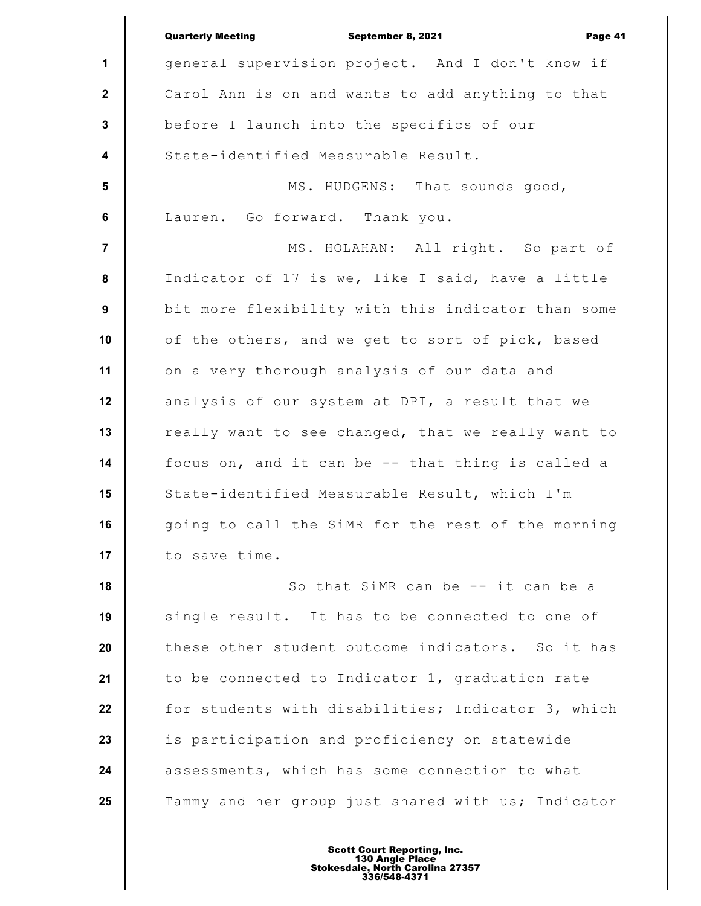**1 2 3 4 5 6 7 8 9 10 11 12 13 14 15 16 17 18 19 20 21 22 23 24 25** Quarterly Meeting September 8, 2021 Page 41 general supervision project. And I don't know if Carol Ann is on and wants to add anything to that before I launch into the specifics of our State-identified Measurable Result. MS. HUDGENS: That sounds good, Lauren. Go forward. Thank you. MS. HOLAHAN: All right. So part of Indicator of 17 is we, like I said, have a little bit more flexibility with this indicator than some of the others, and we get to sort of pick, based on a very thorough analysis of our data and analysis of our system at DPI, a result that we really want to see changed, that we really want to focus on, and it can be -- that thing is called a State-identified Measurable Result, which I'm going to call the SiMR for the rest of the morning to save time. So that SiMR can be -- it can be a single result. It has to be connected to one of these other student outcome indicators. So it has to be connected to Indicator 1, graduation rate for students with disabilities; Indicator 3, which is participation and proficiency on statewide assessments, which has some connection to what Tammy and her group just shared with us; Indicator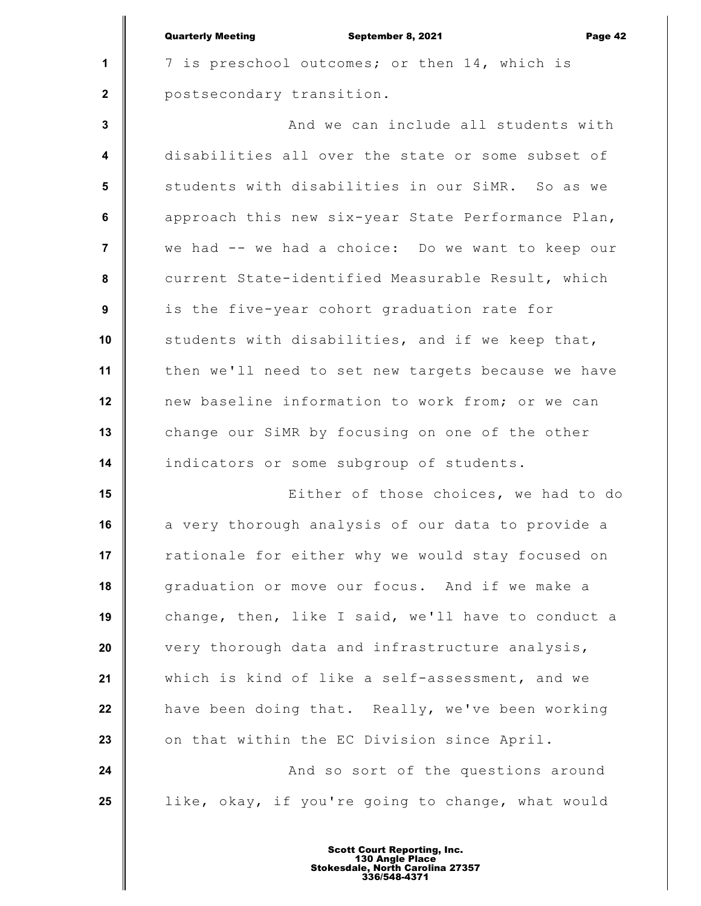| <b>Quarterly Meeting</b> |  |
|--------------------------|--|
|                          |  |

**1**

 **2**

September 8, 2021 Page 42

7 is preschool outcomes; or then 14, which is postsecondary transition.

 **3 4 5 6 7 8 9 10 11 12 13 14** And we can include all students with disabilities all over the state or some subset of students with disabilities in our SiMR. So as we approach this new six-year State Performance Plan, we had -- we had a choice: Do we want to keep our current State-identified Measurable Result, which is the five-year cohort graduation rate for students with disabilities, and if we keep that, then we'll need to set new targets because we have new baseline information to work from; or we can change our SiMR by focusing on one of the other indicators or some subgroup of students.

**15 16 17 18 19 20 21 22 23 24** Either of those choices, we had to do a very thorough analysis of our data to provide a rationale for either why we would stay focused on graduation or move our focus. And if we make a change, then, like I said, we'll have to conduct a very thorough data and infrastructure analysis, which is kind of like a self-assessment, and we have been doing that. Really, we've been working on that within the EC Division since April. And so sort of the questions around

**25**

Scott Court Reporting, Inc. 130 Angle Place Stokesdale, North Carolina 27357 336/548-4371

like, okay, if you're going to change, what would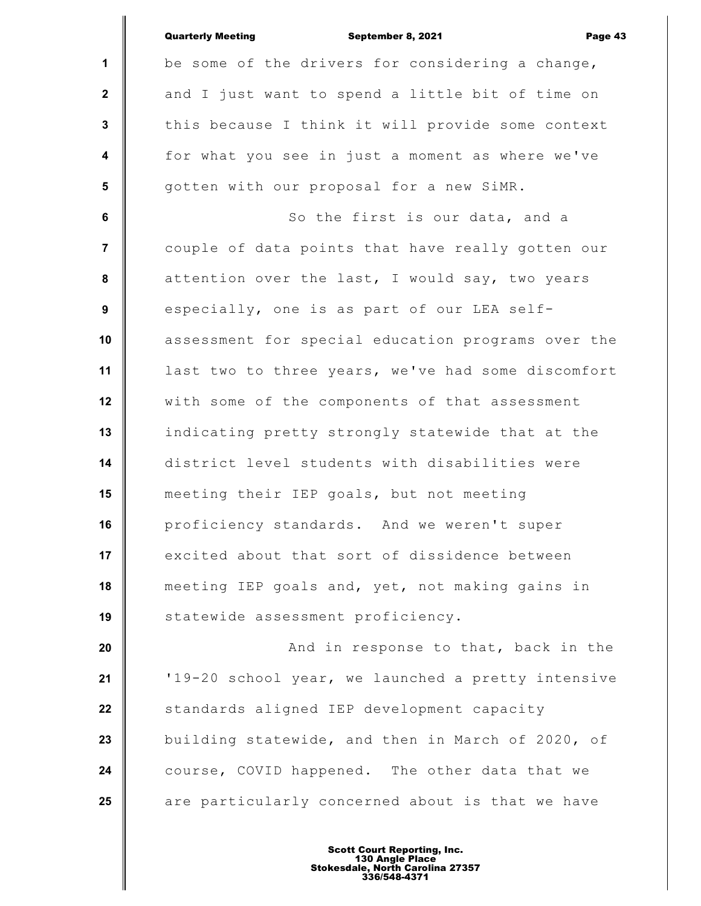|                         | <b>Quarterly Meeting</b><br>September 8, 2021<br>Page 43 |
|-------------------------|----------------------------------------------------------|
| $\mathbf{1}$            | be some of the drivers for considering a change,         |
| $\mathbf{2}$            | and I just want to spend a little bit of time on         |
| 3                       | this because I think it will provide some context        |
| $\overline{\mathbf{4}}$ | for what you see in just a moment as where we've         |
| 5                       | gotten with our proposal for a new SiMR.                 |
| 6                       | So the first is our data, and a                          |
| $\overline{7}$          | couple of data points that have really gotten our        |
| 8                       | attention over the last, I would say, two years          |
| 9                       | especially, one is as part of our LEA self-              |
| 10                      | assessment for special education programs over the       |
| 11                      | last two to three years, we've had some discomfort       |
| 12                      | with some of the components of that assessment           |
| 13                      | indicating pretty strongly statewide that at the         |
| 14                      | district level students with disabilities were           |
| 15                      | meeting their IEP goals, but not meeting                 |
| 16                      | proficiency standards. And we weren't super              |
| 17                      | excited about that sort of dissidence between            |
| 18                      | meeting IEP goals and, yet, not making gains in          |
| 19                      | statewide assessment proficiency.                        |
| 20                      | And in response to that, back in the                     |
| 21                      | '19-20 school year, we launched a pretty intensive       |
| 22                      | standards aligned IEP development capacity               |
| 23                      | building statewide, and then in March of 2020, of        |
| 24                      | course, COVID happened. The other data that we           |
| 25                      | are particularly concerned about is that we have         |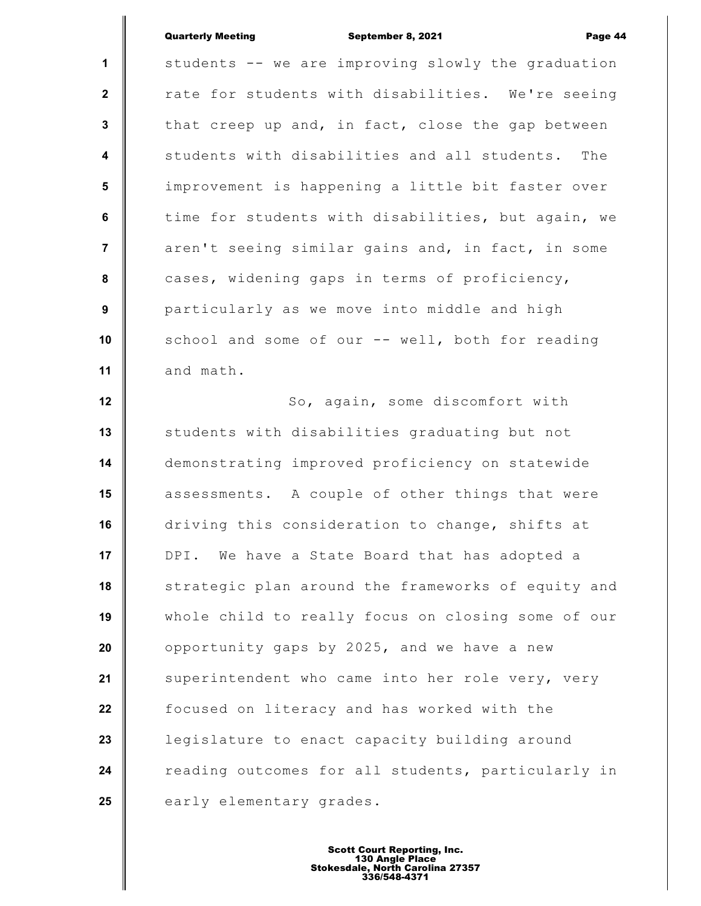## Quarterly Meeting September 8, 2021 Page 44

**1 2 3 4 5 6 7 8 9 10 11 12 13 14 15 16 17 18 19 20 21 22 23 24 25** students -- we are improving slowly the graduation rate for students with disabilities. We're seeing that creep up and, in fact, close the gap between students with disabilities and all students. The improvement is happening a little bit faster over time for students with disabilities, but again, we aren't seeing similar gains and, in fact, in some cases, widening gaps in terms of proficiency, particularly as we move into middle and high school and some of our -- well, both for reading and math. So, again, some discomfort with students with disabilities graduating but not demonstrating improved proficiency on statewide assessments. A couple of other things that were driving this consideration to change, shifts at DPI. We have a State Board that has adopted a strategic plan around the frameworks of equity and whole child to really focus on closing some of our opportunity gaps by 2025, and we have a new superintendent who came into her role very, very focused on literacy and has worked with the legislature to enact capacity building around reading outcomes for all students, particularly in early elementary grades.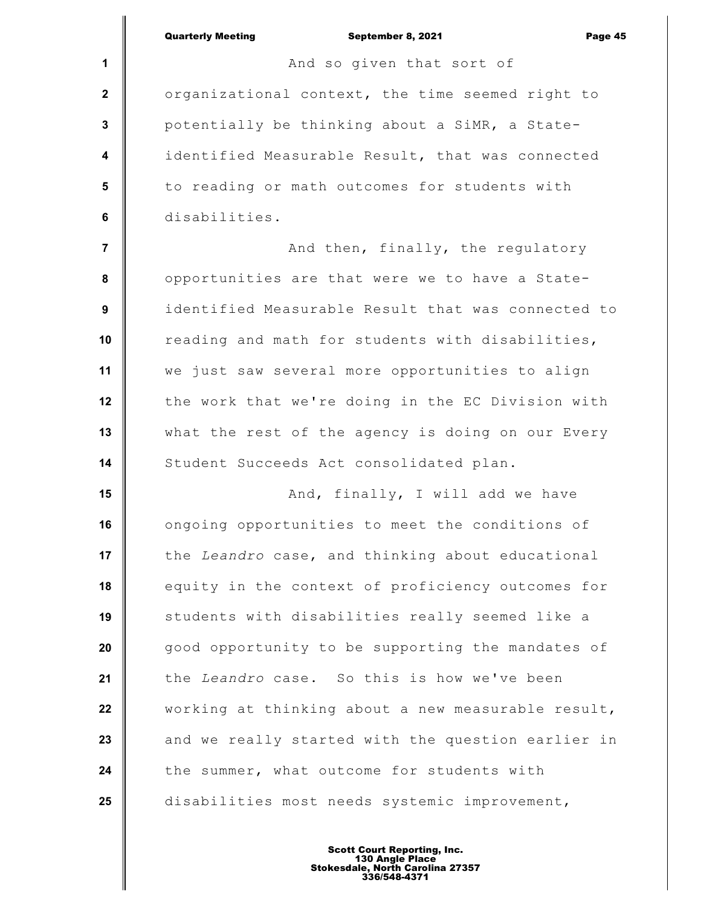**1 2 3 4 5 6 7 8 9 10 11 12 13 14 15 16 17 18 19 20 21 22 23 24 25** Quarterly Meeting September 8, 2021 Page 45 And so given that sort of organizational context, the time seemed right to potentially be thinking about a SiMR, a Stateidentified Measurable Result, that was connected to reading or math outcomes for students with disabilities. And then, finally, the regulatory opportunities are that were we to have a Stateidentified Measurable Result that was connected to reading and math for students with disabilities, we just saw several more opportunities to align the work that we're doing in the EC Division with what the rest of the agency is doing on our Every Student Succeeds Act consolidated plan. And, finally, I will add we have ongoing opportunities to meet the conditions of the *Leandro* case, and thinking about educational equity in the context of proficiency outcomes for students with disabilities really seemed like a good opportunity to be supporting the mandates of the *Leandro* case. So this is how we've been working at thinking about a new measurable result, and we really started with the question earlier in the summer, what outcome for students with disabilities most needs systemic improvement,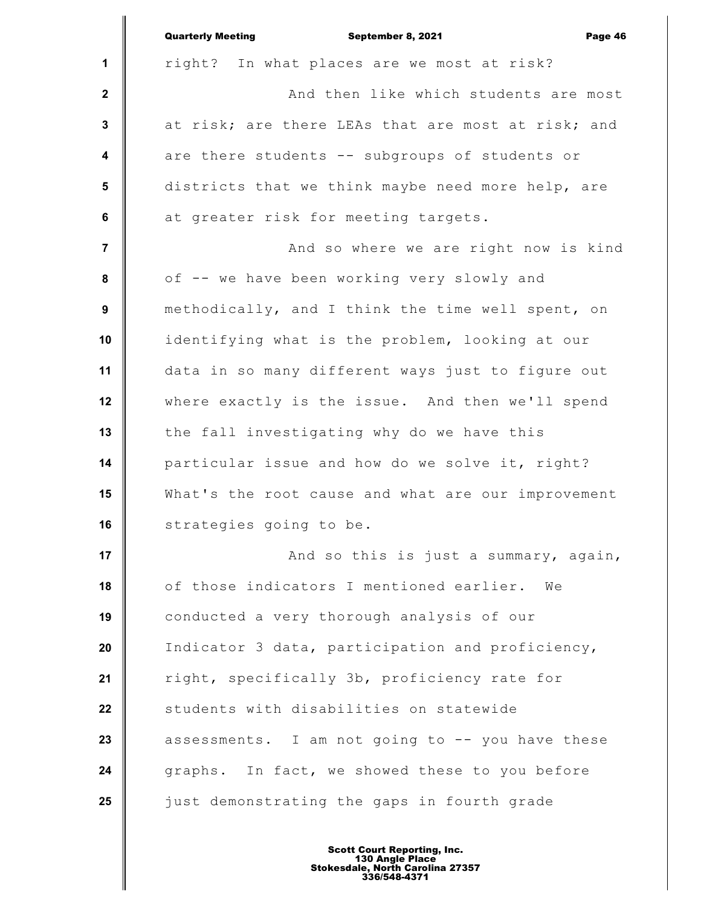|                 | <b>Quarterly Meeting</b><br>September 8, 2021<br>Page 46 |
|-----------------|----------------------------------------------------------|
| 1               | right? In what places are we most at risk?               |
| $\mathbf{2}$    | And then like which students are most                    |
| $\mathbf 3$     | at risk; are there LEAs that are most at risk; and       |
| 4               | are there students -- subgroups of students or           |
| $5\phantom{.0}$ | districts that we think maybe need more help, are        |
| $\bf 6$         | at greater risk for meeting targets.                     |
| $\overline{7}$  | And so where we are right now is kind                    |
| 8               | of -- we have been working very slowly and               |
| 9               | methodically, and I think the time well spent, on        |
| 10              | identifying what is the problem, looking at our          |
| 11              | data in so many different ways just to figure out        |
| 12              | where exactly is the issue. And then we'll spend         |
| 13              | the fall investigating why do we have this               |
| 14              | particular issue and how do we solve it, right?          |
| 15              | What's the root cause and what are our improvement       |
| 16              | strategies going to be.                                  |
| 17              | And so this is just a summary, again,                    |
| 18              | of those indicators I mentioned earlier. We              |
| 19              | conducted a very thorough analysis of our                |
| 20              | Indicator 3 data, participation and proficiency,         |
| 21              | right, specifically 3b, proficiency rate for             |
| 22              | students with disabilities on statewide                  |
| 23              | assessments. I am not going to -- you have these         |
| 24              | graphs. In fact, we showed these to you before           |
| 25              | just demonstrating the gaps in fourth grade              |
|                 |                                                          |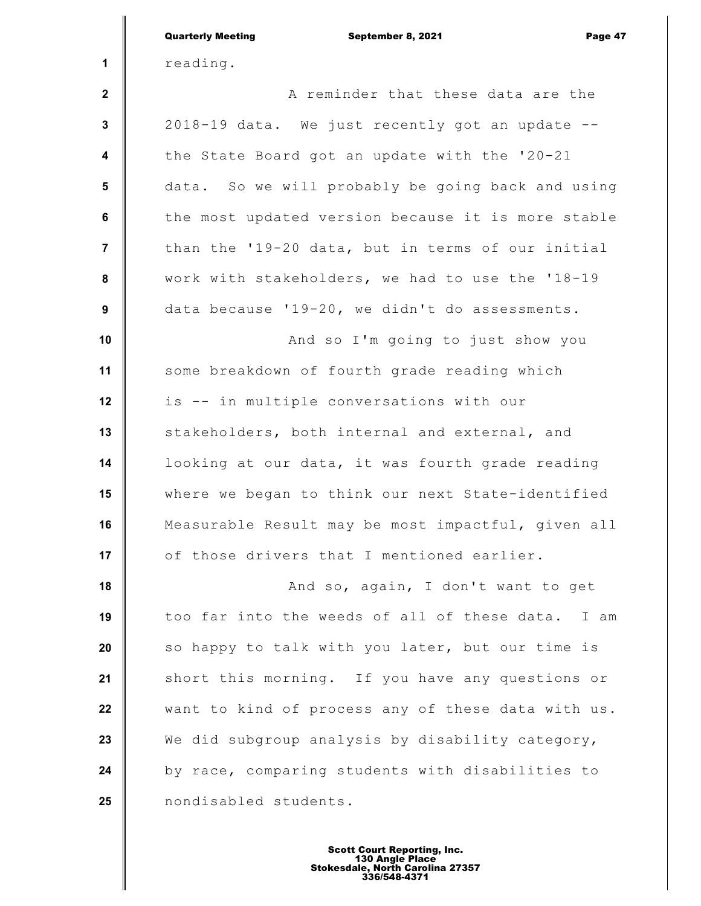|                  | <b>Quarterly Meeting</b><br>September 8, 2021<br>Page 47 |
|------------------|----------------------------------------------------------|
| 1                | reading.                                                 |
| $\mathbf{2}$     | A reminder that these data are the                       |
| $\mathbf 3$      | 2018-19 data. We just recently got an update --          |
| 4                | the State Board got an update with the '20-21            |
| 5                | data. So we will probably be going back and using        |
| 6                | the most updated version because it is more stable       |
| $\overline{7}$   | than the '19-20 data, but in terms of our initial        |
| ${\bf 8}$        | work with stakeholders, we had to use the '18-19         |
| $\boldsymbol{9}$ | data because '19-20, we didn't do assessments.           |
| 10               | And so I'm going to just show you                        |
| 11               | some breakdown of fourth grade reading which             |
| 12               | is -- in multiple conversations with our                 |
| 13               | stakeholders, both internal and external, and            |
| 14               | looking at our data, it was fourth grade reading         |
| 15               | where we began to think our next State-identified        |
| 16               | Measurable Result may be most impactful, given all       |
| 17               | of those drivers that I mentioned earlier.               |
| 18               | And so, again, I don't want to get                       |
| 19               | too far into the weeds of all of these data.<br>I am     |
| 20               | so happy to talk with you later, but our time is         |
| 21               | short this morning. If you have any questions or         |
| 22               | want to kind of process any of these data with us.       |
| 23               | We did subgroup analysis by disability category,         |
| 24               | by race, comparing students with disabilities to         |
| 25               | nondisabled students.                                    |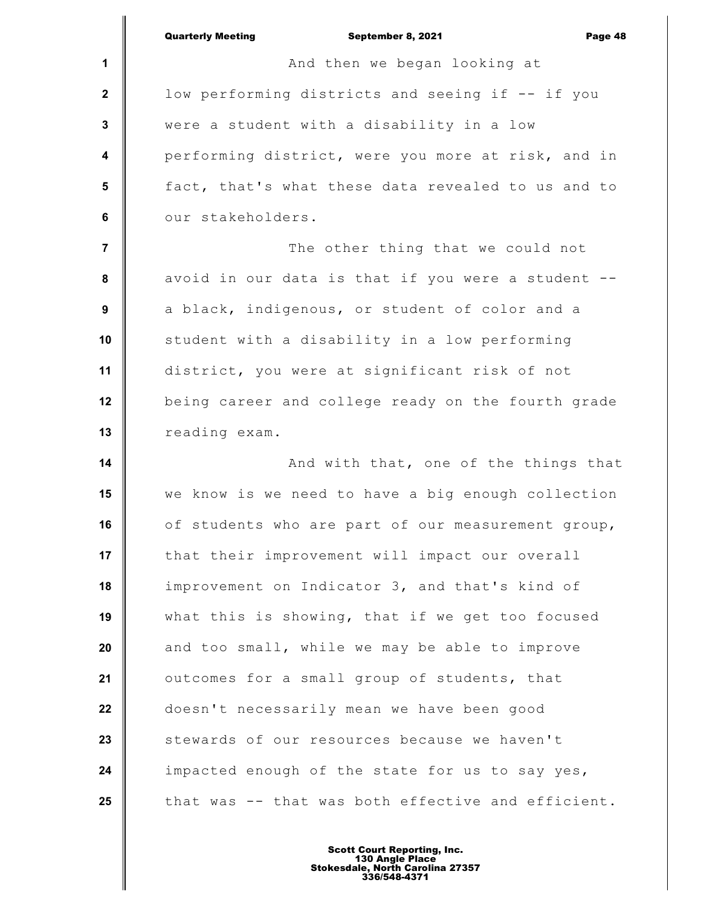**1 2 3 4 5 6 7 8 9 10 11 12 13 14 15 16 17 18 19 20 21 22 23 24 25** Quarterly Meeting September 8, 2021 Page 48 And then we began looking at low performing districts and seeing if -- if you were a student with a disability in a low performing district, were you more at risk, and in fact, that's what these data revealed to us and to our stakeholders. The other thing that we could not avoid in our data is that if you were a student - a black, indigenous, or student of color and a student with a disability in a low performing district, you were at significant risk of not being career and college ready on the fourth grade reading exam. And with that, one of the things that we know is we need to have a big enough collection of students who are part of our measurement group, that their improvement will impact our overall improvement on Indicator 3, and that's kind of what this is showing, that if we get too focused and too small, while we may be able to improve outcomes for a small group of students, that doesn't necessarily mean we have been good stewards of our resources because we haven't impacted enough of the state for us to say yes, that was -- that was both effective and efficient.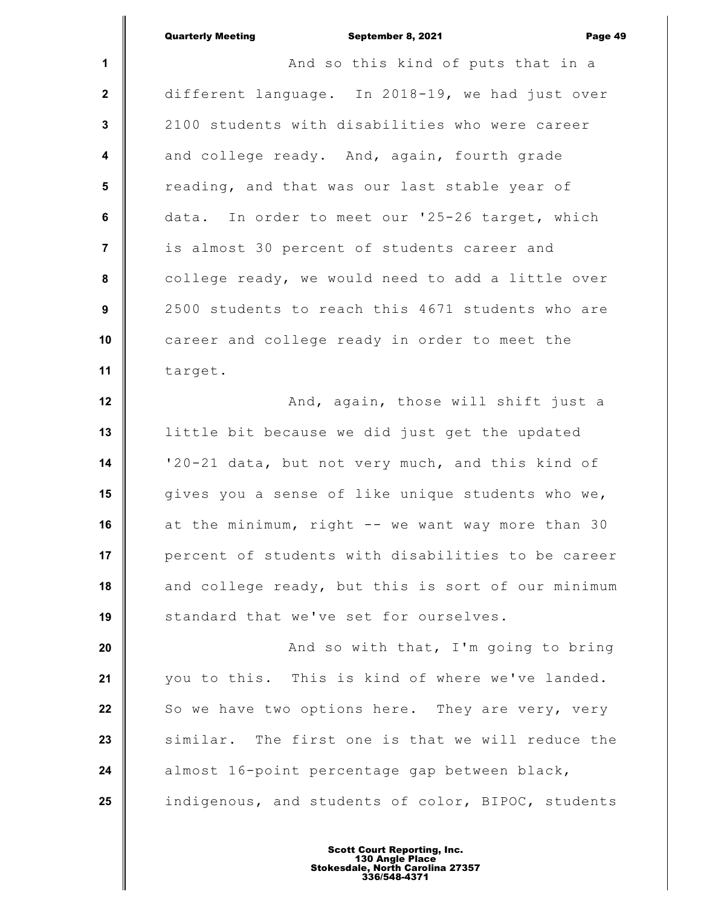|                         | <b>Quarterly Meeting</b><br>September 8, 2021<br>Page 49 |
|-------------------------|----------------------------------------------------------|
| $\mathbf{1}$            | And so this kind of puts that in a                       |
| $\mathbf{2}$            | different language. In 2018-19, we had just over         |
| 3                       | 2100 students with disabilities who were career          |
| $\overline{\mathbf{4}}$ | and college ready. And, again, fourth grade              |
| 5                       | reading, and that was our last stable year of            |
| 6                       | data. In order to meet our '25-26 target, which          |
| $\overline{7}$          | is almost 30 percent of students career and              |
| 8                       | college ready, we would need to add a little over        |
| 9                       | 2500 students to reach this 4671 students who are        |
| 10                      | career and college ready in order to meet the            |
| 11                      | target.                                                  |
| 12                      | And, again, those will shift just a                      |
| 13                      | little bit because we did just get the updated           |
| 14                      | '20-21 data, but not very much, and this kind of         |
| 15                      | gives you a sense of like unique students who we,        |
| 16                      | at the minimum, right -- we want way more than 30        |
| 17                      | percent of students with disabilities to be career       |
| 18                      | and college ready, but this is sort of our minimum       |
| 19                      | standard that we've set for ourselves.                   |
| 20                      | And so with that, I'm going to bring                     |
| 21                      | you to this. This is kind of where we've landed.         |
| 22                      | So we have two options here. They are very, very         |
| 23                      | similar. The first one is that we will reduce the        |
| 24                      | almost 16-point percentage gap between black,            |
| 25                      | indigenous, and students of color, BIPOC, students       |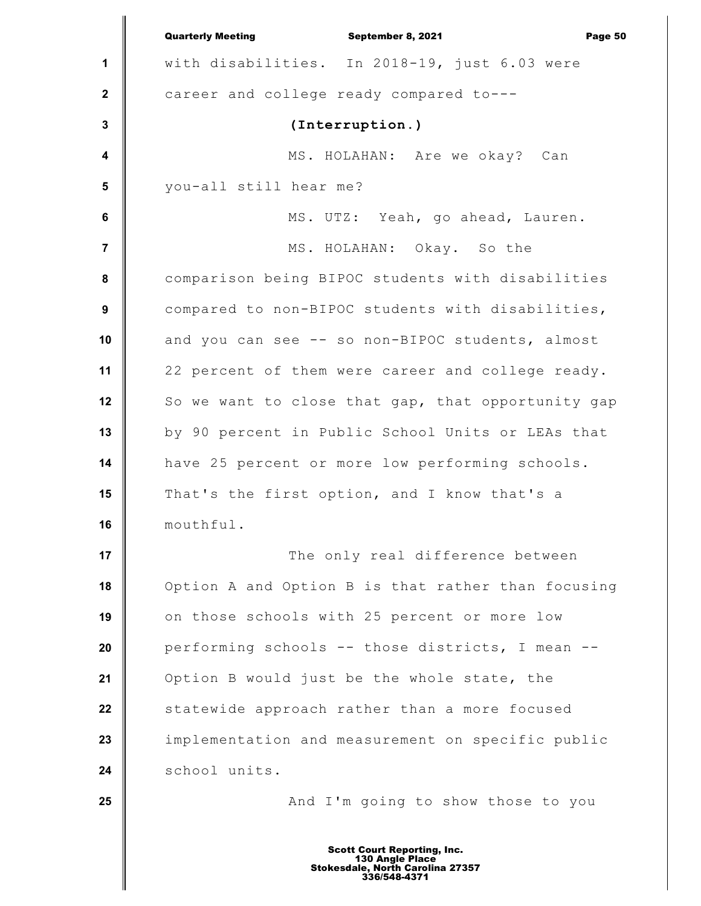|                         | <b>Quarterly Meeting</b><br>September 8, 2021<br>Page 50 |
|-------------------------|----------------------------------------------------------|
| 1                       | with disabilities. In 2018-19, just 6.03 were            |
| $\mathbf{2}$            | career and college ready compared to---                  |
| 3                       | (Interruption.)                                          |
| $\overline{\mathbf{4}}$ | MS. HOLAHAN: Are we okay? Can                            |
| 5                       | you-all still hear me?                                   |
| $\bf 6$                 | MS. UTZ: Yeah, go ahead, Lauren.                         |
| $\overline{7}$          | MS. HOLAHAN: Okay. So the                                |
| 8                       | comparison being BIPOC students with disabilities        |
| $\boldsymbol{9}$        | compared to non-BIPOC students with disabilities,        |
| 10                      | and you can see -- so non-BIPOC students, almost         |
| 11                      | 22 percent of them were career and college ready.        |
| 12                      | So we want to close that gap, that opportunity gap       |
| 13                      | by 90 percent in Public School Units or LEAs that        |
| 14                      | have 25 percent or more low performing schools.          |
| 15                      | That's the first option, and I know that's a             |
| 16                      | mouthful.                                                |
| 17                      | The only real difference between                         |
| 18                      | Option A and Option B is that rather than focusing       |
| 19                      | on those schools with 25 percent or more low             |
| 20                      | performing schools -- those districts, I mean --         |
| 21                      | Option B would just be the whole state, the              |
| 22                      | statewide approach rather than a more focused            |
| 23                      | implementation and measurement on specific public        |
| 24                      | school units.                                            |
| 25                      | And I'm going to show those to you                       |
|                         |                                                          |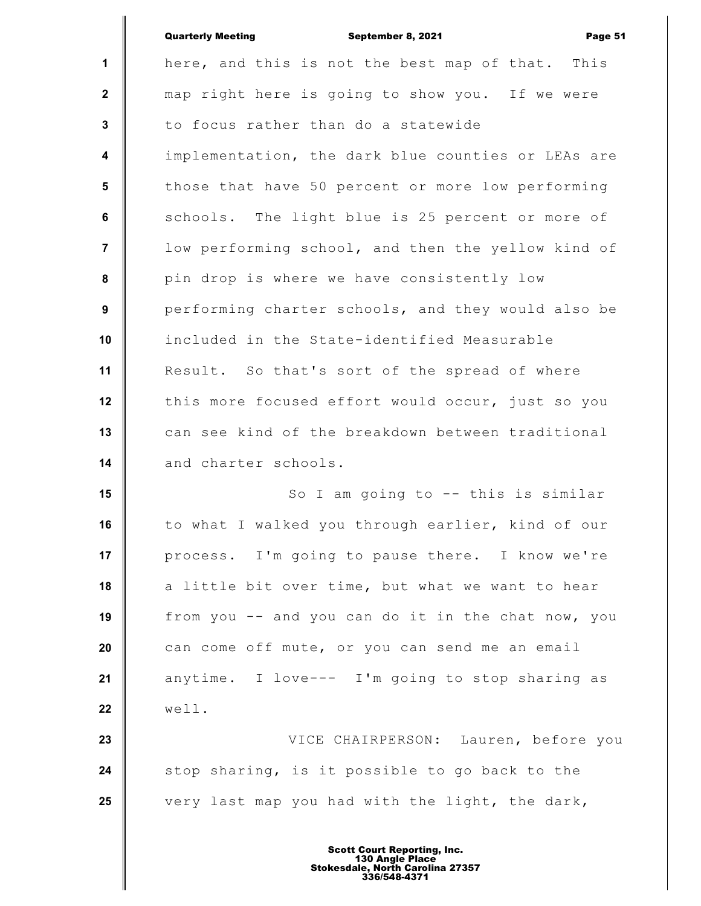|                  | <b>Quarterly Meeting</b><br>September 8, 2021<br>Page 51 |
|------------------|----------------------------------------------------------|
| $\mathbf{1}$     | here, and this is not the best map of that. This         |
| $\mathbf{2}$     | map right here is going to show you. If we were          |
| $\mathbf{3}$     | to focus rather than do a statewide                      |
| $\boldsymbol{4}$ | implementation, the dark blue counties or LEAs are       |
| $5\phantom{.0}$  | those that have 50 percent or more low performing        |
| 6                | schools. The light blue is 25 percent or more of         |
| $\overline{7}$   | low performing school, and then the yellow kind of       |
| 8                | pin drop is where we have consistently low               |
| 9                | performing charter schools, and they would also be       |
| 10               | included in the State-identified Measurable              |
| 11               | Result. So that's sort of the spread of where            |
| 12               | this more focused effort would occur, just so you        |
| 13               | can see kind of the breakdown between traditional        |
| 14               | and charter schools.                                     |
| 15               | So I am going to -- this is similar                      |
| 16               | to what I walked you through earlier, kind of our        |
| 17               | process. I'm going to pause there. I know we're          |
| 18               | a little bit over time, but what we want to hear         |
| 19               | from you -- and you can do it in the chat now, you       |
| 20               | can come off mute, or you can send me an email           |
| 21               | anytime. I love--- I'm going to stop sharing as          |
| 22               | well.                                                    |
| 23               | VICE CHAIRPERSON: Lauren, before you                     |
| 24               | stop sharing, is it possible to go back to the           |
| 25               | very last map you had with the light, the dark,          |
|                  |                                                          |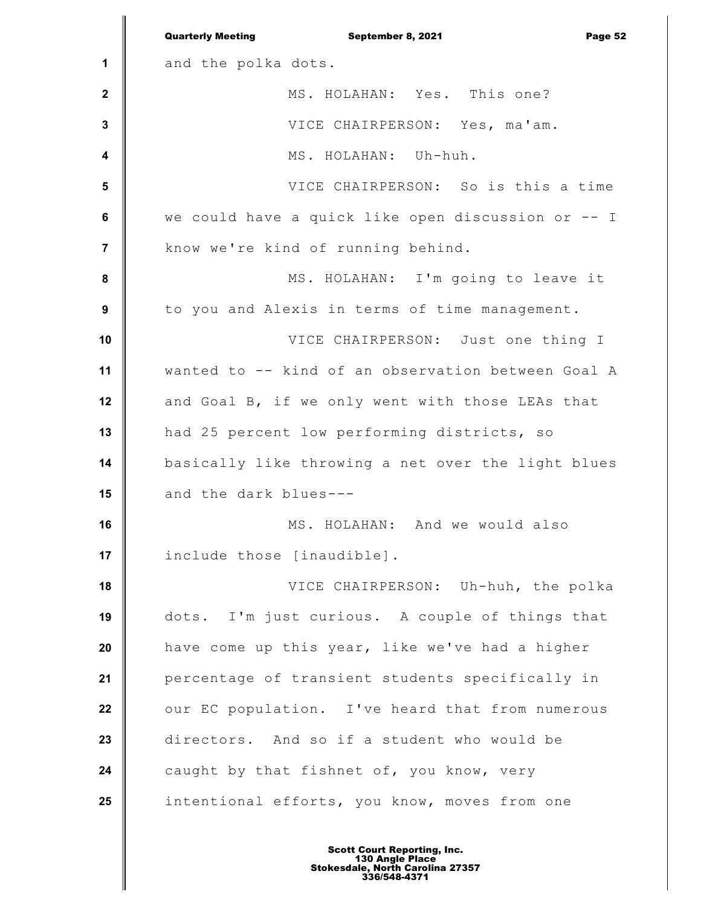|                         | <b>Quarterly Meeting</b><br>September 8, 2021<br>Page 52 |
|-------------------------|----------------------------------------------------------|
| 1                       | and the polka dots.                                      |
| $\mathbf{2}$            | MS. HOLAHAN: Yes. This one?                              |
| $\mathbf{3}$            | VICE CHAIRPERSON: Yes, ma'am.                            |
| $\overline{\mathbf{4}}$ | MS. HOLAHAN: Uh-huh.                                     |
| $5\phantom{1}$          | VICE CHAIRPERSON: So is this a time                      |
| $\bf 6$                 | we could have a quick like open discussion or -- I       |
| $\overline{7}$          | know we're kind of running behind.                       |
| 8                       | MS. HOLAHAN: I'm going to leave it                       |
| $\boldsymbol{9}$        | to you and Alexis in terms of time management.           |
| 10                      | VICE CHAIRPERSON: Just one thing I                       |
| 11                      | wanted to -- kind of an observation between Goal A       |
| 12                      | and Goal B, if we only went with those LEAs that         |
| 13                      | had 25 percent low performing districts, so              |
| 14                      | basically like throwing a net over the light blues       |
| 15                      | and the dark blues---                                    |
| 16                      | MS. HOLAHAN: And we would also                           |
| 17                      | include those [inaudible].                               |
| 18                      | VICE CHAIRPERSON: Uh-huh, the polka                      |
| 19                      | dots. I'm just curious. A couple of things that          |
| 20                      | have come up this year, like we've had a higher          |
| 21                      | percentage of transient students specifically in         |
| 22                      | our EC population. I've heard that from numerous         |
| 23                      | directors. And so if a student who would be              |
| 24                      | caught by that fishnet of, you know, very                |
| 25                      | intentional efforts, you know, moves from one            |
|                         |                                                          |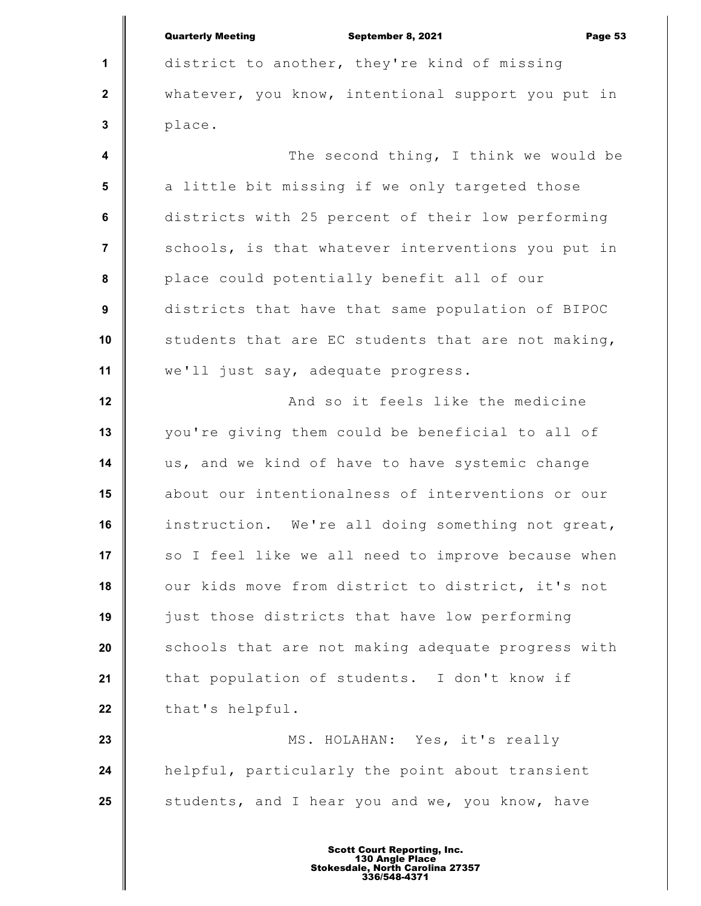**1 2 3 4 5 6 7 8 9 10 11 12 13 14 15 16 17 18 19 20 21 22 23 24 25** Quarterly Meeting **September 8, 2021 Page 53** district to another, they're kind of missing whatever, you know, intentional support you put in place. The second thing, I think we would be a little bit missing if we only targeted those districts with 25 percent of their low performing schools, is that whatever interventions you put in place could potentially benefit all of our districts that have that same population of BIPOC students that are EC students that are not making, we'll just say, adequate progress. And so it feels like the medicine you're giving them could be beneficial to all of us, and we kind of have to have systemic change about our intentionalness of interventions or our instruction. We're all doing something not great, so I feel like we all need to improve because when our kids move from district to district, it's not just those districts that have low performing schools that are not making adequate progress with that population of students. I don't know if that's helpful. MS. HOLAHAN: Yes, it's really helpful, particularly the point about transient students, and I hear you and we, you know, have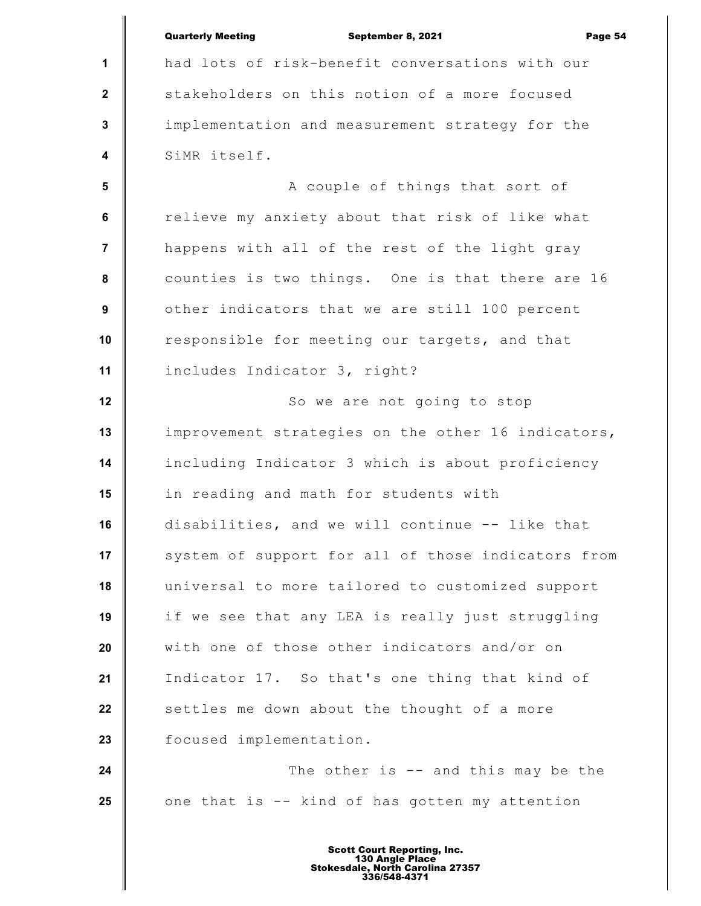|                         | <b>Quarterly Meeting</b><br>September 8, 2021<br>Page 54 |
|-------------------------|----------------------------------------------------------|
| $\mathbf{1}$            | had lots of risk-benefit conversations with our          |
| $\mathbf{2}$            | stakeholders on this notion of a more focused            |
| $\mathbf{3}$            | implementation and measurement strategy for the          |
| $\overline{\mathbf{4}}$ | SiMR itself.                                             |
| $5\phantom{1}$          | A couple of things that sort of                          |
| 6                       | relieve my anxiety about that risk of like what          |
| $\overline{7}$          | happens with all of the rest of the light gray           |
| $\pmb{8}$               | counties is two things. One is that there are 16         |
| $\boldsymbol{9}$        | other indicators that we are still 100 percent           |
| 10                      | responsible for meeting our targets, and that            |
| 11                      | includes Indicator 3, right?                             |
| 12                      | So we are not going to stop                              |
| 13                      | improvement strategies on the other 16 indicators,       |
| 14                      | including Indicator 3 which is about proficiency         |
| 15                      | in reading and math for students with                    |
| 16                      | disabilities, and we will continue -- like that          |
| 17                      | system of support for all of those indicators from       |
| 18                      | universal to more tailored to customized support         |
| 19                      | if we see that any LEA is really just struggling         |
| 20                      | with one of those other indicators and/or on             |
| 21                      | Indicator 17. So that's one thing that kind of           |
| 22                      | settles me down about the thought of a more              |
| 23                      | focused implementation.                                  |
| 24                      | The other is $-$ and this may be the                     |
| 25                      | one that is -- kind of has gotten my attention           |
|                         |                                                          |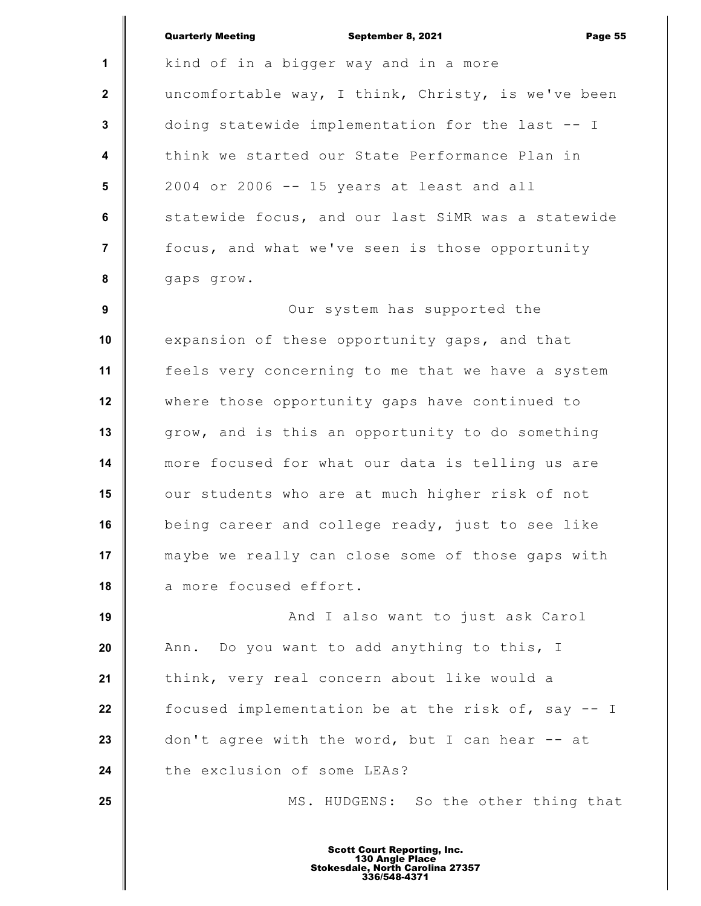**1 2 3 4 5 6 7 8 9 10 11 12 13 14 15 16 17 18 19 20 21 22 23 24 25** Quarterly Meeting September 8, 2021 Page 55 kind of in a bigger way and in a more uncomfortable way, I think, Christy, is we've been doing statewide implementation for the last -- I think we started our State Performance Plan in 2004 or 2006 -- 15 years at least and all statewide focus, and our last SiMR was a statewide focus, and what we've seen is those opportunity gaps grow. Our system has supported the expansion of these opportunity gaps, and that feels very concerning to me that we have a system where those opportunity gaps have continued to grow, and is this an opportunity to do something more focused for what our data is telling us are our students who are at much higher risk of not being career and college ready, just to see like maybe we really can close some of those gaps with a more focused effort. And I also want to just ask Carol Ann. Do you want to add anything to this, I think, very real concern about like would a focused implementation be at the risk of, say -- I don't agree with the word, but I can hear -- at the exclusion of some LEAs? MS. HUDGENS: So the other thing that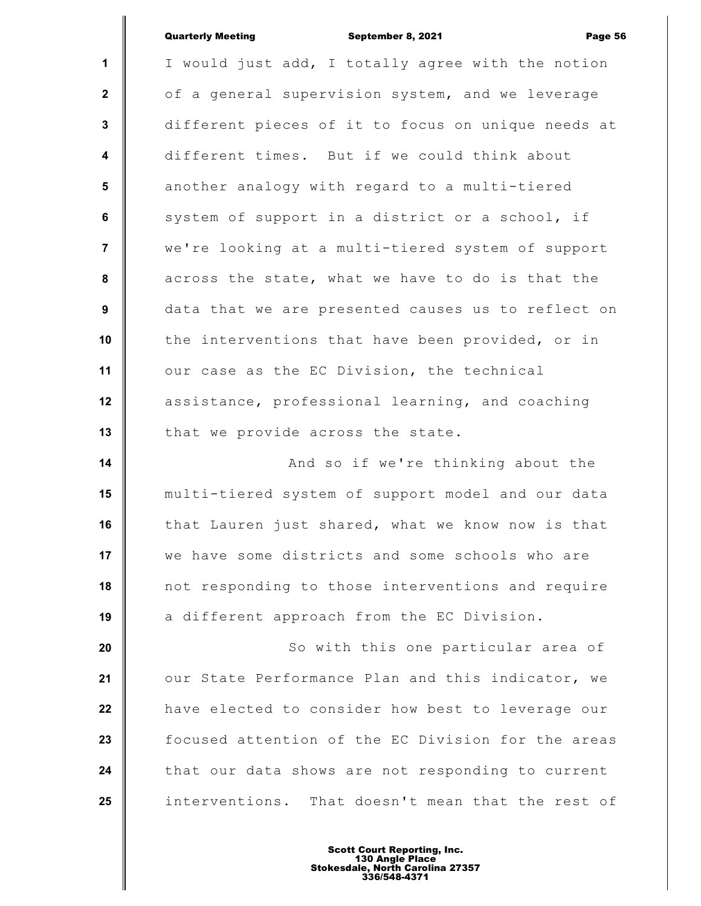|                         | <b>Quarterly Meeting</b><br>September 8, 2021<br>Page 56 |
|-------------------------|----------------------------------------------------------|
| $\mathbf{1}$            | I would just add, I totally agree with the notion        |
| $\mathbf{2}$            | of a general supervision system, and we leverage         |
| $\mathbf{3}$            | different pieces of it to focus on unique needs at       |
| $\overline{\mathbf{4}}$ | different times. But if we could think about             |
| 5                       | another analogy with regard to a multi-tiered            |
| 6                       | system of support in a district or a school, if          |
| $\overline{7}$          | we're looking at a multi-tiered system of support        |
| 8                       | across the state, what we have to do is that the         |
| 9                       | data that we are presented causes us to reflect on       |
| 10                      | the interventions that have been provided, or in         |
| 11                      | our case as the EC Division, the technical               |
| 12                      | assistance, professional learning, and coaching          |
| 13                      | that we provide across the state.                        |
| 14                      | And so if we're thinking about the                       |
| 15                      | multi-tiered system of support model and our data        |
| 16                      | that Lauren just shared, what we know now is that        |
| 17                      | we have some districts and some schools who are          |
| 18                      | not responding to those interventions and require        |
| 19                      | a different approach from the EC Division.               |
| 20                      | So with this one particular area of                      |
| 21                      | our State Performance Plan and this indicator, we        |
| 22                      | have elected to consider how best to leverage our        |
| 23                      | focused attention of the EC Division for the areas       |
| 24                      | that our data shows are not responding to current        |
| 25                      | interventions. That doesn't mean that the rest of        |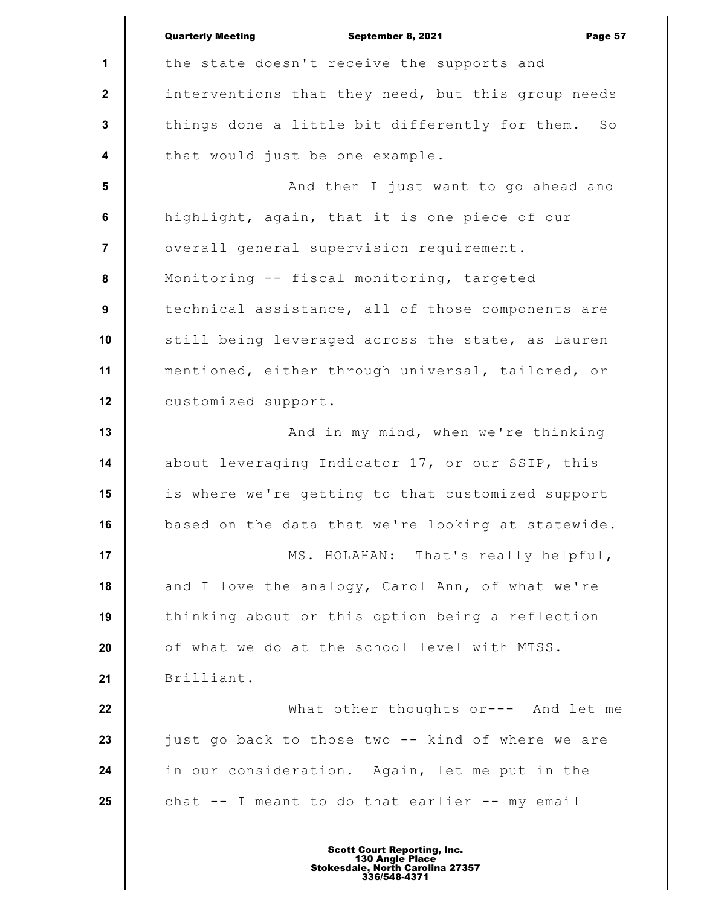**1 2 3 4 5 6 7 8 9 10 11 12 13 14 15 16 17 18 19 20 21 22 23 24 25** Quarterly Meeting **September 8, 2021 Page 57** the state doesn't receive the supports and interventions that they need, but this group needs things done a little bit differently for them. So that would just be one example. And then I just want to go ahead and highlight, again, that it is one piece of our overall general supervision requirement. Monitoring -- fiscal monitoring, targeted technical assistance, all of those components are still being leveraged across the state, as Lauren mentioned, either through universal, tailored, or customized support. And in my mind, when we're thinking about leveraging Indicator 17, or our SSIP, this is where we're getting to that customized support based on the data that we're looking at statewide. MS. HOLAHAN: That's really helpful, and I love the analogy, Carol Ann, of what we're thinking about or this option being a reflection of what we do at the school level with MTSS. Brilliant. What other thoughts or--- And let me just go back to those two -- kind of where we are in our consideration. Again, let me put in the chat -- I meant to do that earlier -- my email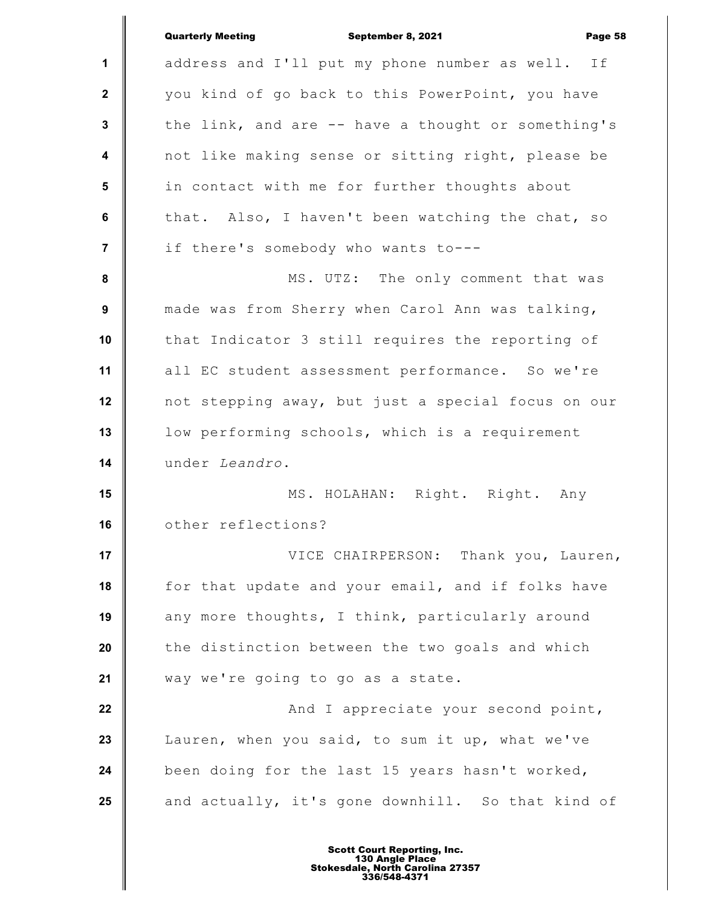|                         | <b>Quarterly Meeting</b><br>Page 58<br>September 8, 2021 |
|-------------------------|----------------------------------------------------------|
| $\mathbf 1$             | address and I'll put my phone number as well. If         |
| $\mathbf{2}$            | you kind of go back to this PowerPoint, you have         |
| $\mathbf{3}$            | the link, and are -- have a thought or something's       |
| $\overline{\mathbf{4}}$ | not like making sense or sitting right, please be        |
| 5                       | in contact with me for further thoughts about            |
| $\bf 6$                 | that. Also, I haven't been watching the chat, so         |
| 7                       | if there's somebody who wants to---                      |
| $\pmb{8}$               | MS. UTZ: The only comment that was                       |
| 9                       | made was from Sherry when Carol Ann was talking,         |
| 10                      | that Indicator 3 still requires the reporting of         |
| 11                      | all EC student assessment performance. So we're          |
| 12                      | not stepping away, but just a special focus on our       |
| 13                      | low performing schools, which is a requirement           |
| 14                      | under Leandro.                                           |
| 15                      | MS. HOLAHAN: Right. Right. Any                           |
| 16                      | other reflections?                                       |
| 17                      | VICE CHAIRPERSON: Thank you, Lauren,                     |
| 18                      | for that update and your email, and if folks have        |
| 19                      | any more thoughts, I think, particularly around          |
| 20                      | the distinction between the two goals and which          |
| 21                      | way we're going to go as a state.                        |
| 22                      | And I appreciate your second point,                      |
| 23                      | Lauren, when you said, to sum it up, what we've          |
| 24                      | been doing for the last 15 years hasn't worked,          |
| 25                      | and actually, it's gone downhill. So that kind of        |
|                         |                                                          |

I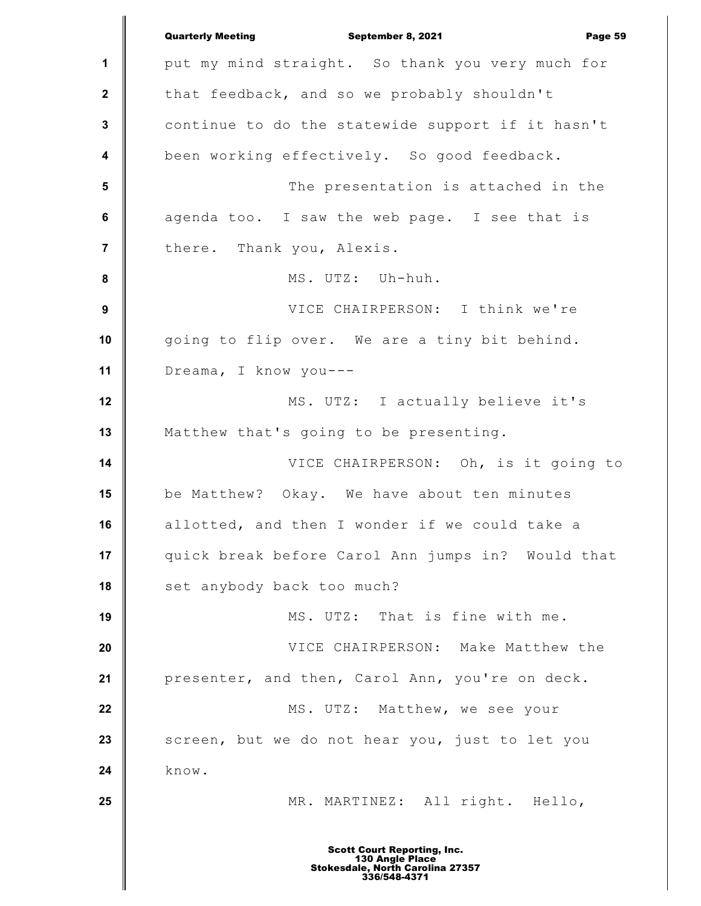**1 2 3 4 5 6 7 8 9 10 11 12 13 14 15 16 17 18 19 20 21 22 23 24 25** Quarterly Meeting September 8, 2021 Page 59 put my mind straight. So thank you very much for that feedback, and so we probably shouldn't continue to do the statewide support if it hasn't been working effectively. So good feedback. The presentation is attached in the agenda too. I saw the web page. I see that is there. Thank you, Alexis. MS. UTZ: Uh-huh. VICE CHAIRPERSON: I think we're going to flip over. We are a tiny bit behind. Dreama, I know you--- MS. UTZ: I actually believe it's Matthew that's going to be presenting. VICE CHAIRPERSON: Oh, is it going to be Matthew? Okay. We have about ten minutes allotted, and then I wonder if we could take a quick break before Carol Ann jumps in? Would that set anybody back too much? MS. UTZ: That is fine with me. VICE CHAIRPERSON: Make Matthew the presenter, and then, Carol Ann, you're on deck. MS. UTZ: Matthew, we see your screen, but we do not hear you, just to let you know. MR. MARTINEZ: All right. Hello, Scott Court Reporting, Inc. 130 Angle Place Stokesdale, North Carolina 27357 336/548-4371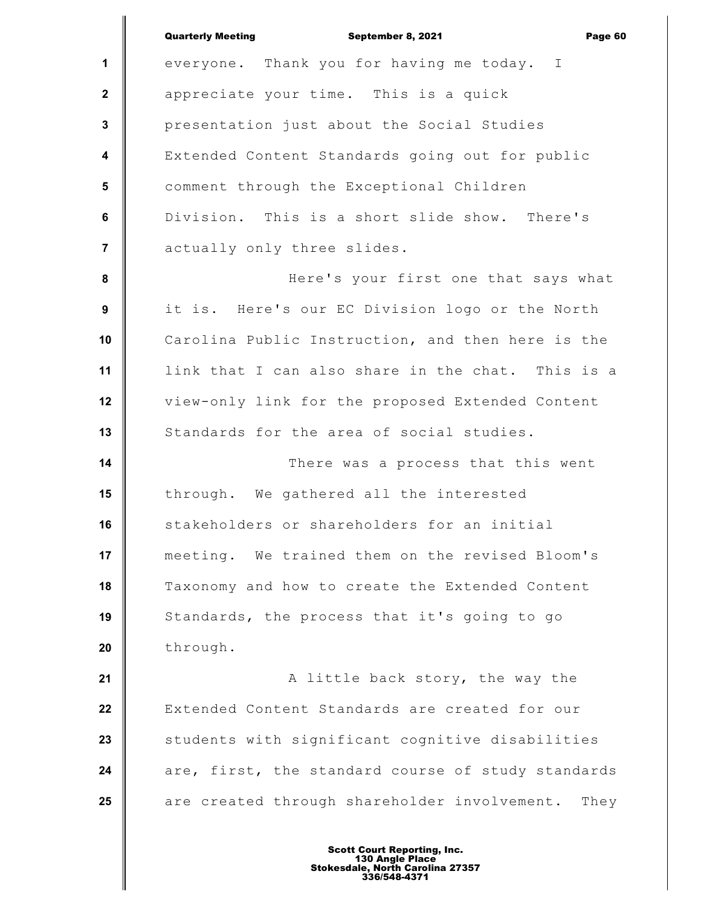**1 2 3 4 5 6 7 8 9 10 11 12 13 14 15 16 17 18 19 20 21 22 23 24 25** Quarterly Meeting September 8, 2021 Page 60 everyone. Thank you for having me today. I appreciate your time. This is a quick presentation just about the Social Studies Extended Content Standards going out for public comment through the Exceptional Children Division. This is a short slide show. There's actually only three slides. Here's your first one that says what it is. Here's our EC Division logo or the North Carolina Public Instruction, and then here is the link that I can also share in the chat. This is a view-only link for the proposed Extended Content Standards for the area of social studies. There was a process that this went through. We gathered all the interested stakeholders or shareholders for an initial meeting. We trained them on the revised Bloom's Taxonomy and how to create the Extended Content Standards, the process that it's going to go through. A little back story, the way the Extended Content Standards are created for our students with significant cognitive disabilities are, first, the standard course of study standards are created through shareholder involvement. They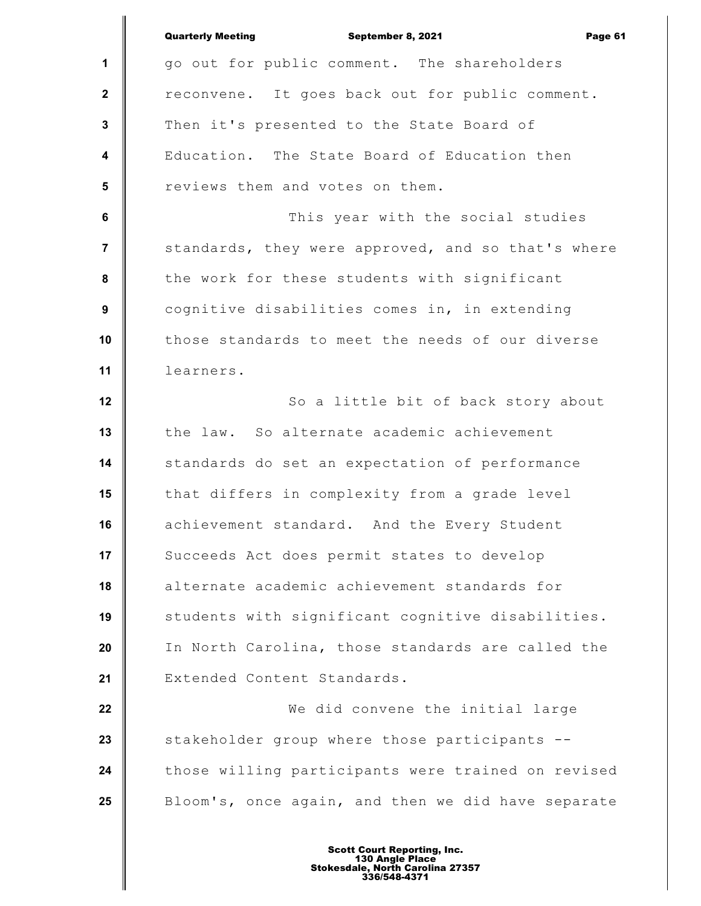|                         | <b>Quarterly Meeting</b><br>September 8, 2021<br>Page 61 |
|-------------------------|----------------------------------------------------------|
| 1                       | go out for public comment. The shareholders              |
| $\mathbf{2}$            | reconvene. It goes back out for public comment.          |
| $\mathbf{3}$            | Then it's presented to the State Board of                |
| $\overline{\mathbf{4}}$ | Education. The State Board of Education then             |
| 5                       | reviews them and votes on them.                          |
| 6                       | This year with the social studies                        |
| $\overline{7}$          | standards, they were approved, and so that's where       |
| 8                       | the work for these students with significant             |
| 9                       | cognitive disabilities comes in, in extending            |
| 10                      | those standards to meet the needs of our diverse         |
| 11                      | learners.                                                |
| 12                      | So a little bit of back story about                      |
| 13                      | the law. So alternate academic achievement               |
| 14                      | standards do set an expectation of performance           |
| 15                      | that differs in complexity from a grade level            |
| 16                      | achievement standard. And the Every Student              |
| 17                      | Succeeds Act does permit states to develop               |
| 18                      | alternate academic achievement standards for             |
| 19                      | students with significant cognitive disabilities.        |
| 20                      | In North Carolina, those standards are called the        |
| 21                      | Extended Content Standards.                              |
| 22                      | We did convene the initial large                         |
| 23                      | stakeholder group where those participants --            |
| 24                      | those willing participants were trained on revised       |
| 25                      | Bloom's, once again, and then we did have separate       |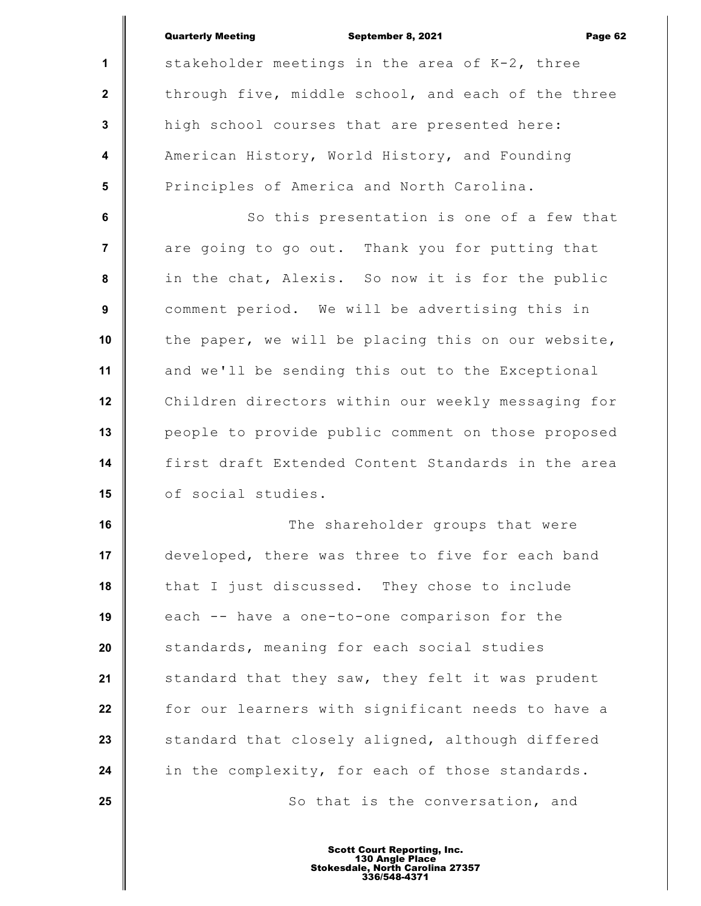**1**

 **2**

 **3**

 **4**

 **5**

September 8, 2021 Page 62

stakeholder meetings in the area of K-2, three through five, middle school, and each of the three high school courses that are presented here: American History, World History, and Founding Principles of America and North Carolina.

 **6 7 8 9 10 11 12 13 14 15** So this presentation is one of a few that are going to go out. Thank you for putting that in the chat, Alexis. So now it is for the public comment period. We will be advertising this in the paper, we will be placing this on our website, and we'll be sending this out to the Exceptional Children directors within our weekly messaging for people to provide public comment on those proposed first draft Extended Content Standards in the area of social studies.

**16 17 18 19 20 21 22 23 24 25** The shareholder groups that were developed, there was three to five for each band that I just discussed. They chose to include each -- have a one-to-one comparison for the standards, meaning for each social studies standard that they saw, they felt it was prudent for our learners with significant needs to have a standard that closely aligned, although differed in the complexity, for each of those standards. So that is the conversation, and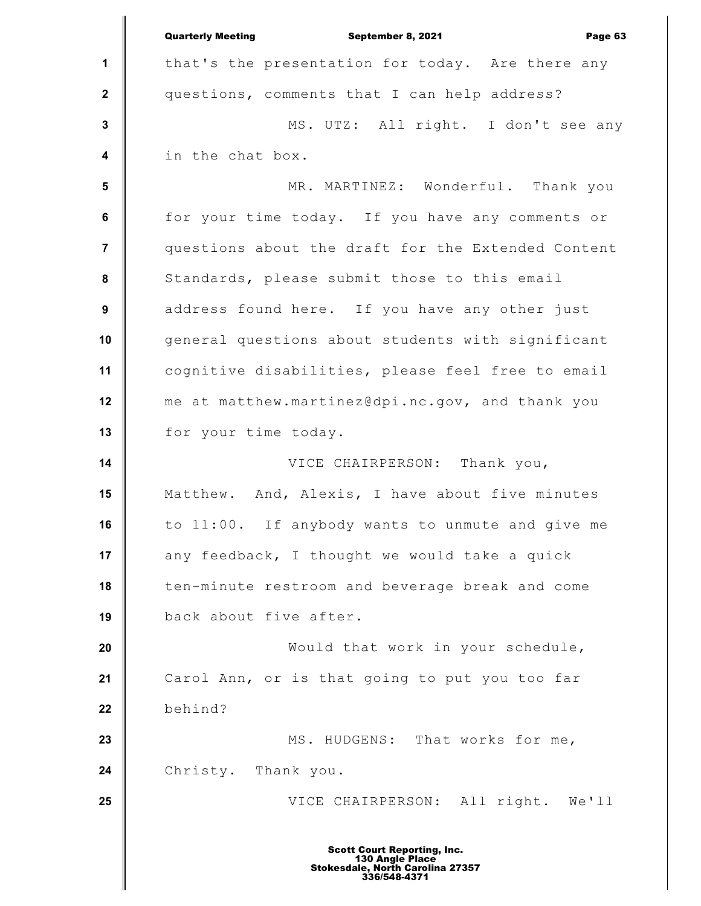|                         | <b>Quarterly Meeting</b><br>September 8, 2021<br>Page 63                                                  |
|-------------------------|-----------------------------------------------------------------------------------------------------------|
| $\mathbf 1$             | that's the presentation for today. Are there any                                                          |
| $\mathbf{2}$            | questions, comments that I can help address?                                                              |
| $\mathbf 3$             | MS. UTZ: All right. I don't see any                                                                       |
| $\overline{\mathbf{4}}$ | in the chat box.                                                                                          |
| 5                       | MR. MARTINEZ: Wonderful. Thank you                                                                        |
| $\bf 6$                 | for your time today. If you have any comments or                                                          |
| $\overline{7}$          | questions about the draft for the Extended Content                                                        |
| 8                       | Standards, please submit those to this email                                                              |
| $\boldsymbol{9}$        | address found here. If you have any other just                                                            |
| 10                      | general questions about students with significant                                                         |
| 11                      | cognitive disabilities, please feel free to email                                                         |
| 12                      | me at matthew.martinez@dpi.nc.gov, and thank you                                                          |
| 13                      | for your time today.                                                                                      |
| 14                      | VICE CHAIRPERSON: Thank you,                                                                              |
| 15                      | Matthew. And, Alexis, I have about five minutes                                                           |
| 16                      | to 11:00. If anybody wants to unmute and give me                                                          |
| 17                      | any feedback, I thought we would take a quick                                                             |
| 18                      | ten-minute restroom and beverage break and come                                                           |
| 19                      | back about five after.                                                                                    |
| 20                      | Would that work in your schedule,                                                                         |
| 21                      | Carol Ann, or is that going to put you too far                                                            |
| 22                      | behind?                                                                                                   |
| 23                      | MS. HUDGENS: That works for me,                                                                           |
| 24                      | Christy. Thank you.                                                                                       |
| 25                      | VICE CHAIRPERSON: All right. We'll                                                                        |
|                         | <b>Scott Court Reporting, Inc.</b><br>130 Angle Place<br>Stokesdale, North Carolina 27357<br>336/548-4371 |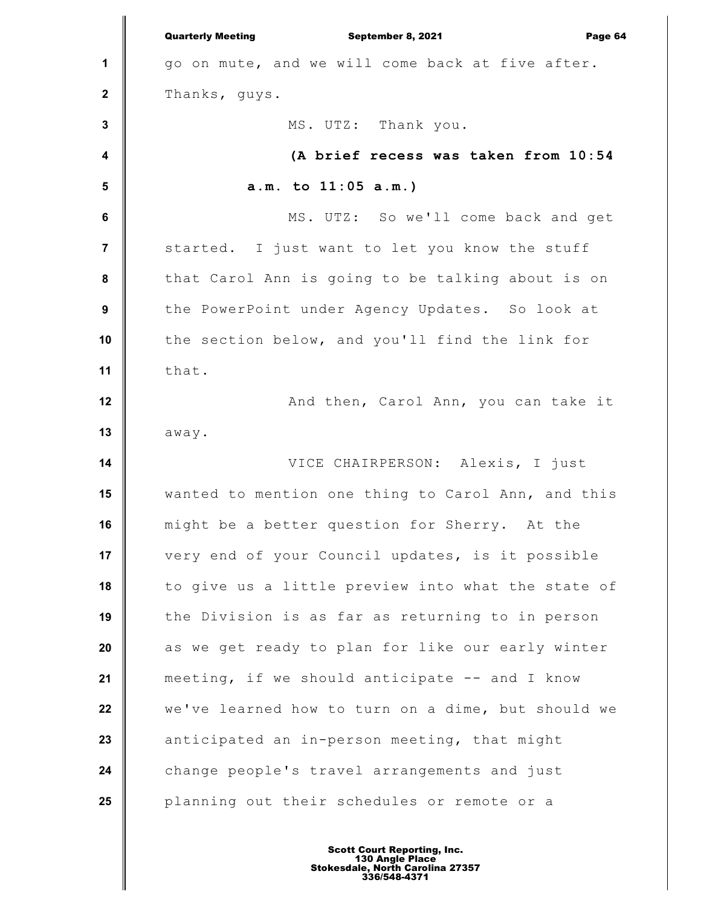**1 2 3 4 5 6 7 8 9 10 11 12 13 14 15 16 17 18 19 20 21 22 23 24 25** Quarterly Meeting September 8, 2021 Page 64 go on mute, and we will come back at five after. Thanks, guys. MS. UTZ: Thank you. **(A brief recess was taken from 10:54 a.m. to 11:05 a.m.)** MS. UTZ: So we'll come back and get started. I just want to let you know the stuff that Carol Ann is going to be talking about is on the PowerPoint under Agency Updates. So look at the section below, and you'll find the link for that. And then, Carol Ann, you can take it away. VICE CHAIRPERSON: Alexis, I just wanted to mention one thing to Carol Ann, and this might be a better question for Sherry. At the very end of your Council updates, is it possible to give us a little preview into what the state of the Division is as far as returning to in person as we get ready to plan for like our early winter meeting, if we should anticipate -- and I know we've learned how to turn on a dime, but should we anticipated an in-person meeting, that might change people's travel arrangements and just planning out their schedules or remote or a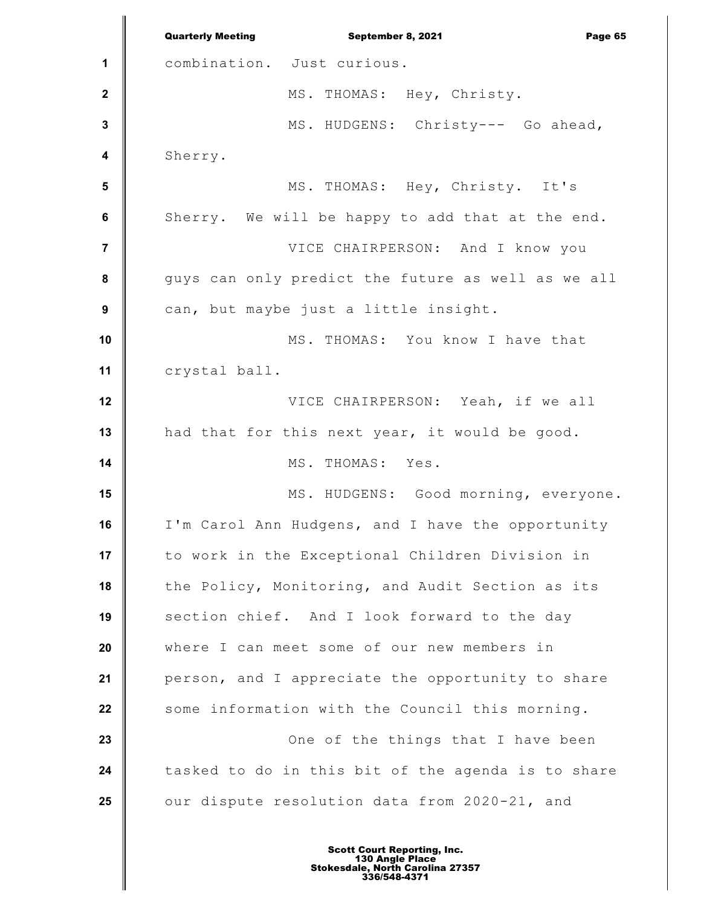**1 2 3 4 5 6 7 8 9 10 11 12 13 14 15 16 17 18 19 20 21 22 23 24 25** Quarterly Meeting September 8, 2021 Page 65 combination. Just curious. MS. THOMAS: Hey, Christy. MS. HUDGENS: Christy--- Go ahead, Sherry. MS. THOMAS: Hey, Christy. It's Sherry. We will be happy to add that at the end. VICE CHAIRPERSON: And I know you guys can only predict the future as well as we all can, but maybe just a little insight. MS. THOMAS: You know I have that crystal ball. VICE CHAIRPERSON: Yeah, if we all had that for this next year, it would be good. MS. THOMAS: Yes. MS. HUDGENS: Good morning, everyone. I'm Carol Ann Hudgens, and I have the opportunity to work in the Exceptional Children Division in the Policy, Monitoring, and Audit Section as its section chief. And I look forward to the day where I can meet some of our new members in person, and I appreciate the opportunity to share some information with the Council this morning. One of the things that I have been tasked to do in this bit of the agenda is to share our dispute resolution data from 2020-21, and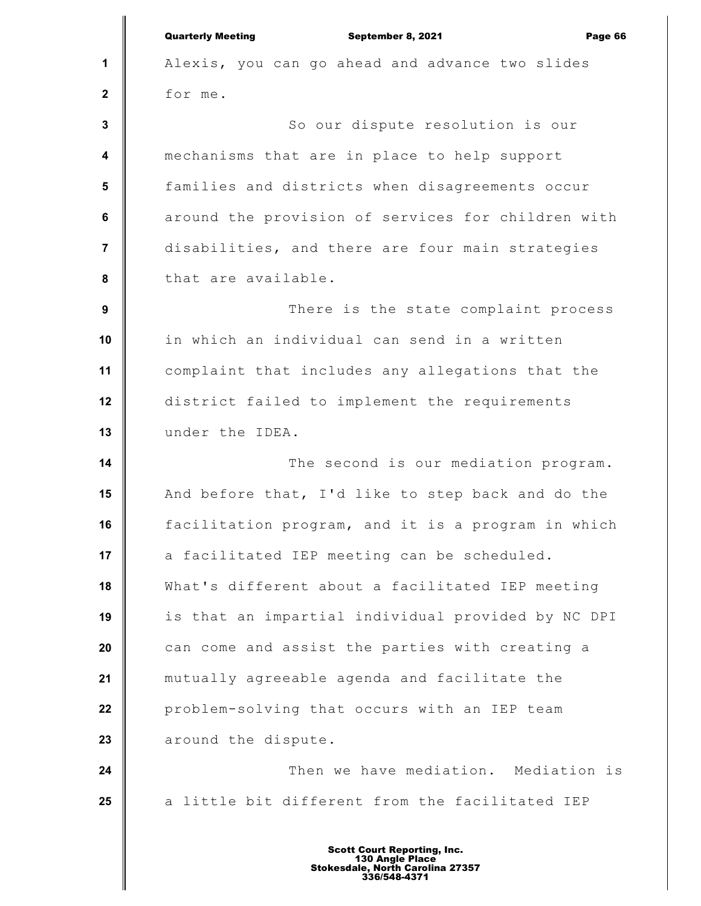|                         | <b>Quarterly Meeting</b><br>September 8, 2021<br>Page 66 |
|-------------------------|----------------------------------------------------------|
| 1                       | Alexis, you can go ahead and advance two slides          |
| $\mathbf 2$             | for me.                                                  |
| $\mathbf 3$             | So our dispute resolution is our                         |
| $\overline{\mathbf{4}}$ | mechanisms that are in place to help support             |
| 5                       | families and districts when disagreements occur          |
| 6                       | around the provision of services for children with       |
| $\overline{7}$          | disabilities, and there are four main strategies         |
| 8                       | that are available.                                      |
| 9                       | There is the state complaint process                     |
| 10                      | in which an individual can send in a written             |
| 11                      | complaint that includes any allegations that the         |
| 12                      | district failed to implement the requirements            |
| 13                      | under the IDEA.                                          |
| 14                      | The second is our mediation program.                     |
| 15                      | And before that, I'd like to step back and do the        |
| 16                      | facilitation program, and it is a program in which       |
| 17                      | a facilitated IEP meeting can be scheduled.              |
| 18                      | What's different about a facilitated IEP meeting         |
| 19                      | is that an impartial individual provided by NC DPI       |
| 20                      | can come and assist the parties with creating a          |
| 21                      | mutually agreeable agenda and facilitate the             |
| 22                      | problem-solving that occurs with an IEP team             |
| 23                      | around the dispute.                                      |
| 24                      | Then we have mediation. Mediation is                     |
| 25                      | a little bit different from the facilitated IEP          |
|                         |                                                          |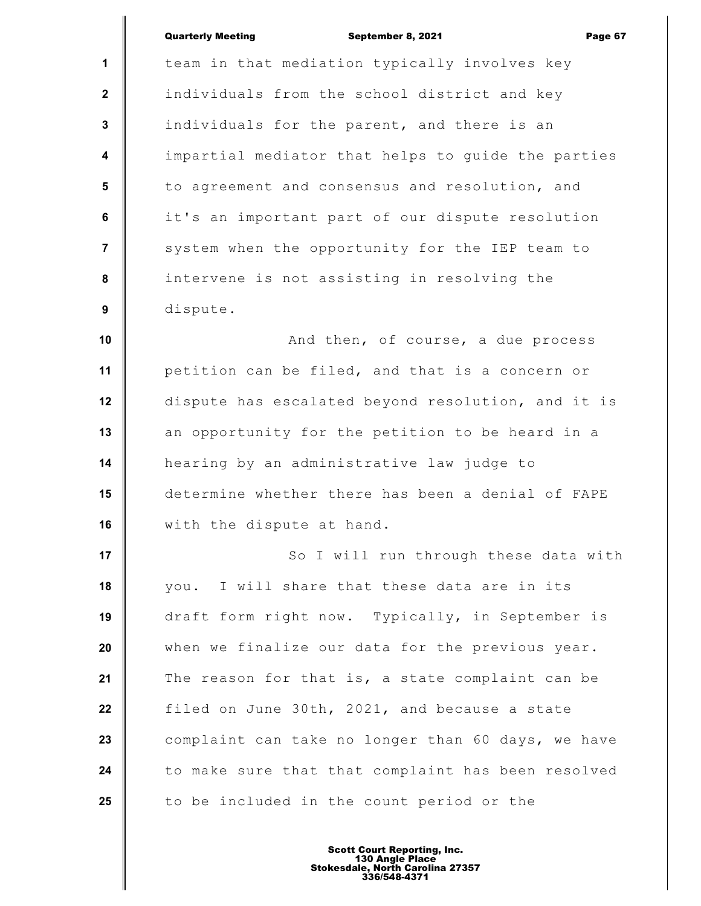|                         | <b>Quarterly Meeting</b><br>September 8, 2021<br>Page 67 |
|-------------------------|----------------------------------------------------------|
| $\mathbf{1}$            | team in that mediation typically involves key            |
| $\mathbf{2}$            | individuals from the school district and key             |
| $\mathbf{3}$            | individuals for the parent, and there is an              |
| $\overline{\mathbf{4}}$ | impartial mediator that helps to guide the parties       |
| 5                       | to agreement and consensus and resolution, and           |
| 6                       | it's an important part of our dispute resolution         |
| $\overline{7}$          | system when the opportunity for the IEP team to          |
| 8                       | intervene is not assisting in resolving the              |
| $\boldsymbol{9}$        | dispute.                                                 |
| 10                      | And then, of course, a due process                       |
| 11                      | petition can be filed, and that is a concern or          |
| 12                      | dispute has escalated beyond resolution, and it is       |
| 13                      | an opportunity for the petition to be heard in a         |
| 14                      | hearing by an administrative law judge to                |
| 15                      | determine whether there has been a denial of FAPE        |
| 16                      | with the dispute at hand.                                |
| 17                      | So I will run through these data with                    |
| 18                      | you. I will share that these data are in its             |
| 19                      | draft form right now. Typically, in September is         |
| 20                      | when we finalize our data for the previous year.         |
| 21                      | The reason for that is, a state complaint can be         |
| 22                      | filed on June 30th, 2021, and because a state            |
| 23                      | complaint can take no longer than 60 days, we have       |
| 24                      | to make sure that that complaint has been resolved       |
| 25                      | to be included in the count period or the                |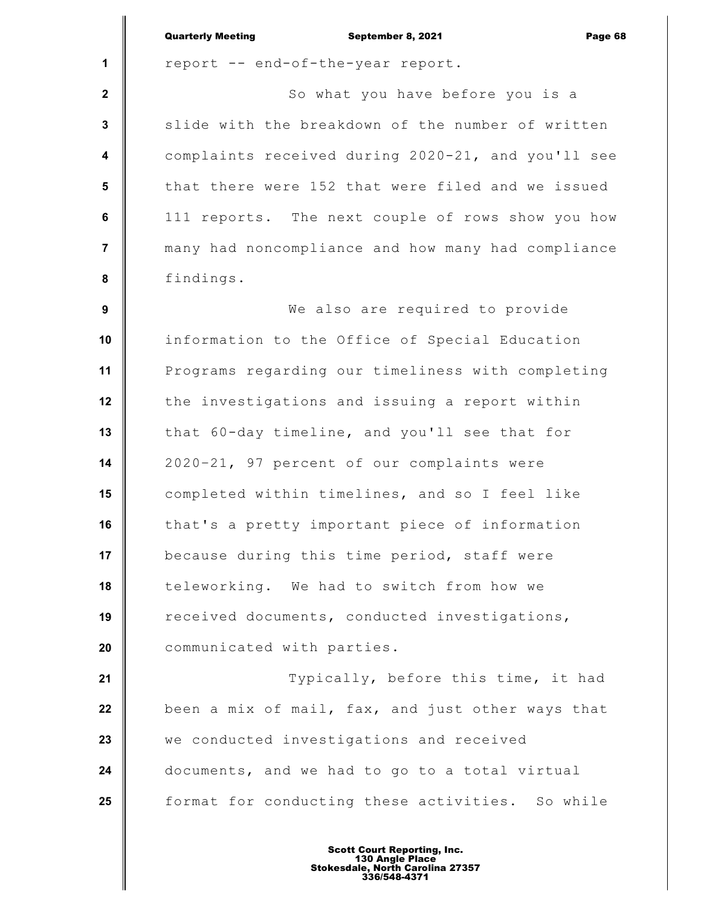|                         | <b>Quarterly Meeting</b><br>Page 68<br>September 8, 2021 |
|-------------------------|----------------------------------------------------------|
| 1                       | report -- end-of-the-year report.                        |
| $\mathbf{2}$            | So what you have before you is a                         |
| $\mathbf{3}$            | slide with the breakdown of the number of written        |
| $\overline{\mathbf{4}}$ | complaints received during 2020-21, and you'll see       |
| 5                       | that there were 152 that were filed and we issued        |
| $\bf 6$                 | 111 reports. The next couple of rows show you how        |
| $\overline{7}$          | many had noncompliance and how many had compliance       |
| 8                       | findings.                                                |
| $\boldsymbol{9}$        | We also are required to provide                          |
| 10                      | information to the Office of Special Education           |
| 11                      | Programs regarding our timeliness with completing        |
| 12                      | the investigations and issuing a report within           |
| 13                      | that 60-day timeline, and you'll see that for            |
| 14                      | 2020-21, 97 percent of our complaints were               |
| 15                      | completed within timelines, and so I feel like           |
| 16                      | that's a pretty important piece of information           |
| 17                      | because during this time period, staff were              |
| 18                      | teleworking. We had to switch from how we                |
| 19                      | received documents, conducted investigations,            |
| 20                      | communicated with parties.                               |
| 21                      | Typically, before this time, it had                      |
| 22                      | been a mix of mail, fax, and just other ways that        |
| 23                      | we conducted investigations and received                 |
| 24                      | documents, and we had to go to a total virtual           |
| 25                      | format for conducting these activities. So while         |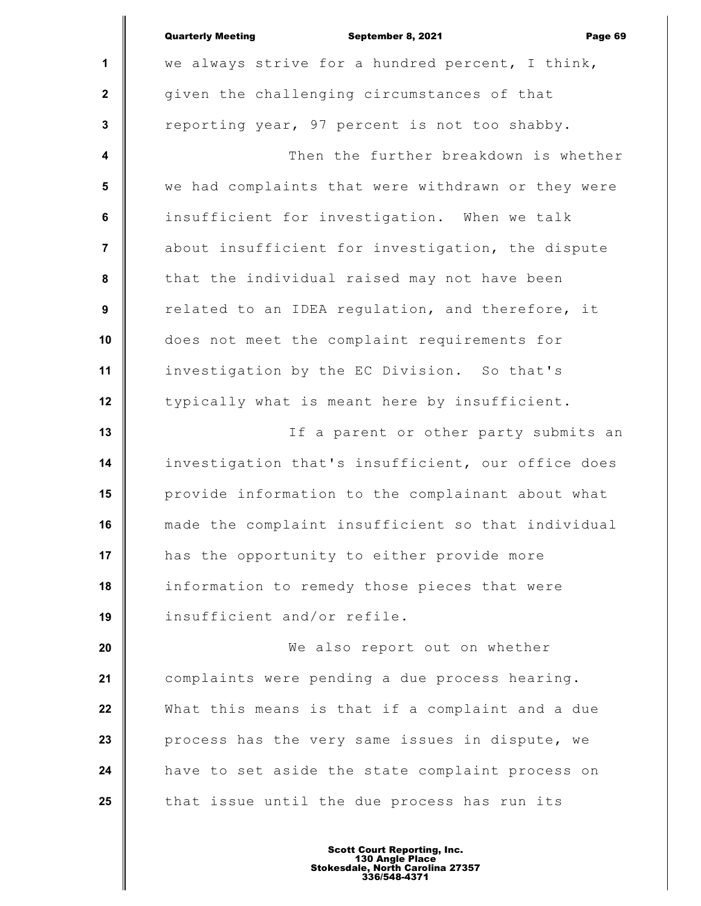|                         | <b>Quarterly Meeting</b><br>September 8, 2021<br>Page 69 |
|-------------------------|----------------------------------------------------------|
| $\mathbf{1}$            | we always strive for a hundred percent, I think,         |
| $\mathbf{2}$            | given the challenging circumstances of that              |
| $\mathbf 3$             | reporting year, 97 percent is not too shabby.            |
| $\boldsymbol{4}$        | Then the further breakdown is whether                    |
| $5\phantom{.0}$         | we had complaints that were withdrawn or they were       |
| 6                       | insufficient for investigation. When we talk             |
| $\overline{\mathbf{7}}$ | about insufficient for investigation, the dispute        |
| 8                       | that the individual raised may not have been             |
| $\boldsymbol{9}$        | related to an IDEA regulation, and therefore, it         |
| 10                      | does not meet the complaint requirements for             |
| 11                      | investigation by the EC Division. So that's              |
| 12                      | typically what is meant here by insufficient.            |
| 13                      | If a parent or other party submits an                    |
| 14                      | investigation that's insufficient, our office does       |
| 15                      | provide information to the complainant about what        |
| 16                      | made the complaint insufficient so that individual       |
| 17                      | has the opportunity to either provide more               |
| 18                      | information to remedy those pieces that were             |
| 19                      | insufficient and/or refile.                              |
| 20                      | We also report out on whether                            |
| 21                      | complaints were pending a due process hearing.           |
| 22                      | What this means is that if a complaint and a due         |
| 23                      | process has the very same issues in dispute, we          |
| 24                      | have to set aside the state complaint process on         |
| 25                      | that issue until the due process has run its             |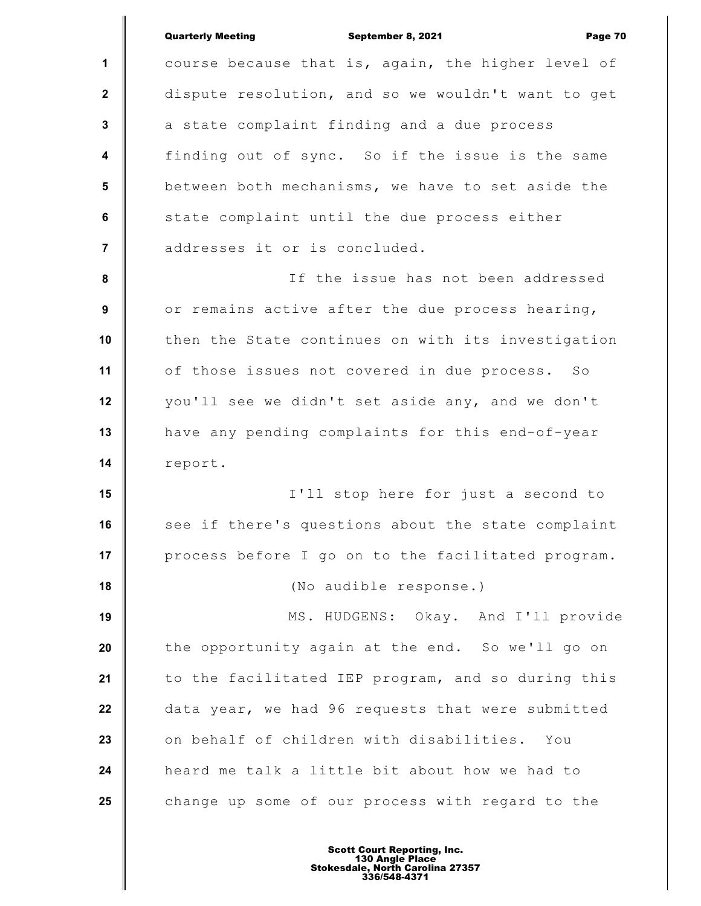| <b>Quarterly Meeting</b><br>September 8, 2021<br>Page 70 |
|----------------------------------------------------------|
| course because that is, again, the higher level of       |
| dispute resolution, and so we wouldn't want to get       |
| a state complaint finding and a due process              |
| finding out of sync. So if the issue is the same         |
| between both mechanisms, we have to set aside the        |
| state complaint until the due process either             |
| addresses it or is concluded.                            |
| If the issue has not been addressed                      |
| or remains active after the due process hearing,         |
| then the State continues on with its investigation       |
| of those issues not covered in due process. So           |
| you'll see we didn't set aside any, and we don't         |
| have any pending complaints for this end-of-year         |
| report.                                                  |
| I'll stop here for just a second to                      |
| see if there's questions about the state complaint       |
| process before I go on to the facilitated program.       |
| (No audible response.)                                   |
| MS. HUDGENS: Okay. And I'll provide                      |
| the opportunity again at the end. So we'll go on         |
| to the facilitated IEP program, and so during this       |
| data year, we had 96 requests that were submitted        |
| on behalf of children with disabilities. You             |
| heard me talk a little bit about how we had to           |
| change up some of our process with regard to the         |
|                                                          |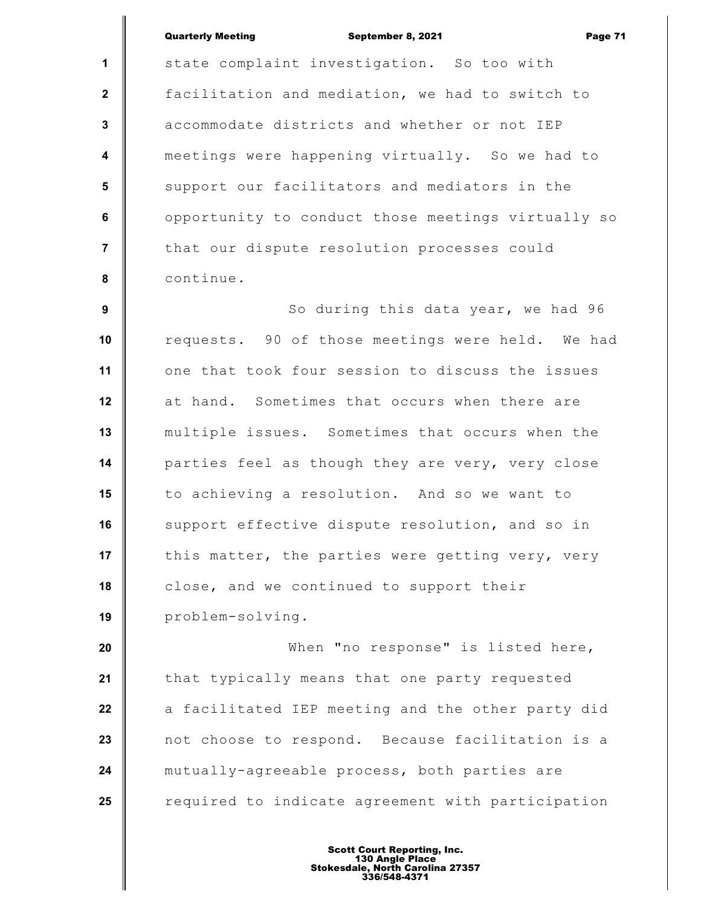## Quarterly Meeting **September 8, 2021 Page 71**

**1 2 3 4 5 6 7 8** state complaint investigation. So too with facilitation and mediation, we had to switch to accommodate districts and whether or not IEP meetings were happening virtually. So we had to support our facilitators and mediators in the opportunity to conduct those meetings virtually so that our dispute resolution processes could continue.

 **9 10 11 12 13 14 15 16 17 18 19** So during this data year, we had 96 requests. 90 of those meetings were held. We had one that took four session to discuss the issues at hand. Sometimes that occurs when there are multiple issues. Sometimes that occurs when the parties feel as though they are very, very close to achieving a resolution. And so we want to support effective dispute resolution, and so in this matter, the parties were getting very, very close, and we continued to support their problem-solving.

**20 21 22 23 24 25** When "no response" is listed here, that typically means that one party requested a facilitated IEP meeting and the other party did not choose to respond. Because facilitation is a mutually-agreeable process, both parties are required to indicate agreement with participation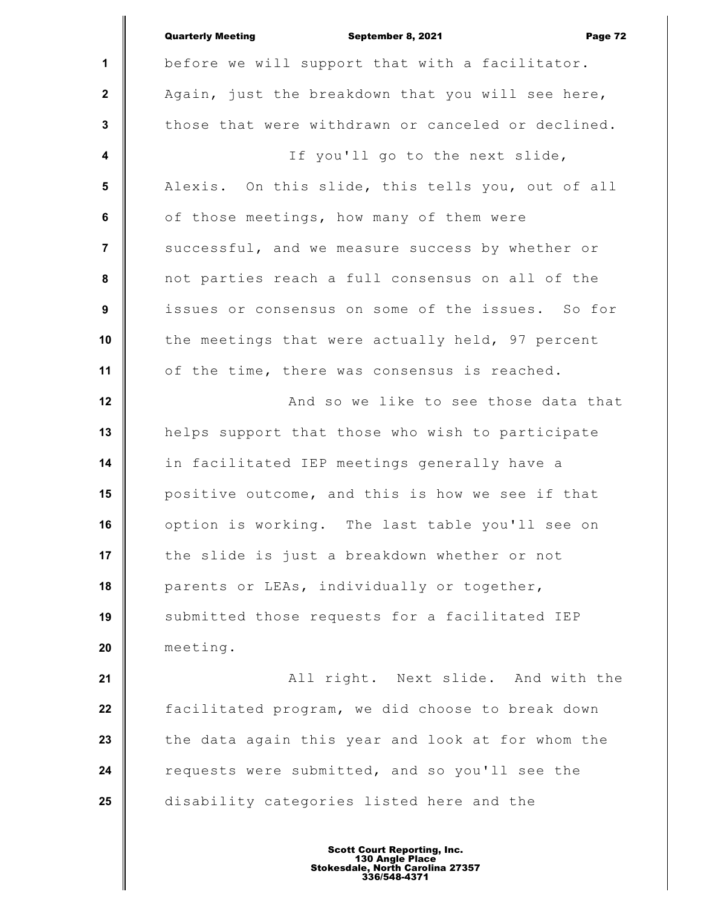|                         | <b>Quarterly Meeting</b><br>September 8, 2021<br>Page 72 |
|-------------------------|----------------------------------------------------------|
| $\mathbf{1}$            | before we will support that with a facilitator.          |
| $\mathbf{2}$            | Again, just the breakdown that you will see here,        |
| $\mathbf{3}$            | those that were withdrawn or canceled or declined.       |
| $\overline{\mathbf{4}}$ | If you'll go to the next slide,                          |
| 5                       | Alexis. On this slide, this tells you, out of all        |
| 6                       | of those meetings, how many of them were                 |
| $\overline{7}$          | successful, and we measure success by whether or         |
| 8                       | not parties reach a full consensus on all of the         |
| 9                       | issues or consensus on some of the issues. So for        |
| 10                      | the meetings that were actually held, 97 percent         |
| 11                      | of the time, there was consensus is reached.             |
| 12                      | And so we like to see those data that                    |
| 13                      | helps support that those who wish to participate         |
| 14                      | in facilitated IEP meetings generally have a             |
| 15                      | positive outcome, and this is how we see if that         |
| 16                      | option is working. The last table you'll see on          |
| 17                      | the slide is just a breakdown whether or not             |
| 18                      | parents or LEAs, individually or together,               |
| 19                      | submitted those requests for a facilitated IEP           |
| 20                      | meeting.                                                 |
| 21                      | All right. Next slide. And with the                      |
| 22                      | facilitated program, we did choose to break down         |
| 23                      | the data again this year and look at for whom the        |
| 24                      | requests were submitted, and so you'll see the           |
| 25                      | disability categories listed here and the                |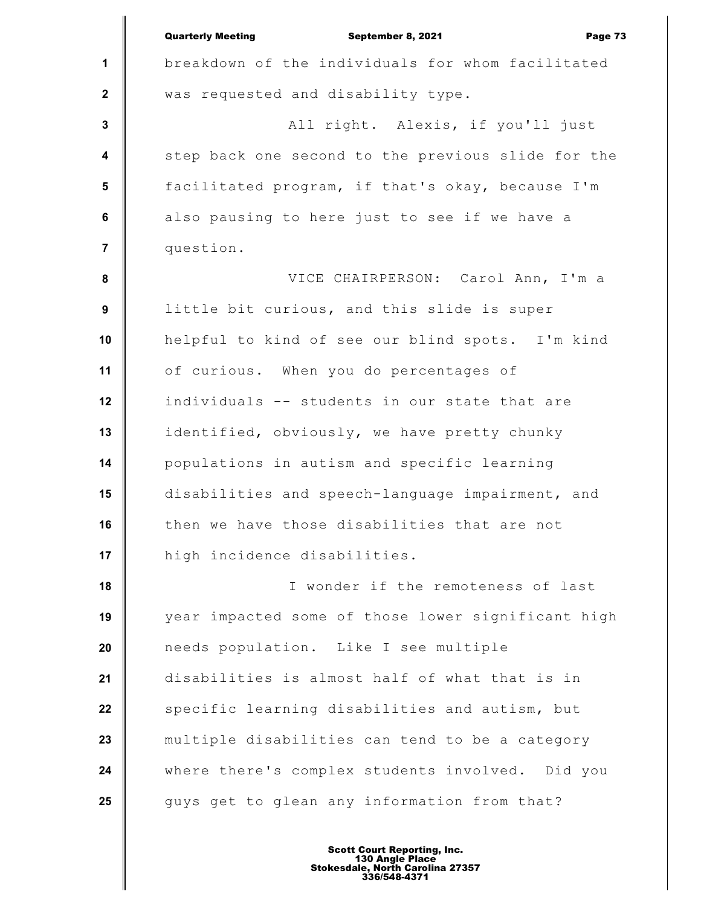|                  | <b>Quarterly Meeting</b><br>September 8, 2021<br>Page 73 |
|------------------|----------------------------------------------------------|
| $\mathbf{1}$     | breakdown of the individuals for whom facilitated        |
| $\mathbf 2$      | was requested and disability type.                       |
| $\mathbf{3}$     | All right. Alexis, if you'll just                        |
| $\boldsymbol{4}$ | step back one second to the previous slide for the       |
| $5\phantom{.0}$  | facilitated program, if that's okay, because I'm         |
| 6                | also pausing to here just to see if we have a            |
| $\overline{7}$   | question.                                                |
| 8                | VICE CHAIRPERSON: Carol Ann, I'm a                       |
| 9                | little bit curious, and this slide is super              |
| 10               | helpful to kind of see our blind spots. I'm kind         |
| 11               | of curious. When you do percentages of                   |
| 12               | individuals -- students in our state that are            |
| 13               | identified, obviously, we have pretty chunky             |
| 14               | populations in autism and specific learning              |
| 15               | disabilities and speech-language impairment, and         |
| 16               | then we have those disabilities that are not             |
| 17               | high incidence disabilities.                             |
| 18               | I wonder if the remoteness of last                       |
| 19               | year impacted some of those lower significant high       |
| 20               | needs population. Like I see multiple                    |
| 21               | disabilities is almost half of what that is in           |
| 22               | specific learning disabilities and autism, but           |
| 23               | multiple disabilities can tend to be a category          |
| 24               | where there's complex students involved. Did you         |
| 25               | guys get to glean any information from that?             |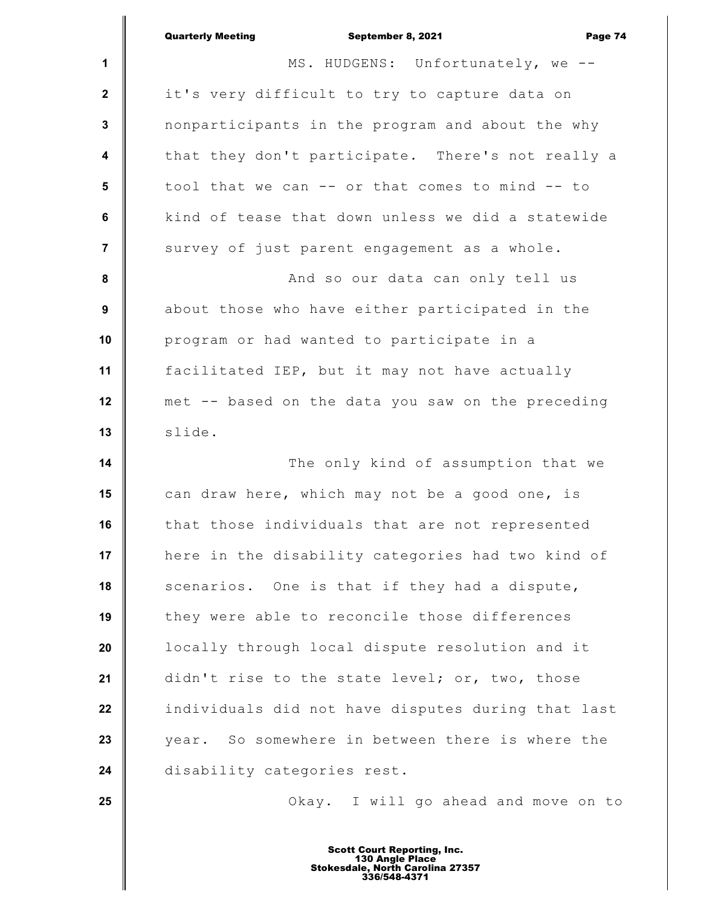|                | <b>Quarterly Meeting</b><br>Page 74<br>September 8, 2021 |
|----------------|----------------------------------------------------------|
| 1              | MS. HUDGENS: Unfortunately, we --                        |
| $\mathbf 2$    | it's very difficult to try to capture data on            |
| 3              | nonparticipants in the program and about the why         |
| 4              | that they don't participate. There's not really a        |
| 5              | tool that we can -- or that comes to mind -- to          |
| 6              | kind of tease that down unless we did a statewide        |
| $\overline{7}$ | survey of just parent engagement as a whole.             |
| 8              | And so our data can only tell us                         |
| 9              | about those who have either participated in the          |
| 10             | program or had wanted to participate in a                |
| 11             | facilitated IEP, but it may not have actually            |
| 12             | met -- based on the data you saw on the preceding        |
| 13             | slide.                                                   |
| 14             | The only kind of assumption that we                      |
| 15             | can draw here, which may not be a good one, is           |
| 16             | that those individuals that are not represented          |
| 17             | here in the disability categories had two kind of        |
| 18             | scenarios. One is that if they had a dispute,            |
| 19             | they were able to reconcile those differences            |
| 20             | locally through local dispute resolution and it          |
| 21             | didn't rise to the state level; or, two, those           |
| 22             | individuals did not have disputes during that last       |
| 23             | year. So somewhere in between there is where the         |
| 24             | disability categories rest.                              |
| 25             | Okay. I will go ahead and move on to                     |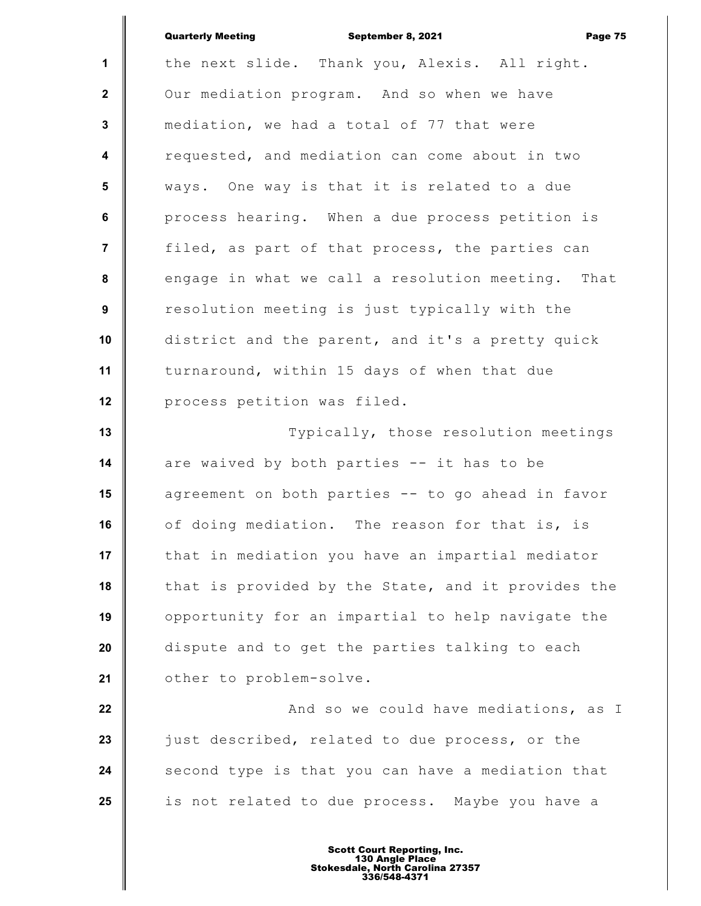|                  | <b>Quarterly Meeting</b><br>September 8, 2021<br>Page 75 |
|------------------|----------------------------------------------------------|
| $\mathbf{1}$     | the next slide. Thank you, Alexis. All right.            |
| $\mathbf{2}$     | Our mediation program. And so when we have               |
| $\mathbf{3}$     | mediation, we had a total of 77 that were                |
| $\boldsymbol{4}$ | requested, and mediation can come about in two           |
| 5                | ways. One way is that it is related to a due             |
| 6                | process hearing. When a due process petition is          |
| $\overline{7}$   | filed, as part of that process, the parties can          |
| 8                | engage in what we call a resolution meeting. That        |
| 9                | resolution meeting is just typically with the            |
| 10               | district and the parent, and it's a pretty quick         |
| 11               | turnaround, within 15 days of when that due              |
| 12               | process petition was filed.                              |
| 13               | Typically, those resolution meetings                     |
| 14               | are waived by both parties -- it has to be               |
| 15               | agreement on both parties -- to go ahead in favor        |
| 16               | of doing mediation. The reason for that is, is           |
| 17               | that in mediation you have an impartial mediator         |
| 18               | that is provided by the State, and it provides the       |
| 19               | opportunity for an impartial to help navigate the        |
| 20               | dispute and to get the parties talking to each           |
| 21               | other to problem-solve.                                  |
| 22               | And so we could have mediations, as I                    |
| 23               | just described, related to due process, or the           |
| 24               | second type is that you can have a mediation that        |
| 25               | is not related to due process. Maybe you have a          |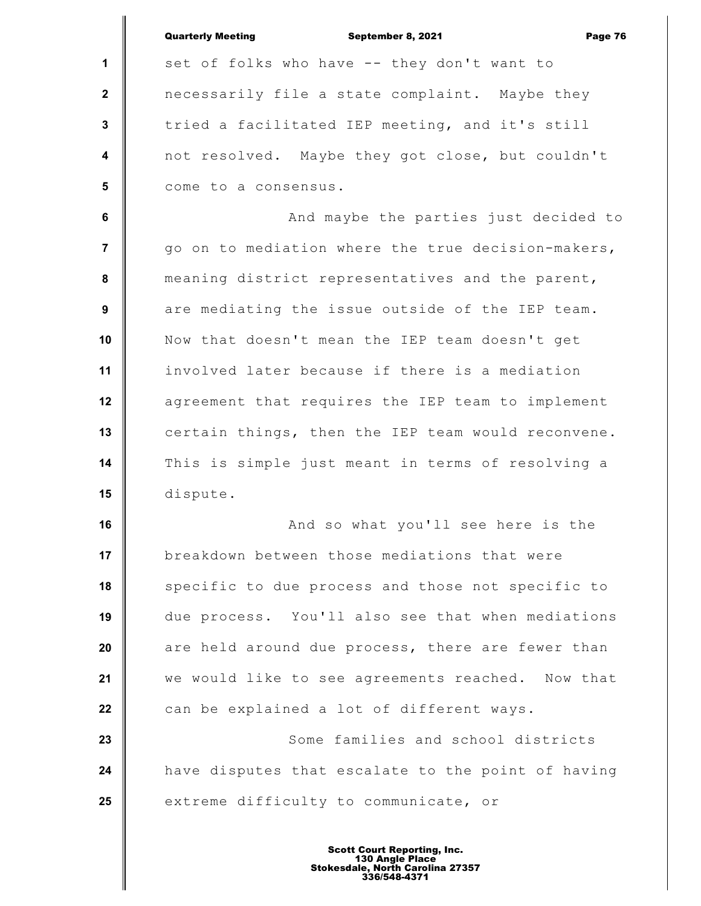**1 2 3 4 5 6 7 8 9 10 11 12 13 14 15 16 17 18 19 20 21 22 23 24 25** Quarterly Meeting September 8, 2021 Page 76 set of folks who have -- they don't want to necessarily file a state complaint. Maybe they tried a facilitated IEP meeting, and it's still not resolved. Maybe they got close, but couldn't come to a consensus. And maybe the parties just decided to go on to mediation where the true decision-makers, meaning district representatives and the parent, are mediating the issue outside of the IEP team. Now that doesn't mean the IEP team doesn't get involved later because if there is a mediation agreement that requires the IEP team to implement certain things, then the IEP team would reconvene. This is simple just meant in terms of resolving a dispute. And so what you'll see here is the breakdown between those mediations that were specific to due process and those not specific to due process. You'll also see that when mediations are held around due process, there are fewer than we would like to see agreements reached. Now that can be explained a lot of different ways. Some families and school districts have disputes that escalate to the point of having extreme difficulty to communicate, or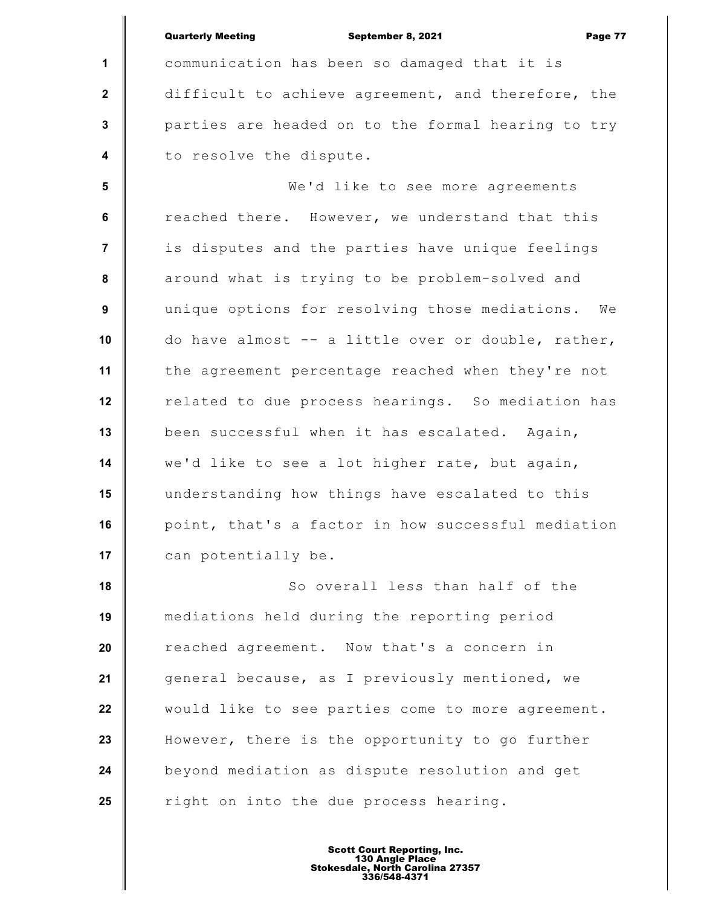**1 2 3 4 5 6 7 8 9 10 11 12 13 14 15 16 17 18 19 20 21 22 23 24 25** Quarterly Meeting **September 8, 2021 Page 77** communication has been so damaged that it is difficult to achieve agreement, and therefore, the parties are headed on to the formal hearing to try to resolve the dispute. We'd like to see more agreements reached there. However, we understand that this is disputes and the parties have unique feelings around what is trying to be problem-solved and unique options for resolving those mediations. We do have almost -- a little over or double, rather, the agreement percentage reached when they're not related to due process hearings. So mediation has been successful when it has escalated. Again, we'd like to see a lot higher rate, but again, understanding how things have escalated to this point, that's a factor in how successful mediation can potentially be. So overall less than half of the mediations held during the reporting period reached agreement. Now that's a concern in general because, as I previously mentioned, we would like to see parties come to more agreement. However, there is the opportunity to go further beyond mediation as dispute resolution and get right on into the due process hearing.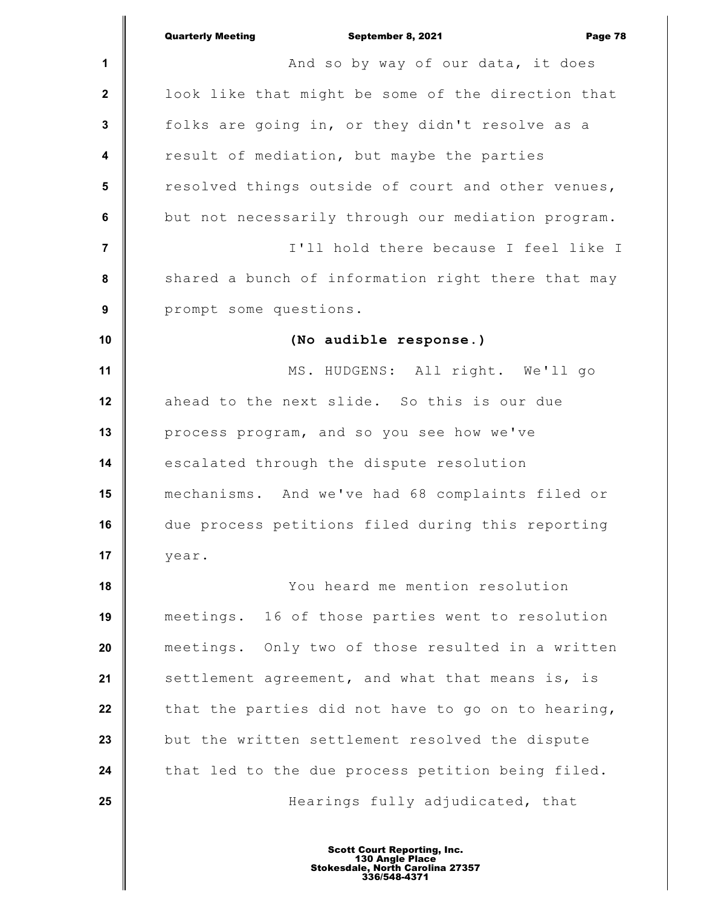|                  | <b>Quarterly Meeting</b><br>September 8, 2021<br>Page 78 |
|------------------|----------------------------------------------------------|
| 1                | And so by way of our data, it does                       |
| $\boldsymbol{2}$ | look like that might be some of the direction that       |
| $\mathbf 3$      | folks are going in, or they didn't resolve as a          |
| 4                | result of mediation, but maybe the parties               |
| 5                | resolved things outside of court and other venues,       |
| 6                | but not necessarily through our mediation program.       |
| $\overline{7}$   | I'll hold there because I feel like I                    |
| 8                | shared a bunch of information right there that may       |
| $\boldsymbol{9}$ | prompt some questions.                                   |
| 10               | (No audible response.)                                   |
| 11               | MS. HUDGENS: All right. We'll go                         |
| 12               | ahead to the next slide. So this is our due              |
| 13               | process program, and so you see how we've                |
| 14               | escalated through the dispute resolution                 |
| 15               | mechanisms. And we've had 68 complaints filed or         |
| 16               | due process petitions filed during this reporting        |
| 17               | year.                                                    |
| 18               | You heard me mention resolution                          |
| 19               | meetings. 16 of those parties went to resolution         |
| 20               | meetings. Only two of those resulted in a written        |
| 21               | settlement agreement, and what that means is, is         |
| 22               | that the parties did not have to go on to hearing,       |
| 23               | but the written settlement resolved the dispute          |
| 24               | that led to the due process petition being filed.        |
| 25               | Hearings fully adjudicated, that                         |
|                  |                                                          |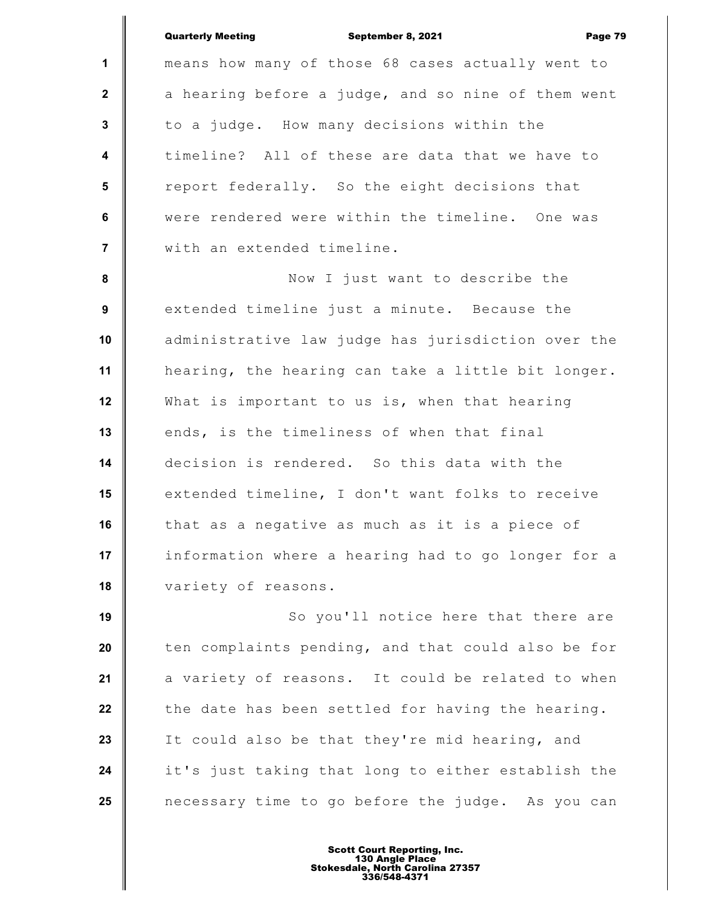|                         | <b>Quarterly Meeting</b><br>September 8, 2021<br>Page 79 |
|-------------------------|----------------------------------------------------------|
| $\mathbf{1}$            | means how many of those 68 cases actually went to        |
| $\mathbf{2}$            | a hearing before a judge, and so nine of them went       |
| 3                       | to a judge. How many decisions within the                |
| $\boldsymbol{4}$        | timeline? All of these are data that we have to          |
| $5\phantom{.0}$         | report federally. So the eight decisions that            |
| 6                       | were rendered were within the timeline. One was          |
| $\overline{\mathbf{r}}$ | with an extended timeline.                               |
| $\pmb{8}$               | Now I just want to describe the                          |
| 9                       | extended timeline just a minute. Because the             |
| 10                      | administrative law judge has jurisdiction over the       |
| 11                      | hearing, the hearing can take a little bit longer.       |
| 12                      | What is important to us is, when that hearing            |
| 13                      | ends, is the timeliness of when that final               |
| 14                      | decision is rendered. So this data with the              |
| 15                      | extended timeline, I don't want folks to receive         |
| 16                      | that as a negative as much as it is a piece of           |
| 17                      | information where a hearing had to go longer for a       |
| 18                      | variety of reasons.                                      |
| 19                      | So you'll notice here that there are                     |
| 20                      | ten complaints pending, and that could also be for       |
| 21                      | a variety of reasons. It could be related to when        |
| 22                      | the date has been settled for having the hearing.        |
| 23                      | It could also be that they're mid hearing, and           |
| 24                      | it's just taking that long to either establish the       |
| 25                      | necessary time to go before the judge. As you can        |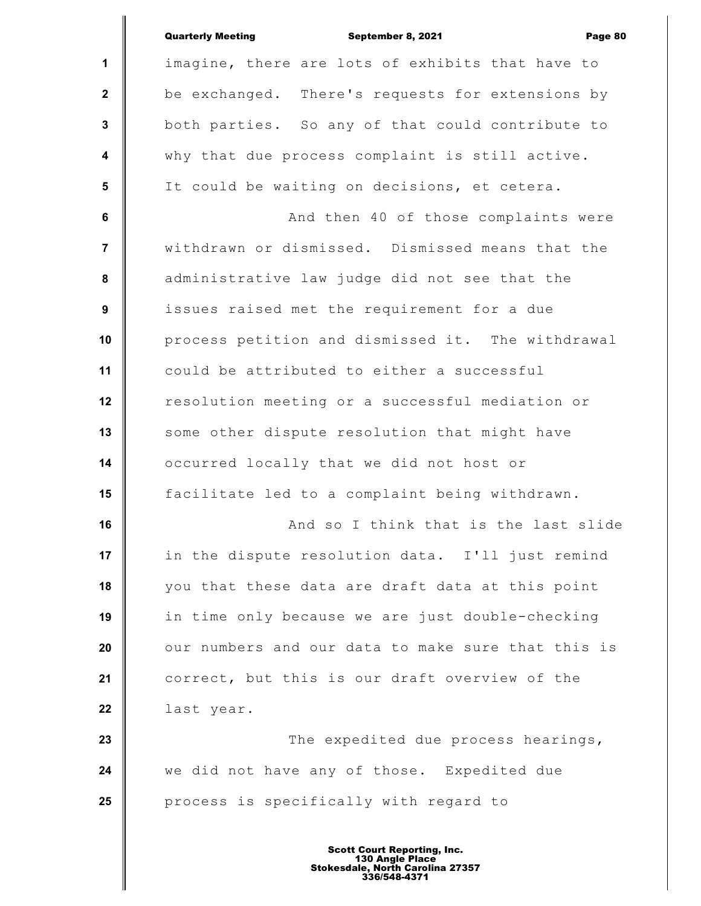|                  | <b>Quarterly Meeting</b><br>September 8, 2021<br>Page 80 |
|------------------|----------------------------------------------------------|
| $\mathbf{1}$     | imagine, there are lots of exhibits that have to         |
| $\mathbf{2}$     | be exchanged. There's requests for extensions by         |
| $\mathbf{3}$     | both parties. So any of that could contribute to         |
| $\boldsymbol{4}$ | why that due process complaint is still active.          |
| $5\phantom{1}$   | It could be waiting on decisions, et cetera.             |
| 6                | And then 40 of those complaints were                     |
| $\overline{7}$   | withdrawn or dismissed. Dismissed means that the         |
| ${\bf 8}$        | administrative law judge did not see that the            |
| $\boldsymbol{9}$ | issues raised met the requirement for a due              |
| 10               | process petition and dismissed it. The withdrawal        |
| 11               | could be attributed to either a successful               |
| 12               | resolution meeting or a successful mediation or          |
| 13               | some other dispute resolution that might have            |
| 14               | occurred locally that we did not host or                 |
| 15               | facilitate led to a complaint being withdrawn.           |
| 16               | And so I think that is the last slide                    |
| 17               | in the dispute resolution data. I'll just remind         |
| 18               | you that these data are draft data at this point         |
| 19               | in time only because we are just double-checking         |
| 20               | our numbers and our data to make sure that this is       |
| 21               | correct, but this is our draft overview of the           |
| 22               | last year.                                               |
| 23               | The expedited due process hearings,                      |
| 24               | we did not have any of those. Expedited due              |
| 25               | process is specifically with regard to                   |
|                  |                                                          |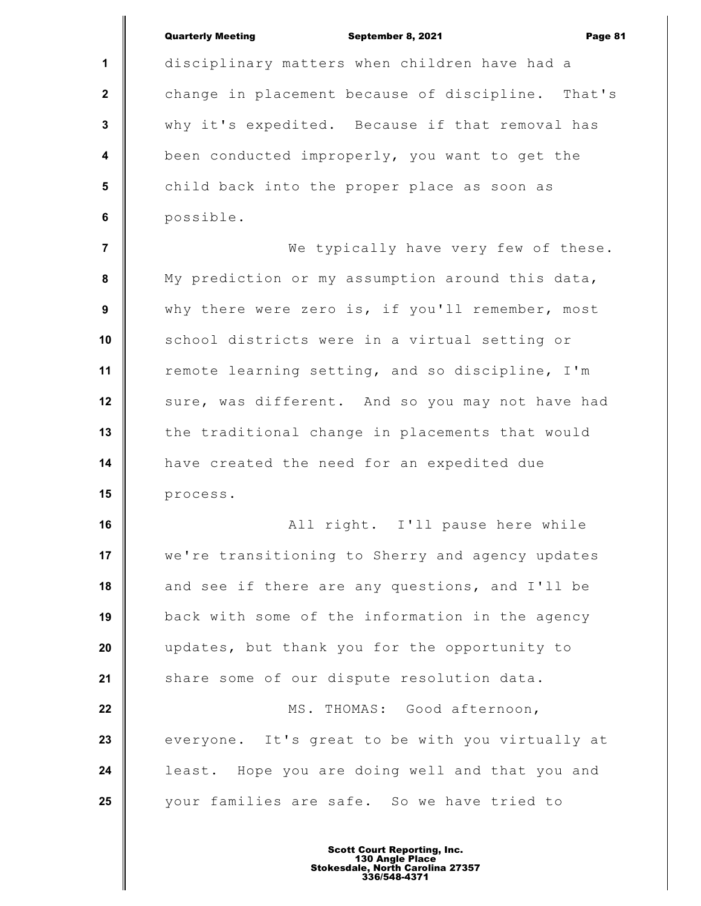|                         | <b>Quarterly Meeting</b><br>September 8, 2021<br>Page 81 |
|-------------------------|----------------------------------------------------------|
| 1                       | disciplinary matters when children have had a            |
| $\mathbf{2}$            | change in placement because of discipline. That's        |
| $\mathbf{3}$            | why it's expedited. Because if that removal has          |
| $\overline{\mathbf{4}}$ | been conducted improperly, you want to get the           |
| 5                       | child back into the proper place as soon as              |
| $6\phantom{a}$          | possible.                                                |
| $\overline{7}$          | We typically have very few of these.                     |
| ${\bf 8}$               | My prediction or my assumption around this data,         |
| $\boldsymbol{9}$        | why there were zero is, if you'll remember, most         |
| 10                      | school districts were in a virtual setting or            |
| 11                      | remote learning setting, and so discipline, I'm          |
| 12                      | sure, was different. And so you may not have had         |
| 13                      | the traditional change in placements that would          |
| 14                      | have created the need for an expedited due               |
| 15                      | process.                                                 |
| 16                      | All right. I'll pause here while                         |
| 17                      | we're transitioning to Sherry and agency updates         |
| 18                      | and see if there are any questions, and I'll be          |
| 19                      | back with some of the information in the agency          |
| 20                      | updates, but thank you for the opportunity to            |
| 21                      | share some of our dispute resolution data.               |
| 22                      | MS. THOMAS: Good afternoon,                              |
| 23                      | everyone. It's great to be with you virtually at         |
| 24                      | least. Hope you are doing well and that you and          |
| 25                      | your families are safe. So we have tried to              |
|                         |                                                          |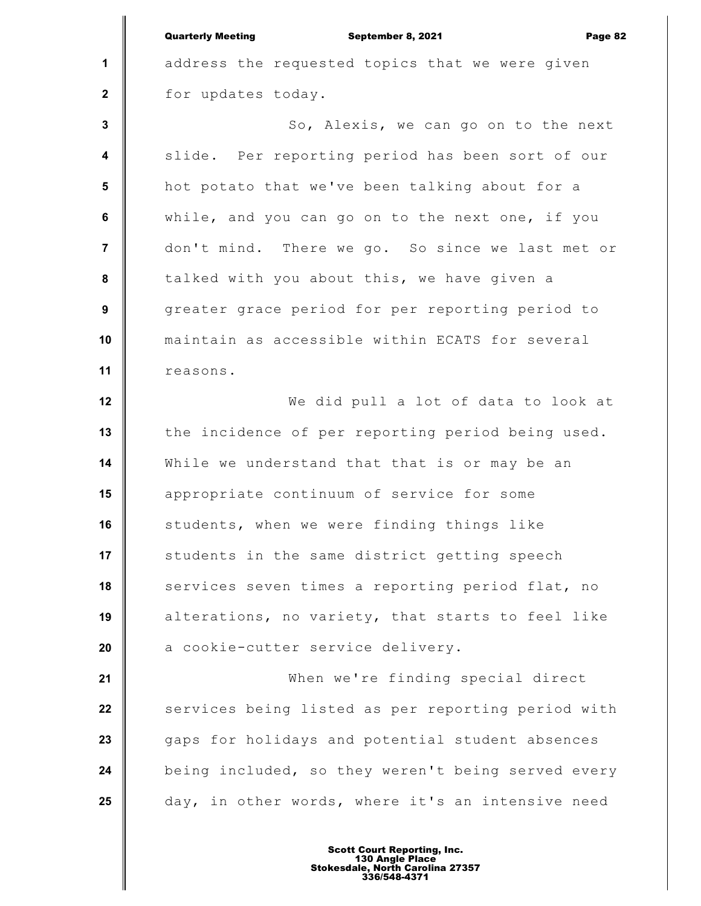**1 2 3 4 5 6 7 8 9 10 11 12 13 14 15 16 17 18 19 20 21 22 23 24 25** Quarterly Meeting September 8, 2021 Page 82 address the requested topics that we were given for updates today. So, Alexis, we can go on to the next slide. Per reporting period has been sort of our hot potato that we've been talking about for a while, and you can go on to the next one, if you don't mind. There we go. So since we last met or talked with you about this, we have given a greater grace period for per reporting period to maintain as accessible within ECATS for several reasons. We did pull a lot of data to look at the incidence of per reporting period being used. While we understand that that is or may be an appropriate continuum of service for some students, when we were finding things like students in the same district getting speech services seven times a reporting period flat, no alterations, no variety, that starts to feel like a cookie-cutter service delivery. When we're finding special direct services being listed as per reporting period with gaps for holidays and potential student absences being included, so they weren't being served every day, in other words, where it's an intensive need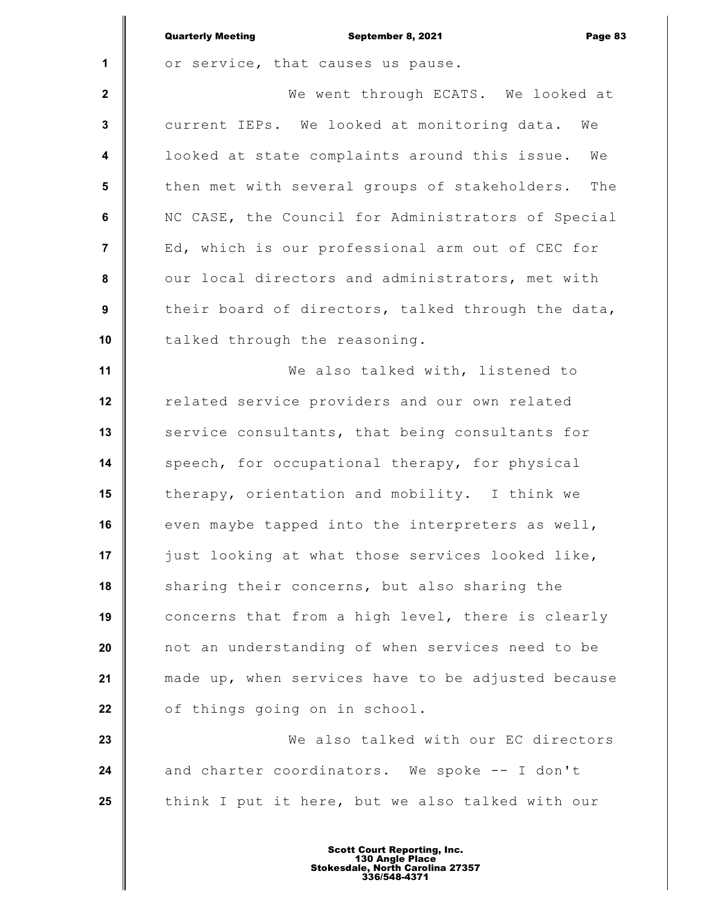|                         | <b>Quarterly Meeting</b><br>September 8, 2021<br>Page 83 |
|-------------------------|----------------------------------------------------------|
| 1                       | or service, that causes us pause.                        |
| $\mathbf{2}$            | We went through ECATS. We looked at                      |
| $\mathbf{3}$            | current IEPs. We looked at monitoring data.<br>We        |
| $\overline{\mathbf{4}}$ | looked at state complaints around this issue.<br>We      |
| 5                       | then met with several groups of stakeholders.<br>The     |
| $\bf 6$                 | NC CASE, the Council for Administrators of Special       |
| 7                       | Ed, which is our professional arm out of CEC for         |
| 8                       | our local directors and administrators, met with         |
| 9                       | their board of directors, talked through the data,       |
| 10                      | talked through the reasoning.                            |
| 11                      | We also talked with, listened to                         |
| 12                      | related service providers and our own related            |
| 13                      | service consultants, that being consultants for          |
| 14                      | speech, for occupational therapy, for physical           |
| 15                      | therapy, orientation and mobility. I think we            |
| 16                      | even maybe tapped into the interpreters as well,         |
| 17                      | just looking at what those services looked like,         |
| 18                      | sharing their concerns, but also sharing the             |
| 19                      | concerns that from a high level, there is clearly        |
| 20                      | not an understanding of when services need to be         |
| 21                      | made up, when services have to be adjusted because       |
| 22                      | of things going on in school.                            |
| 23                      | We also talked with our EC directors                     |
| 24                      | and charter coordinators. We spoke -- I don't            |
| 25                      | think I put it here, but we also talked with our         |
|                         |                                                          |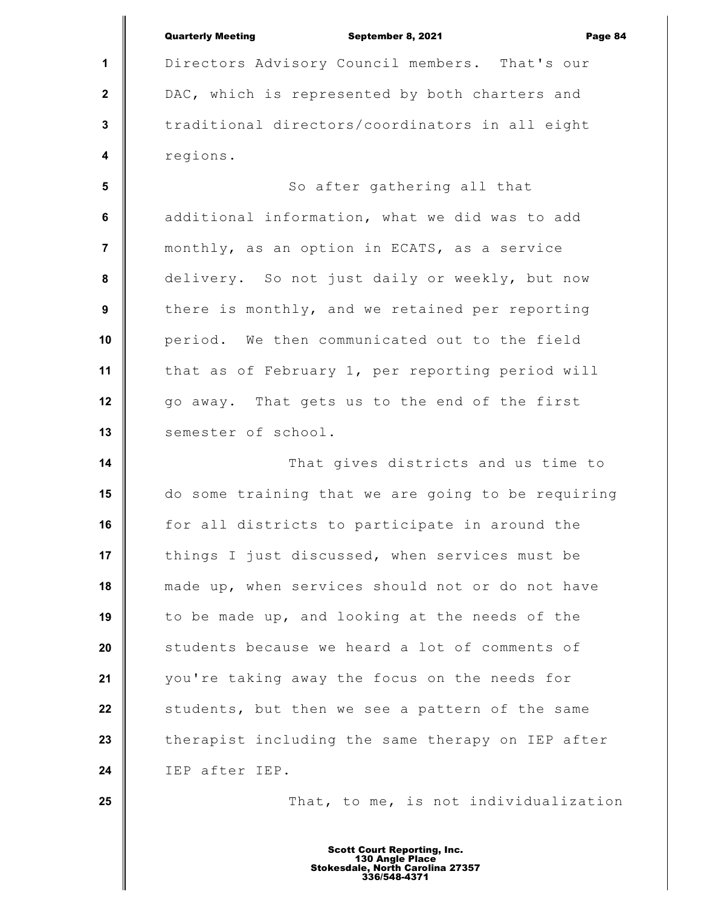|                         | <b>Quarterly Meeting</b><br>September 8, 2021<br>Page 84 |
|-------------------------|----------------------------------------------------------|
| 1                       | Directors Advisory Council members. That's our           |
| $\mathbf 2$             | DAC, which is represented by both charters and           |
| 3                       | traditional directors/coordinators in all eight          |
| $\overline{\mathbf{4}}$ | regions.                                                 |
| 5                       | So after gathering all that                              |
| $\bf 6$                 | additional information, what we did was to add           |
| $\overline{7}$          | monthly, as an option in ECATS, as a service             |
| 8                       | delivery. So not just daily or weekly, but now           |
| 9                       | there is monthly, and we retained per reporting          |
| 10                      | period. We then communicated out to the field            |
| 11                      | that as of February 1, per reporting period will         |
| 12                      | go away. That gets us to the end of the first            |
| 13                      | semester of school.                                      |
| 14                      | That gives districts and us time to                      |
| 15                      | do some training that we are going to be requiring       |
| 16                      | for all districts to participate in around the           |
| 17                      | things I just discussed, when services must be           |
| 18                      | made up, when services should not or do not have         |
| 19                      | to be made up, and looking at the needs of the           |
| 20                      | students because we heard a lot of comments of           |
| 21                      | you're taking away the focus on the needs for            |
| 22                      | students, but then we see a pattern of the same          |
| 23                      | therapist including the same therapy on IEP after        |
| 24                      | IEP after IEP.                                           |
| 25                      | That, to me, is not individualization                    |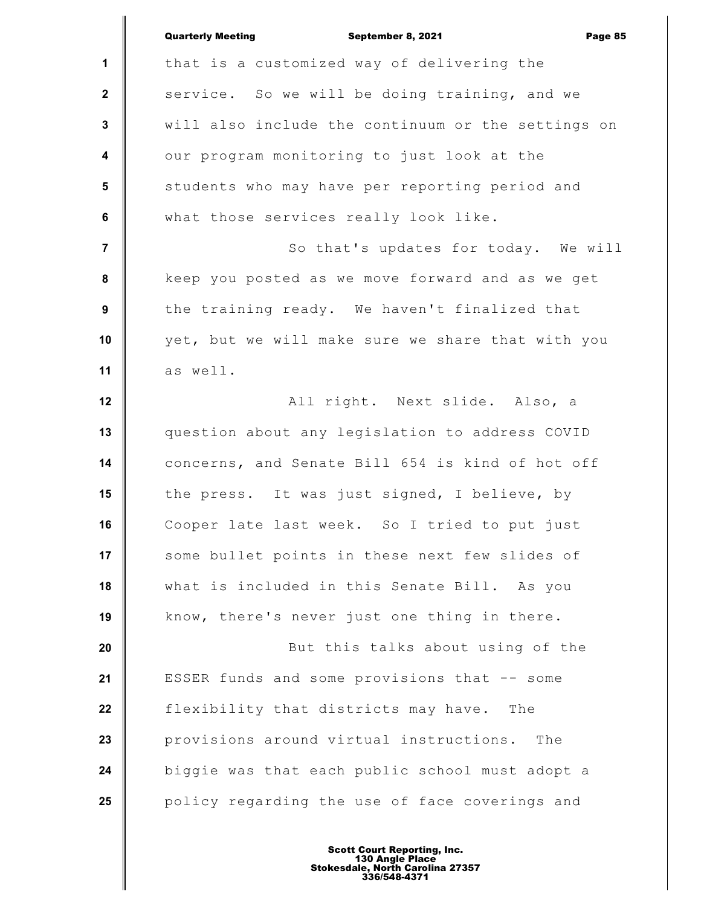|                         | <b>Quarterly Meeting</b><br>September 8, 2021<br>Page 85 |
|-------------------------|----------------------------------------------------------|
| 1                       | that is a customized way of delivering the               |
| $\mathbf 2$             | service. So we will be doing training, and we            |
| 3                       | will also include the continuum or the settings on       |
| $\overline{\mathbf{4}}$ | our program monitoring to just look at the               |
| 5                       | students who may have per reporting period and           |
| $\bf 6$                 | what those services really look like.                    |
| $\overline{7}$          | So that's updates for today. We will                     |
| 8                       | keep you posted as we move forward and as we get         |
| $\boldsymbol{9}$        | the training ready. We haven't finalized that            |
| 10                      | yet, but we will make sure we share that with you        |
| 11                      | as well.                                                 |
| 12                      | All right. Next slide. Also, a                           |
| 13                      | question about any legislation to address COVID          |
| 14                      | concerns, and Senate Bill 654 is kind of hot off         |
| 15                      | the press. It was just signed, I believe, by             |
| 16                      | Cooper late last week. So I tried to put just            |
| 17                      | some bullet points in these next few slides of           |
| 18                      | what is included in this Senate Bill. As you             |
| 19                      | know, there's never just one thing in there.             |
| 20                      | But this talks about using of the                        |
| 21                      | ESSER funds and some provisions that -- some             |
| 22                      | flexibility that districts may have.<br>The              |
| 23                      | provisions around virtual instructions.<br>The           |
| 24                      | biggie was that each public school must adopt a          |
| 25                      | policy regarding the use of face coverings and           |
|                         |                                                          |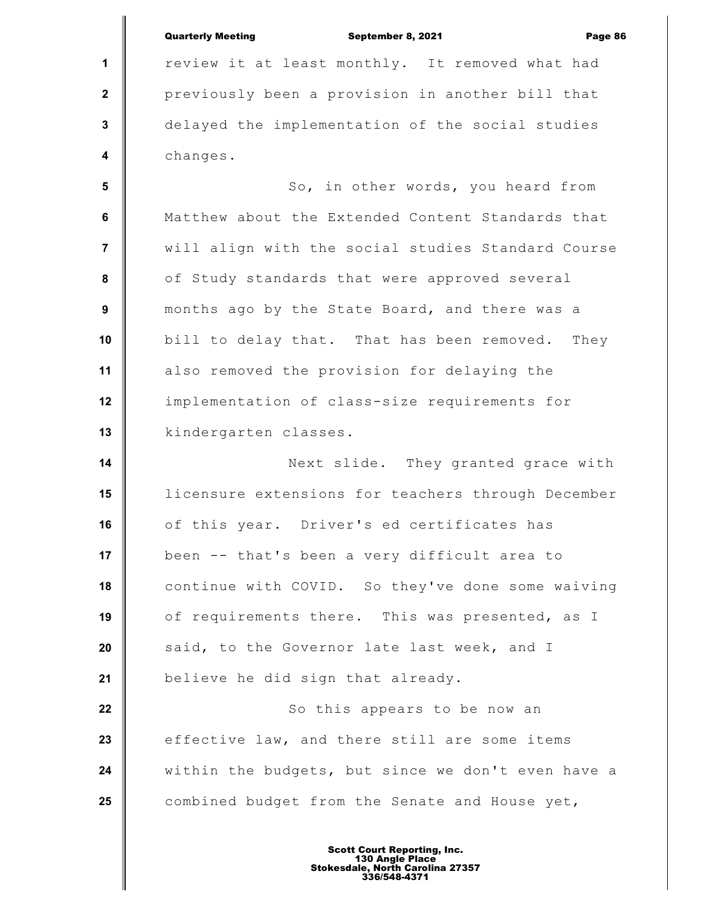|                         | <b>Quarterly Meeting</b><br>September 8, 2021<br>Page 86 |
|-------------------------|----------------------------------------------------------|
| $\mathbf{1}$            | review it at least monthly. It removed what had          |
| $\mathbf{2}$            | previously been a provision in another bill that         |
| 3                       | delayed the implementation of the social studies         |
| $\overline{\mathbf{4}}$ | changes.                                                 |
| 5                       | So, in other words, you heard from                       |
| 6                       | Matthew about the Extended Content Standards that        |
| 7                       | will align with the social studies Standard Course       |
| 8                       | of Study standards that were approved several            |
| $\boldsymbol{9}$        | months ago by the State Board, and there was a           |
| 10                      | bill to delay that. That has been removed.<br>They       |
| 11                      | also removed the provision for delaying the              |
| 12                      | implementation of class-size requirements for            |
| 13                      | kindergarten classes.                                    |
| 14                      | Next slide. They granted grace with                      |
| 15                      | licensure extensions for teachers through December       |
| 16                      | of this year. Driver's ed certificates has               |
| 17                      | been -- that's been a very difficult area to             |
| 18                      | continue with COVID. So they've done some waiving        |
| 19                      | of requirements there. This was presented, as I          |
| 20                      | said, to the Governor late last week, and I              |
| 21                      | believe he did sign that already.                        |
| 22                      | So this appears to be now an                             |
| 23                      | effective law, and there still are some items            |
| 24                      | within the budgets, but since we don't even have a       |
| 25                      | combined budget from the Senate and House yet,           |
|                         |                                                          |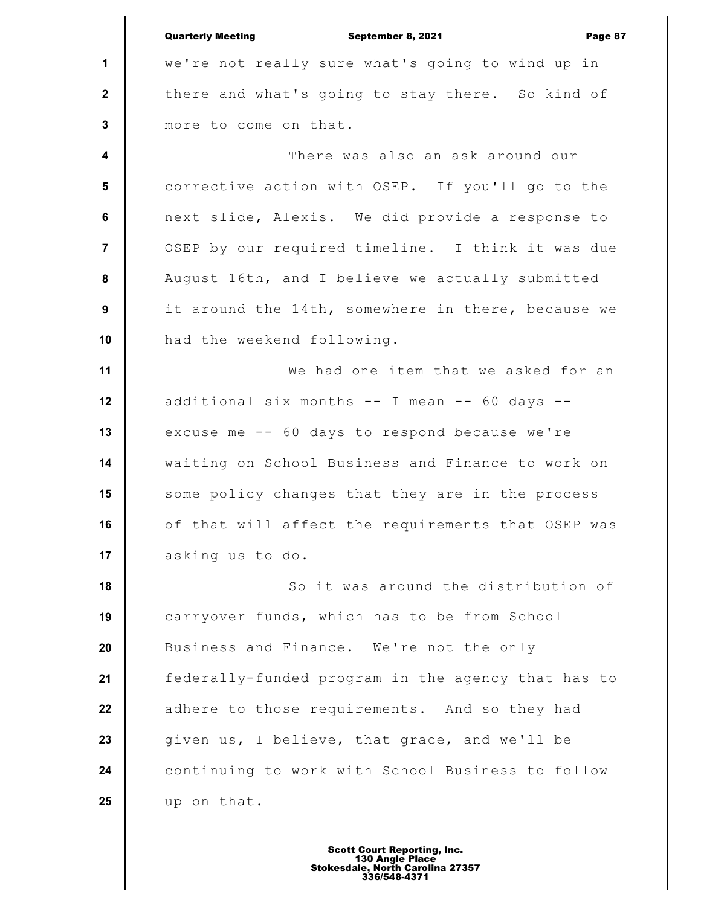|                  | <b>Quarterly Meeting</b><br>September 8, 2021<br>Page 87 |
|------------------|----------------------------------------------------------|
| $\mathbf{1}$     | we're not really sure what's going to wind up in         |
| $\mathbf{2}$     | there and what's going to stay there. So kind of         |
| $\mathbf{3}$     | more to come on that.                                    |
| $\boldsymbol{4}$ | There was also an ask around our                         |
| 5                | corrective action with OSEP. If you'll go to the         |
| 6                | next slide, Alexis. We did provide a response to         |
| $\overline{7}$   | OSEP by our required timeline. I think it was due        |
| 8                | August 16th, and I believe we actually submitted         |
| 9                | it around the 14th, somewhere in there, because we       |
| 10               | had the weekend following.                               |
| 11               | We had one item that we asked for an                     |
| 12               | additional six months -- I mean -- 60 days --            |
| 13               | excuse me -- 60 days to respond because we're            |
| 14               | waiting on School Business and Finance to work on        |
| 15               | some policy changes that they are in the process         |
| 16               | of that will affect the requirements that OSEP was       |
| 17               | asking us to do.                                         |
| 18               | So it was around the distribution of                     |
| 19               | carryover funds, which has to be from School             |
| 20               | Business and Finance. We're not the only                 |
| 21               | federally-funded program in the agency that has to       |
| 22               | adhere to those requirements. And so they had            |
| 23               | given us, I believe, that grace, and we'll be            |
| 24               | continuing to work with School Business to follow        |
| 25               | up on that.                                              |
|                  |                                                          |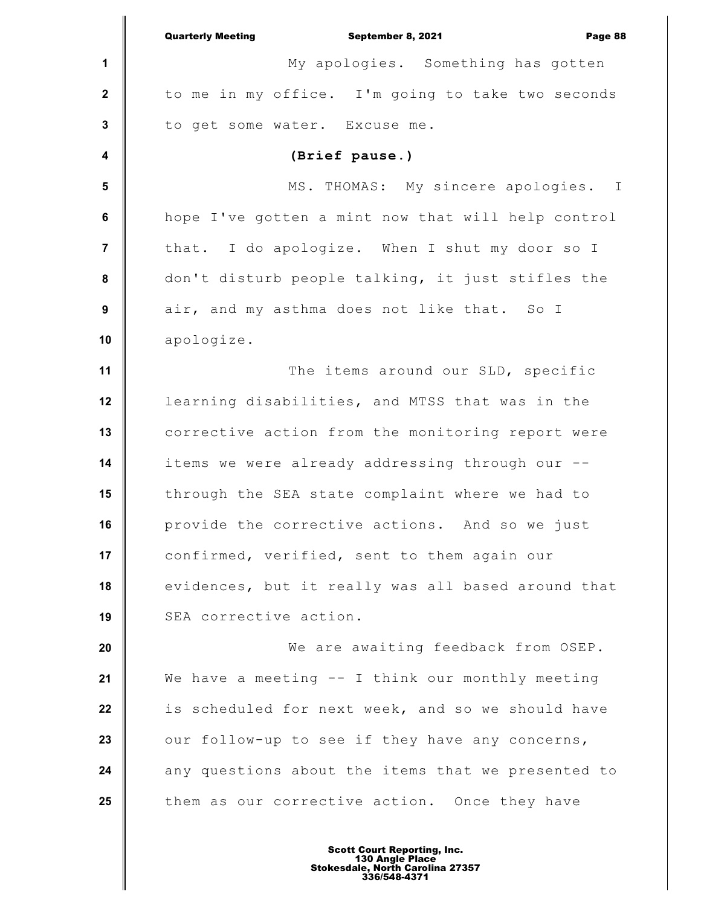|                         | <b>Quarterly Meeting</b><br>September 8, 2021<br>Page 88 |
|-------------------------|----------------------------------------------------------|
| 1                       | My apologies. Something has gotten                       |
| $\mathbf{2}$            | to me in my office. I'm going to take two seconds        |
| $\mathbf 3$             | to get some water. Excuse me.                            |
| $\overline{\mathbf{4}}$ | (Brief pause.)                                           |
| 5                       | MS. THOMAS: My sincere apologies. I                      |
| 6                       | hope I've gotten a mint now that will help control       |
| 7                       | that. I do apologize. When I shut my door so I           |
| 8                       | don't disturb people talking, it just stifles the        |
| 9                       | air, and my asthma does not like that. So I              |
| 10                      | apologize.                                               |
| 11                      | The items around our SLD, specific                       |
| 12                      | learning disabilities, and MTSS that was in the          |
| 13                      | corrective action from the monitoring report were        |
| 14                      | items we were already addressing through our --          |
| 15                      | through the SEA state complaint where we had to          |
| 16                      | provide the corrective actions. And so we just           |
| 17                      | confirmed, verified, sent to them again our              |
| 18                      | evidences, but it really was all based around that       |
| 19                      | SEA corrective action.                                   |
| 20                      | We are awaiting feedback from OSEP.                      |
| 21                      | We have a meeting -- I think our monthly meeting         |
| 22                      | is scheduled for next week, and so we should have        |
| 23                      | our follow-up to see if they have any concerns,          |
| 24                      | any questions about the items that we presented to       |
| 25                      | them as our corrective action. Once they have            |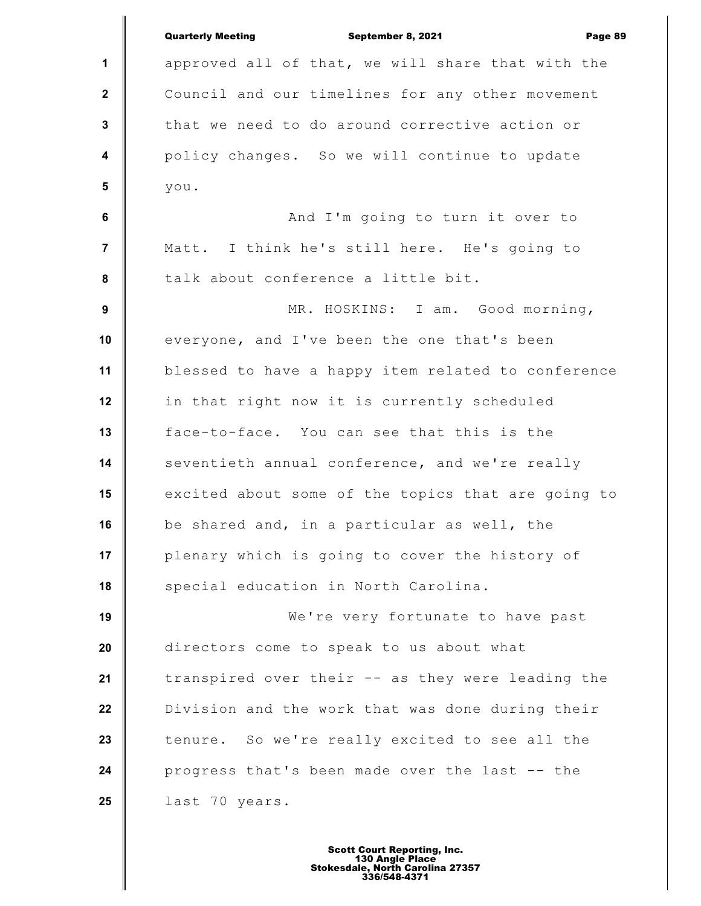|                         | <b>Quarterly Meeting</b><br>September 8, 2021<br>Page 89 |
|-------------------------|----------------------------------------------------------|
| 1                       | approved all of that, we will share that with the        |
| $\mathbf{2}$            | Council and our timelines for any other movement         |
| $\mathbf{3}$            | that we need to do around corrective action or           |
| $\overline{\mathbf{4}}$ | policy changes. So we will continue to update            |
| $5\phantom{1}$          | you.                                                     |
| 6                       | And I'm going to turn it over to                         |
| $\overline{7}$          | Matt. I think he's still here. He's going to             |
| 8                       | talk about conference a little bit.                      |
| $\boldsymbol{9}$        | MR. HOSKINS: I am. Good morning,                         |
| 10                      | everyone, and I've been the one that's been              |
| 11                      | blessed to have a happy item related to conference       |
| 12                      | in that right now it is currently scheduled              |
| 13                      | face-to-face. You can see that this is the               |
| 14                      | seventieth annual conference, and we're really           |
| 15                      | excited about some of the topics that are going to       |
| 16                      | be shared and, in a particular as well, the              |
| 17                      | plenary which is going to cover the history of           |
| 18                      | special education in North Carolina.                     |
| 19                      | We're very fortunate to have past                        |
| 20                      | directors come to speak to us about what                 |
| 21                      | transpired over their -- as they were leading the        |
| 22                      | Division and the work that was done during their         |
| 23                      | tenure. So we're really excited to see all the           |
| 24                      | progress that's been made over the last -- the           |
| 25                      | last 70 years.                                           |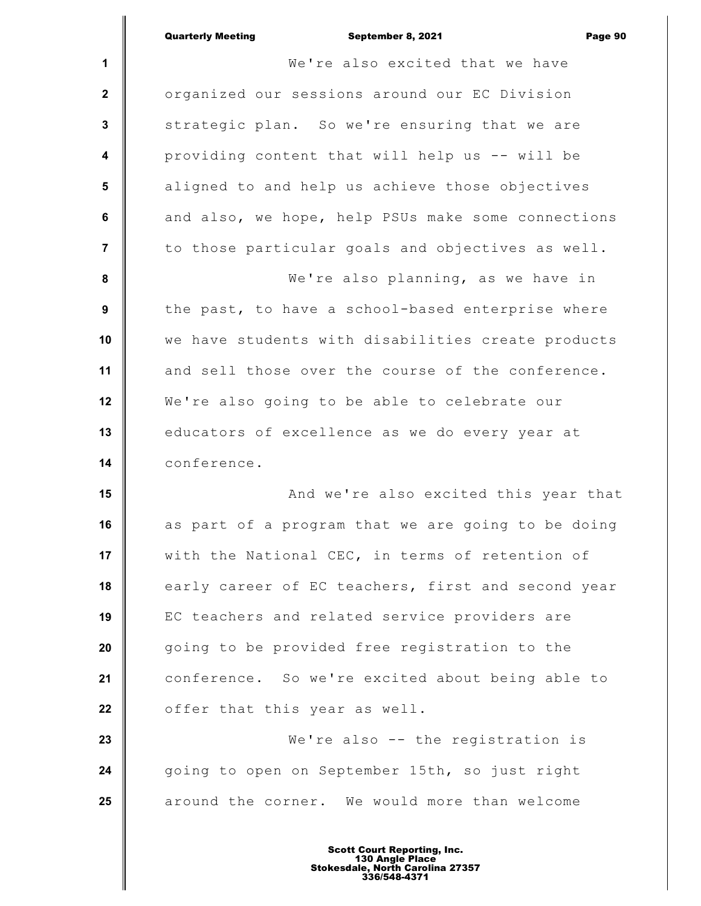|                         | <b>Quarterly Meeting</b><br>September 8, 2021<br>Page 90 |
|-------------------------|----------------------------------------------------------|
| 1                       | We're also excited that we have                          |
| $\mathbf{2}$            | organized our sessions around our EC Division            |
| 3                       | strategic plan. So we're ensuring that we are            |
| $\overline{\mathbf{4}}$ | providing content that will help us -- will be           |
| $5\phantom{1}$          | aligned to and help us achieve those objectives          |
| $\bf 6$                 | and also, we hope, help PSUs make some connections       |
| $\overline{\mathbf{7}}$ | to those particular goals and objectives as well.        |
| 8                       | We're also planning, as we have in                       |
| $\boldsymbol{9}$        | the past, to have a school-based enterprise where        |
| 10                      | we have students with disabilities create products       |
| 11                      | and sell those over the course of the conference.        |
| 12                      | We're also going to be able to celebrate our             |
| 13                      | educators of excellence as we do every year at           |
| 14                      | conference.                                              |
| 15                      | And we're also excited this year that                    |
| 16                      | as part of a program that we are going to be doing       |
| 17                      | with the National CEC, in terms of retention of          |
| 18                      | early career of EC teachers, first and second year       |
| 19                      | EC teachers and related service providers are            |
| 20                      | going to be provided free registration to the            |
| 21                      | conference. So we're excited about being able to         |
| 22                      | offer that this year as well.                            |
| 23                      | We're also -- the registration is                        |
| 24                      | going to open on September 15th, so just right           |
| 25                      | around the corner. We would more than welcome            |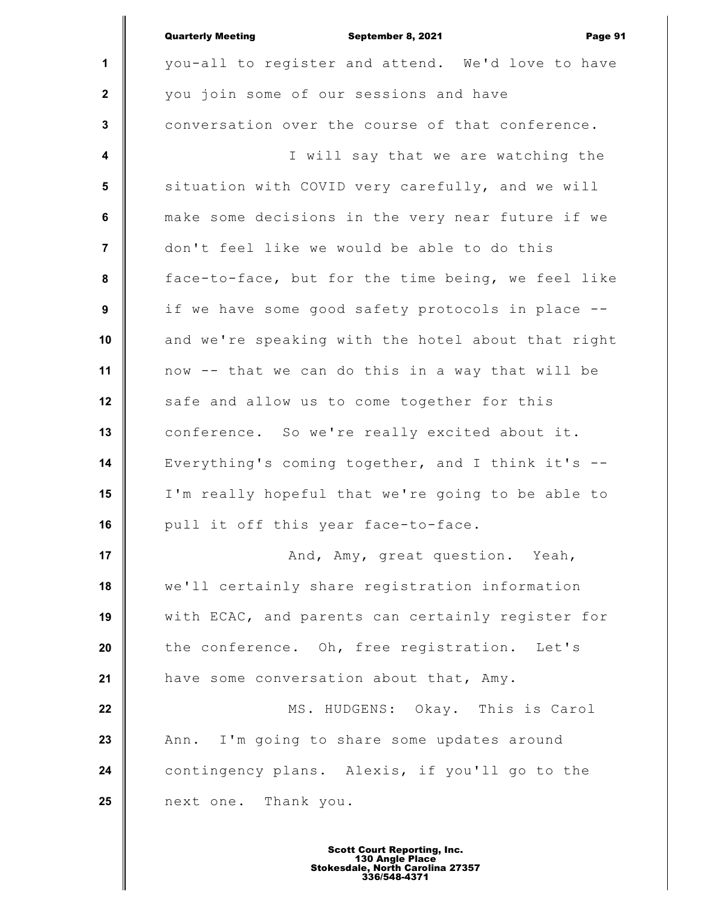|                  | <b>Quarterly Meeting</b><br>September 8, 2021<br>Page 91 |
|------------------|----------------------------------------------------------|
| $\mathbf{1}$     | you-all to register and attend. We'd love to have        |
| $\mathbf{2}$     | you join some of our sessions and have                   |
| $\mathbf{3}$     | conversation over the course of that conference.         |
| $\boldsymbol{4}$ | I will say that we are watching the                      |
| 5                | situation with COVID very carefully, and we will         |
| 6                | make some decisions in the very near future if we        |
| $\overline{7}$   | don't feel like we would be able to do this              |
| 8                | face-to-face, but for the time being, we feel like       |
| 9                | if we have some good safety protocols in place --        |
| 10               | and we're speaking with the hotel about that right       |
| 11               | now -- that we can do this in a way that will be         |
| 12               | safe and allow us to come together for this              |
| 13               | conference. So we're really excited about it.            |
| 14               | Everything's coming together, and I think it's --        |
| 15               | I'm really hopeful that we're going to be able to        |
| 16               | pull it off this year face-to-face.                      |
| 17               | And, Amy, great question. Yeah,                          |
| 18               | we'll certainly share registration information           |
| 19               | with ECAC, and parents can certainly register for        |
| 20               | the conference. Oh, free registration. Let's             |
| 21               | have some conversation about that, Amy.                  |
| 22               | MS. HUDGENS: Okay. This is Carol                         |
| 23               | I'm going to share some updates around<br>Ann.           |
| 24               | contingency plans. Alexis, if you'll go to the           |
| 25               | next one. Thank you.                                     |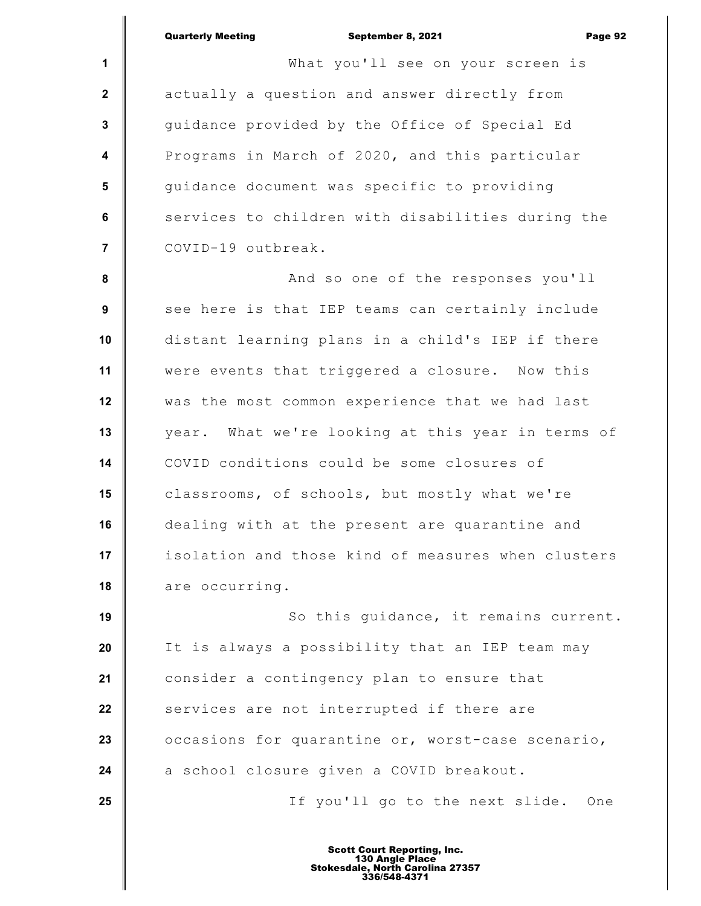**1 2 3 4 5 6 7 8 9 10 11 12 13 14 15 16 17 18 19 20 21 22 23 24 25** Quarterly Meeting September 8, 2021 Page 92 What you'll see on your screen is actually a question and answer directly from guidance provided by the Office of Special Ed Programs in March of 2020, and this particular guidance document was specific to providing services to children with disabilities during the COVID-19 outbreak. And so one of the responses you'll see here is that IEP teams can certainly include distant learning plans in a child's IEP if there were events that triggered a closure. Now this was the most common experience that we had last year. What we're looking at this year in terms of COVID conditions could be some closures of classrooms, of schools, but mostly what we're dealing with at the present are quarantine and isolation and those kind of measures when clusters are occurring. So this guidance, it remains current. It is always a possibility that an IEP team may consider a contingency plan to ensure that services are not interrupted if there are occasions for quarantine or, worst-case scenario, a school closure given a COVID breakout. If you'll go to the next slide. One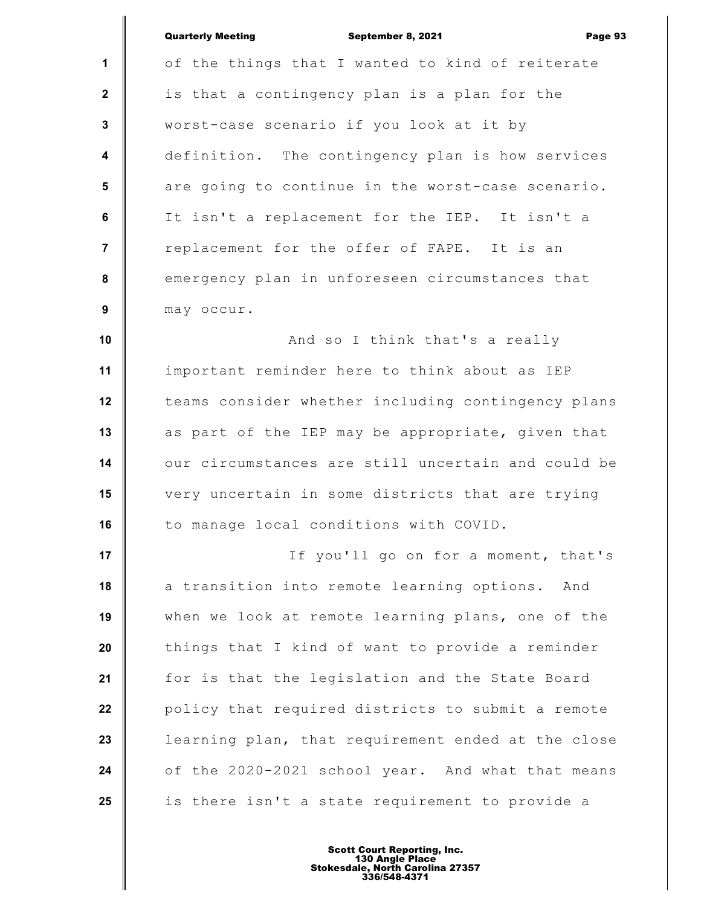|                         | <b>Quarterly Meeting</b><br>September 8, 2021<br>Page 93 |
|-------------------------|----------------------------------------------------------|
| $\mathbf{1}$            | of the things that I wanted to kind of reiterate         |
| $\mathbf{2}$            | is that a contingency plan is a plan for the             |
| $\mathbf{3}$            | worst-case scenario if you look at it by                 |
| $\overline{\mathbf{4}}$ | definition. The contingency plan is how services         |
| 5                       | are going to continue in the worst-case scenario.        |
| 6                       | It isn't a replacement for the IEP. It isn't a           |
| $\overline{7}$          | replacement for the offer of FAPE. It is an              |
| ${\bf 8}$               | emergency plan in unforeseen circumstances that          |
| $\boldsymbol{9}$        | may occur.                                               |
| 10                      | And so I think that's a really                           |
| 11                      | important reminder here to think about as IEP            |
| 12                      | teams consider whether including contingency plans       |
| 13                      | as part of the IEP may be appropriate, given that        |
| 14                      | our circumstances are still uncertain and could be       |
| 15                      | very uncertain in some districts that are trying         |
| 16                      | to manage local conditions with COVID.                   |
| 17                      | If you'll go on for a moment, that's                     |
| 18                      | a transition into remote learning options. And           |
| 19                      | when we look at remote learning plans, one of the        |
| 20                      | things that I kind of want to provide a reminder         |
| 21                      | for is that the legislation and the State Board          |
| 22                      | policy that required districts to submit a remote        |
| 23                      | learning plan, that requirement ended at the close       |
| 24                      | of the 2020-2021 school year. And what that means        |
| 25                      | is there isn't a state requirement to provide a          |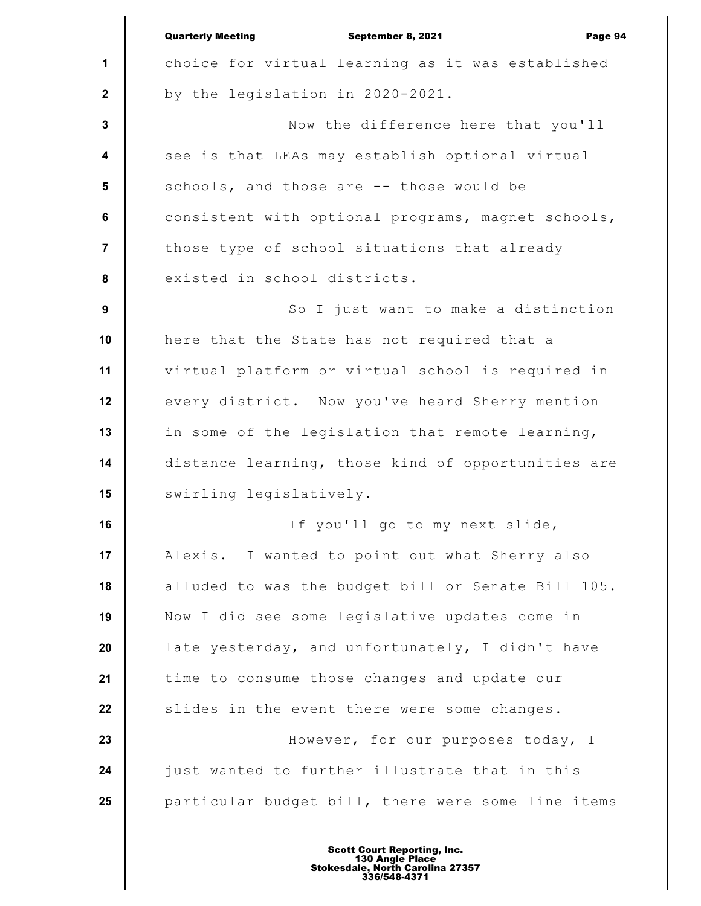**1 2 3 4 5 6 7 8 9 10 11 12 13 14 15 16 17 18 19 20 21 22 23 24 25** Quarterly Meeting September 8, 2021 Page 94 choice for virtual learning as it was established by the legislation in 2020-2021. Now the difference here that you'll see is that LEAs may establish optional virtual schools, and those are -- those would be consistent with optional programs, magnet schools, those type of school situations that already existed in school districts. So I just want to make a distinction here that the State has not required that a virtual platform or virtual school is required in every district. Now you've heard Sherry mention in some of the legislation that remote learning, distance learning, those kind of opportunities are swirling legislatively. If you'll go to my next slide, Alexis. I wanted to point out what Sherry also alluded to was the budget bill or Senate Bill 105. Now I did see some legislative updates come in late yesterday, and unfortunately, I didn't have time to consume those changes and update our slides in the event there were some changes. However, for our purposes today, I just wanted to further illustrate that in this particular budget bill, there were some line items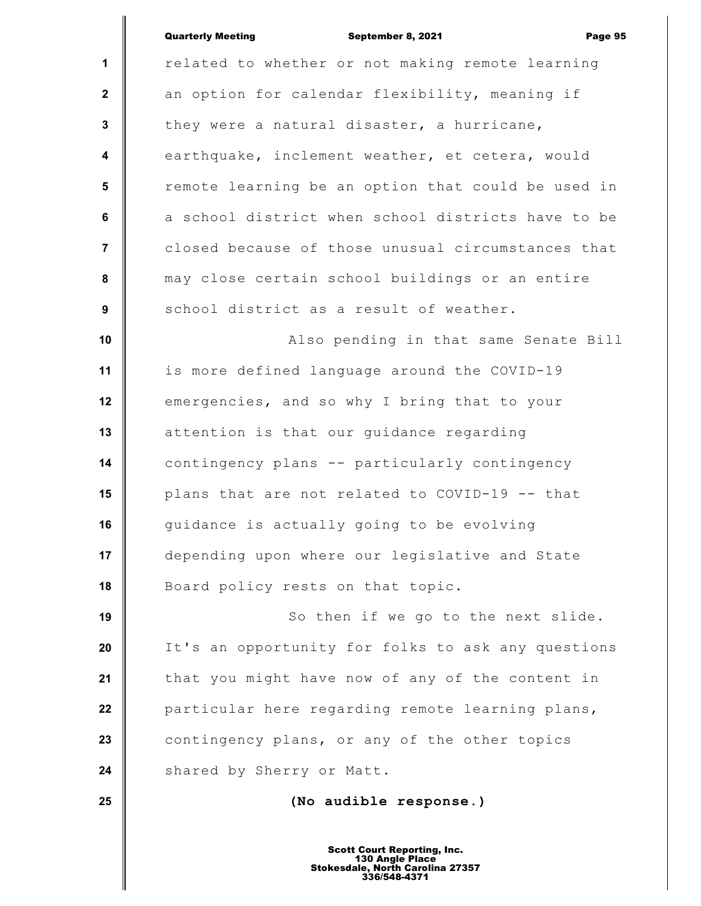|                         | <b>Quarterly Meeting</b><br>September 8, 2021<br>Page 95 |
|-------------------------|----------------------------------------------------------|
| 1                       | related to whether or not making remote learning         |
| $\mathbf{2}$            | an option for calendar flexibility, meaning if           |
| 3                       | they were a natural disaster, a hurricane,               |
| $\overline{\mathbf{4}}$ | earthquake, inclement weather, et cetera, would          |
| $5\phantom{1}$          | remote learning be an option that could be used in       |
| $\bf 6$                 | a school district when school districts have to be       |
| $\overline{7}$          | closed because of those unusual circumstances that       |
| 8                       | may close certain school buildings or an entire          |
| $\boldsymbol{9}$        | school district as a result of weather.                  |
| 10                      | Also pending in that same Senate Bill                    |
| 11                      | is more defined language around the COVID-19             |
| 12                      | emergencies, and so why I bring that to your             |
| 13                      | attention is that our guidance regarding                 |
| 14                      | contingency plans -- particularly contingency            |
| 15                      | plans that are not related to COVID-19 -- that           |
| 16                      | guidance is actually going to be evolving                |
| 17                      | depending upon where our legislative and State           |
| 18                      | Board policy rests on that topic.                        |
| 19                      | So then if we go to the next slide.                      |
| 20                      | It's an opportunity for folks to ask any questions       |
| 21                      | that you might have now of any of the content in         |
| 22                      | particular here regarding remote learning plans,         |
| 23                      | contingency plans, or any of the other topics            |
| 24                      | shared by Sherry or Matt.                                |
| 25                      | (No audible response.)                                   |
|                         |                                                          |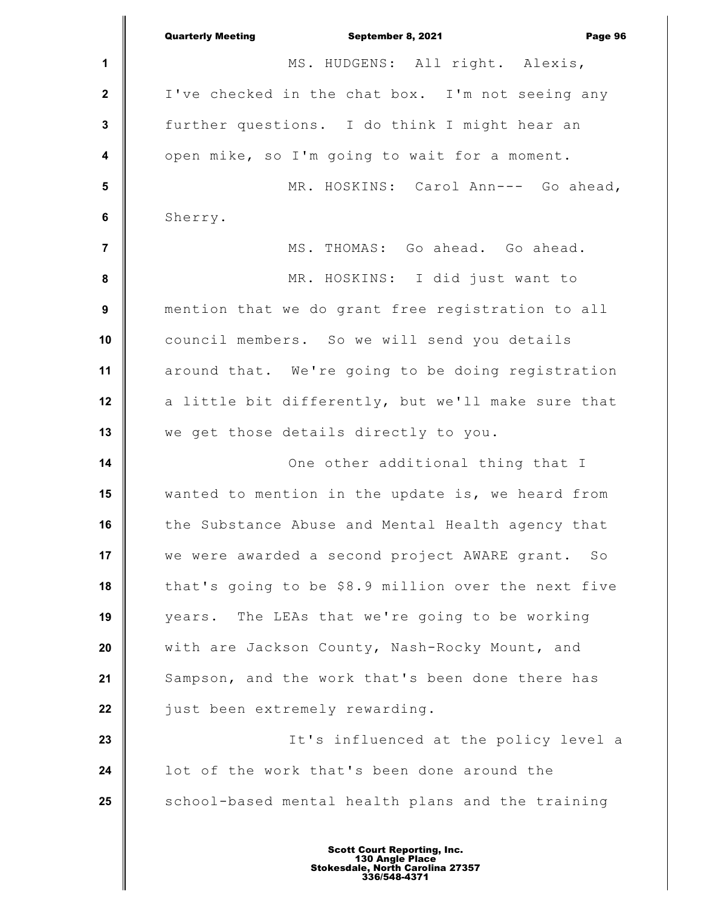|                         | <b>Quarterly Meeting</b><br>September 8, 2021<br>Page 96 |
|-------------------------|----------------------------------------------------------|
| 1                       | MS. HUDGENS: All right. Alexis,                          |
| $\mathbf{2}$            | I've checked in the chat box. I'm not seeing any         |
| $\mathbf{3}$            | further questions. I do think I might hear an            |
| $\overline{\mathbf{4}}$ | open mike, so I'm going to wait for a moment.            |
| 5                       | MR. HOSKINS: Carol Ann--- Go ahead,                      |
| $\bf 6$                 | Sherry.                                                  |
| $\overline{7}$          | MS. THOMAS: Go ahead. Go ahead.                          |
| $\pmb{8}$               | MR. HOSKINS: I did just want to                          |
| $\boldsymbol{9}$        | mention that we do grant free registration to all        |
| 10                      | council members. So we will send you details             |
| 11                      | around that. We're going to be doing registration        |
| 12                      | a little bit differently, but we'll make sure that       |
| 13                      | we get those details directly to you.                    |
| 14                      | One other additional thing that I                        |
| 15                      | wanted to mention in the update is, we heard from        |
| 16                      | the Substance Abuse and Mental Health agency that        |
| 17                      | we were awarded a second project AWARE grant.<br>SO      |
| 18                      | that's going to be \$8.9 million over the next five      |
| 19                      | The LEAs that we're going to be working<br>years.        |
| 20                      | with are Jackson County, Nash-Rocky Mount, and           |
| 21                      | Sampson, and the work that's been done there has         |
| 22                      | just been extremely rewarding.                           |
| 23                      | It's influenced at the policy level a                    |
| 24                      | lot of the work that's been done around the              |
| 25                      | school-based mental health plans and the training        |
|                         |                                                          |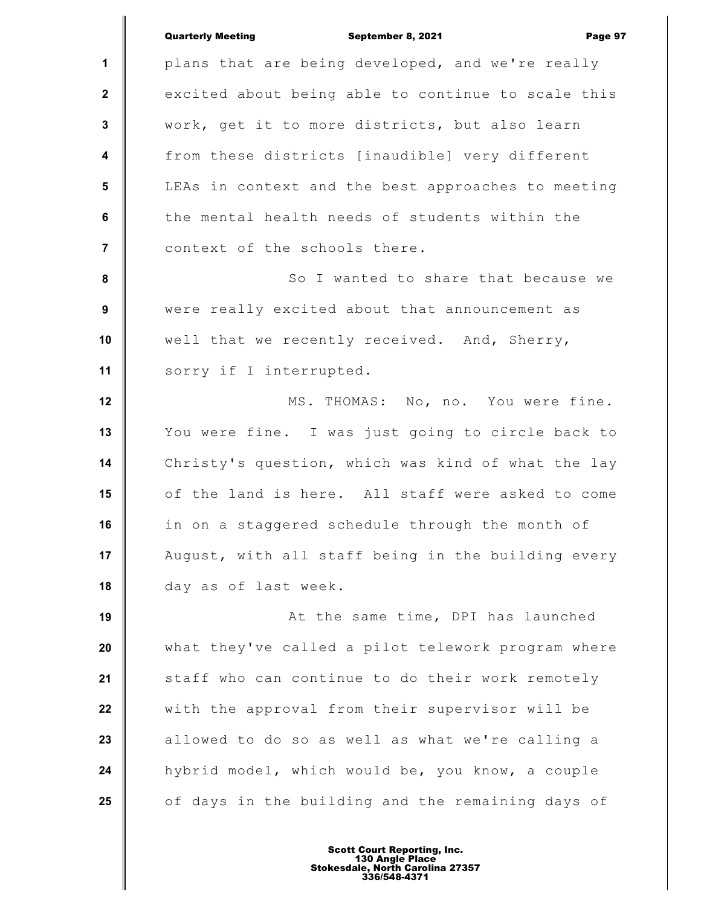|                  | <b>Quarterly Meeting</b><br>September 8, 2021<br>Page 97 |
|------------------|----------------------------------------------------------|
| $\mathbf{1}$     | plans that are being developed, and we're really         |
| $\mathbf{2}$     | excited about being able to continue to scale this       |
|                  |                                                          |
| 3                | work, get it to more districts, but also learn           |
| $\boldsymbol{4}$ | from these districts [inaudible] very different          |
| $5\phantom{.0}$  | LEAs in context and the best approaches to meeting       |
| 6                | the mental health needs of students within the           |
| $\overline{7}$   | context of the schools there.                            |
| 8                | So I wanted to share that because we                     |
| 9                | were really excited about that announcement as           |
| 10               | well that we recently received. And, Sherry,             |
| 11               | sorry if I interrupted.                                  |
| 12               | MS. THOMAS: No, no. You were fine.                       |
| 13               | You were fine. I was just going to circle back to        |
| 14               | Christy's question, which was kind of what the lay       |
| 15               | of the land is here. All staff were asked to come        |
| 16               | in on a staggered schedule through the month of          |
| 17               | August, with all staff being in the building every       |
| 18               | day as of last week.                                     |
| 19               | At the same time, DPI has launched                       |
| 20               | what they've called a pilot telework program where       |
| 21               | staff who can continue to do their work remotely         |
| 22               | with the approval from their supervisor will be          |
| 23               | allowed to do so as well as what we're calling a         |
| 24               | hybrid model, which would be, you know, a couple         |
| 25               | of days in the building and the remaining days of        |
|                  |                                                          |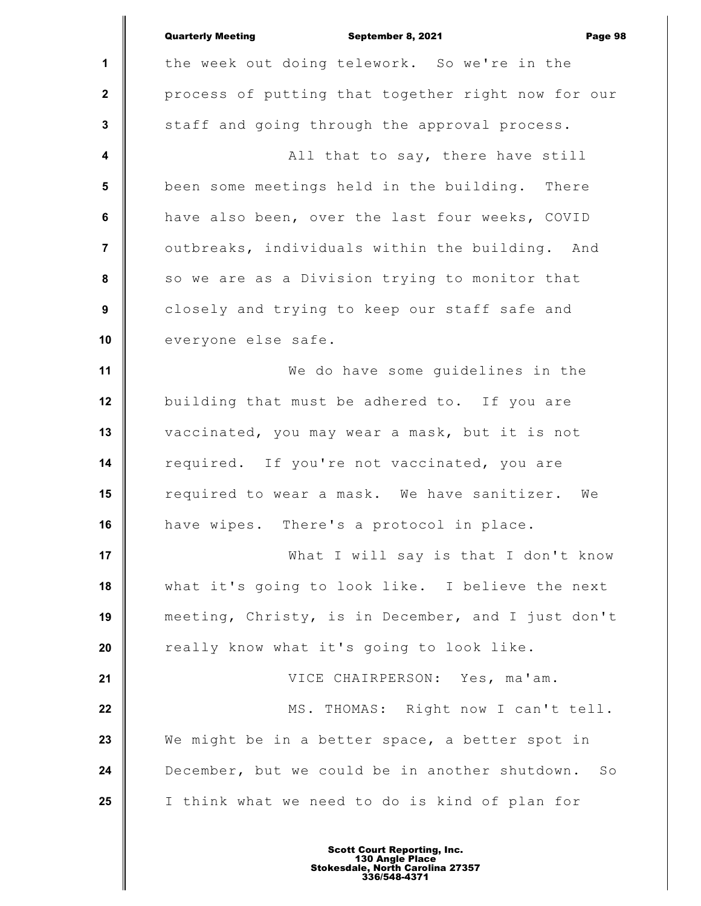|                | <b>Quarterly Meeting</b><br>September 8, 2021<br>Page 98         |
|----------------|------------------------------------------------------------------|
| 1              | the week out doing telework. So we're in the                     |
| $\mathbf{2}$   | process of putting that together right now for our               |
| $\mathbf 3$    | staff and going through the approval process.                    |
| 4              | All that to say, there have still                                |
| 5              | been some meetings held in the building. There                   |
| 6              | have also been, over the last four weeks, COVID                  |
| $\overline{7}$ | outbreaks, individuals within the building. And                  |
| 8              | so we are as a Division trying to monitor that                   |
| 9              | closely and trying to keep our staff safe and                    |
| 10             | everyone else safe.                                              |
| 11             | We do have some quidelines in the                                |
| 12             | building that must be adhered to. If you are                     |
| 13             | vaccinated, you may wear a mask, but it is not                   |
| 14             | required. If you're not vaccinated, you are                      |
| 15             | required to wear a mask. We have sanitizer.<br>We                |
| 16             | have wipes. There's a protocol in place.                         |
| 17             | What I will say is that I don't know                             |
| 18             | what it's going to look like. I believe the next                 |
| 19             | meeting, Christy, is in December, and I just don't               |
| 20             | really know what it's going to look like.                        |
| 21             | VICE CHAIRPERSON: Yes, ma'am.                                    |
| 22             | MS. THOMAS: Right now I can't tell.                              |
| 23             | We might be in a better space, a better spot in                  |
| 24             | December, but we could be in another shutdown.<br>$S_{\bigcirc}$ |
| 25             | I think what we need to do is kind of plan for                   |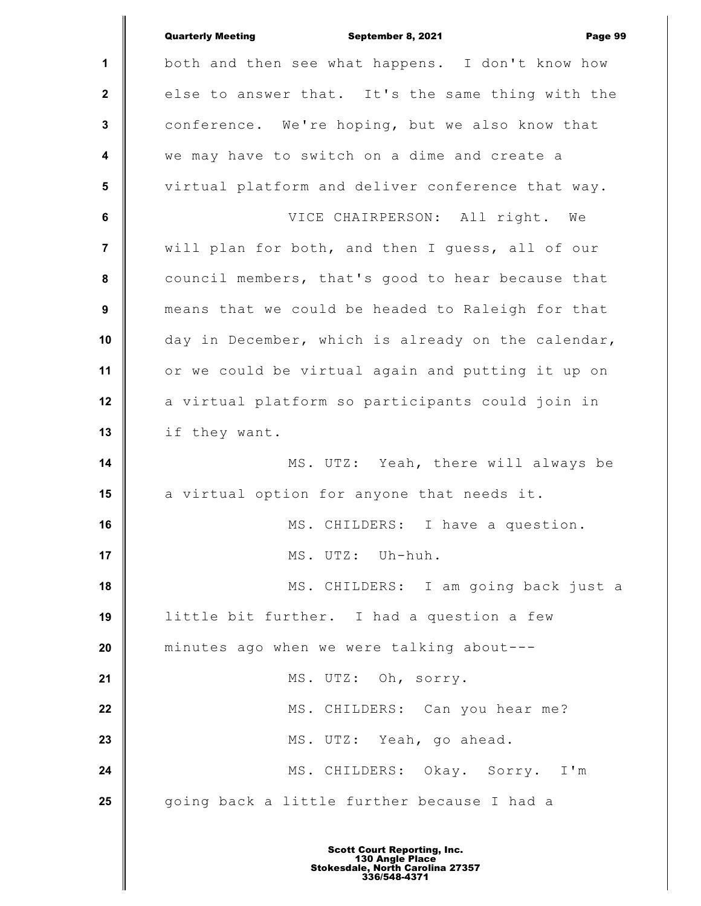|                         | <b>Quarterly Meeting</b><br>September 8, 2021<br>Page 99 |
|-------------------------|----------------------------------------------------------|
| 1                       | both and then see what happens. I don't know how         |
| $\mathbf{2}$            | else to answer that. It's the same thing with the        |
| $\mathbf{3}$            | conference. We're hoping, but we also know that          |
| $\overline{\mathbf{4}}$ | we may have to switch on a dime and create a             |
| $5\phantom{1}$          | virtual platform and deliver conference that way.        |
| 6                       | VICE CHAIRPERSON: All right. We                          |
| 7                       | will plan for both, and then I guess, all of our         |
| $\pmb{8}$               | council members, that's good to hear because that        |
| $\boldsymbol{9}$        | means that we could be headed to Raleigh for that        |
| 10                      | day in December, which is already on the calendar,       |
| 11                      | or we could be virtual again and putting it up on        |
| 12                      | a virtual platform so participants could join in         |
| 13                      | if they want.                                            |
| 14                      | MS. UTZ: Yeah, there will always be                      |
| 15                      | a virtual option for anyone that needs it.               |
| 16                      | MS. CHILDERS: I have a question.                         |
| 17                      | MS. UTZ: Uh-huh.                                         |
| 18                      | MS. CHILDERS: I am going back just a                     |
| 19                      | little bit further. I had a question a few               |
| 20                      | minutes ago when we were talking about---                |
| 21                      | MS. UTZ: Oh, sorry.                                      |
| 22                      | MS. CHILDERS: Can you hear me?                           |
| 23                      | MS. UTZ: Yeah, go ahead.                                 |
| 24                      | MS. CHILDERS: Okay. Sorry. I'm                           |
| 25                      | going back a little further because I had a              |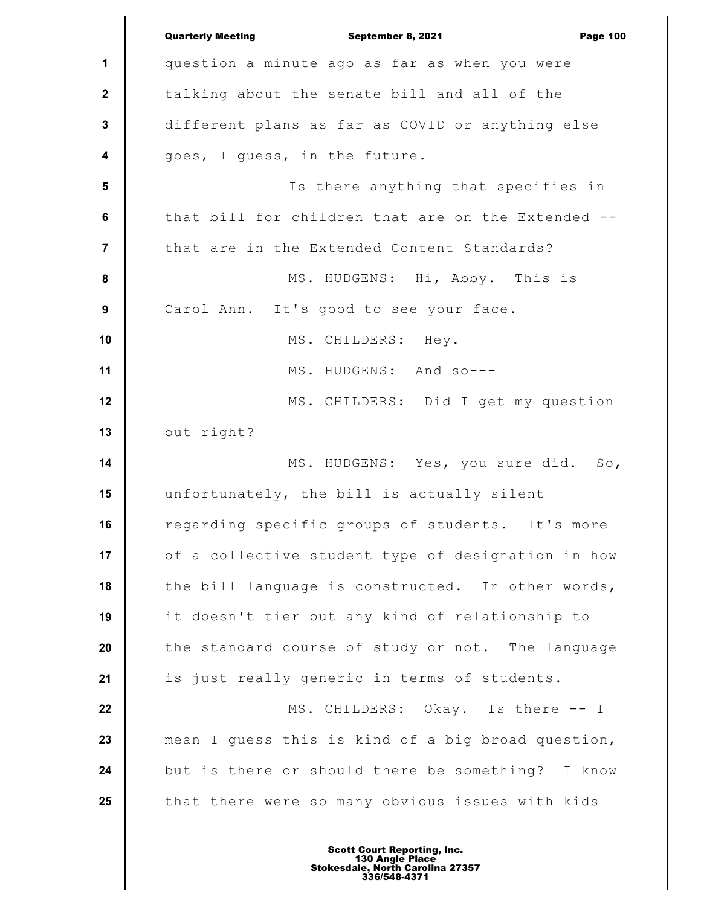|                         | <b>Quarterly Meeting</b><br>September 8, 2021<br><b>Page 100</b> |
|-------------------------|------------------------------------------------------------------|
| 1                       | question a minute ago as far as when you were                    |
| $\mathbf{2}$            | talking about the senate bill and all of the                     |
| $\mathbf{3}$            | different plans as far as COVID or anything else                 |
| $\overline{\mathbf{4}}$ | goes, I guess, in the future.                                    |
| 5                       | Is there anything that specifies in                              |
| $6\phantom{a}$          | that bill for children that are on the Extended --               |
| $\overline{7}$          | that are in the Extended Content Standards?                      |
| $\pmb{8}$               | MS. HUDGENS: Hi, Abby. This is                                   |
| $\boldsymbol{9}$        | Carol Ann. It's good to see your face.                           |
| 10                      | MS. CHILDERS: Hey.                                               |
| 11                      | MS. HUDGENS: And so---                                           |
| 12                      | MS. CHILDERS: Did I get my question                              |
| 13                      | out right?                                                       |
| 14                      | MS. HUDGENS: Yes, you sure did. So,                              |
| 15                      | unfortunately, the bill is actually silent                       |
| 16                      | regarding specific groups of students. It's more                 |
| 17                      | of a collective student type of designation in how               |
| 18                      | the bill language is constructed. In other words,                |
| 19                      | it doesn't tier out any kind of relationship to                  |
| 20                      | the standard course of study or not. The language                |
| 21                      | is just really generic in terms of students.                     |
| 22                      | MS. CHILDERS: Okay. Is there -- I                                |
| 23                      | mean I guess this is kind of a big broad question,               |
| 24                      | but is there or should there be something? I know                |
| 25                      | that there were so many obvious issues with kids                 |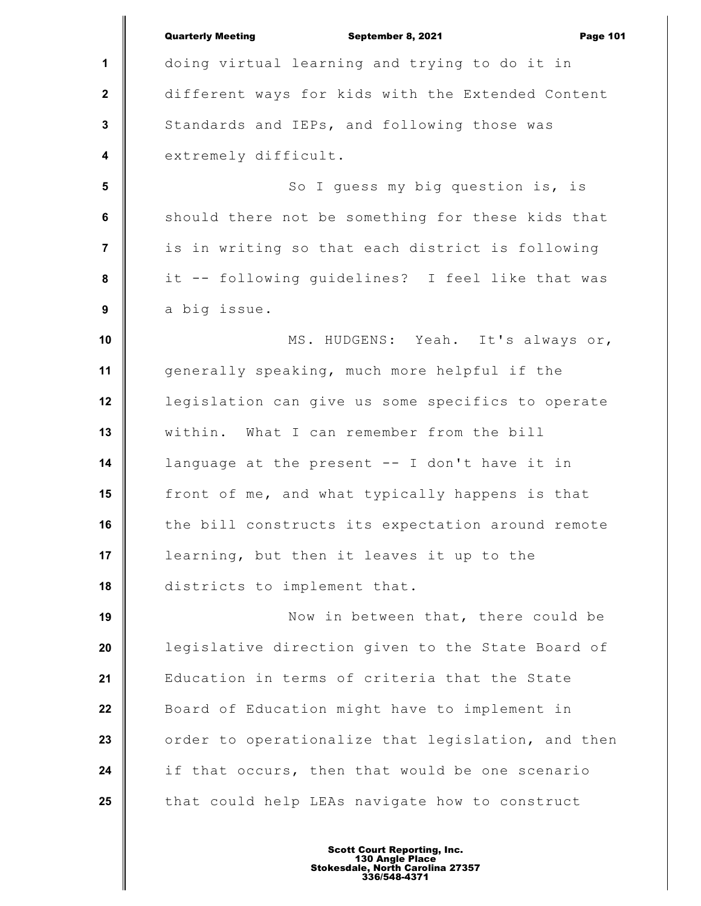|                  | <b>Quarterly Meeting</b><br>September 8, 2021<br><b>Page 101</b> |
|------------------|------------------------------------------------------------------|
| 1                | doing virtual learning and trying to do it in                    |
| $\mathbf{2}$     | different ways for kids with the Extended Content                |
| $\mathbf{3}$     | Standards and IEPs, and following those was                      |
| $\boldsymbol{4}$ | extremely difficult.                                             |
| 5                | So I guess my big question is, is                                |
| $6\phantom{a}$   | should there not be something for these kids that                |
| $\overline{7}$   | is in writing so that each district is following                 |
| 8                | it -- following guidelines? I feel like that was                 |
| 9                | a big issue.                                                     |
| 10               | MS. HUDGENS: Yeah. It's always or,                               |
| 11               | generally speaking, much more helpful if the                     |
| 12               | legislation can give us some specifics to operate                |
| 13               | within. What I can remember from the bill                        |
| 14               | language at the present -- I don't have it in                    |
| 15               | front of me, and what typically happens is that                  |
| 16               | the bill constructs its expectation around remote                |
| 17               | learning, but then it leaves it up to the                        |
| 18               | districts to implement that.                                     |
| 19               | Now in between that, there could be                              |
| 20               | legislative direction given to the State Board of                |
| 21               | Education in terms of criteria that the State                    |
| 22               | Board of Education might have to implement in                    |
| 23               | order to operationalize that legislation, and then               |
| 24               | if that occurs, then that would be one scenario                  |
| 25               | that could help LEAs navigate how to construct                   |
|                  |                                                                  |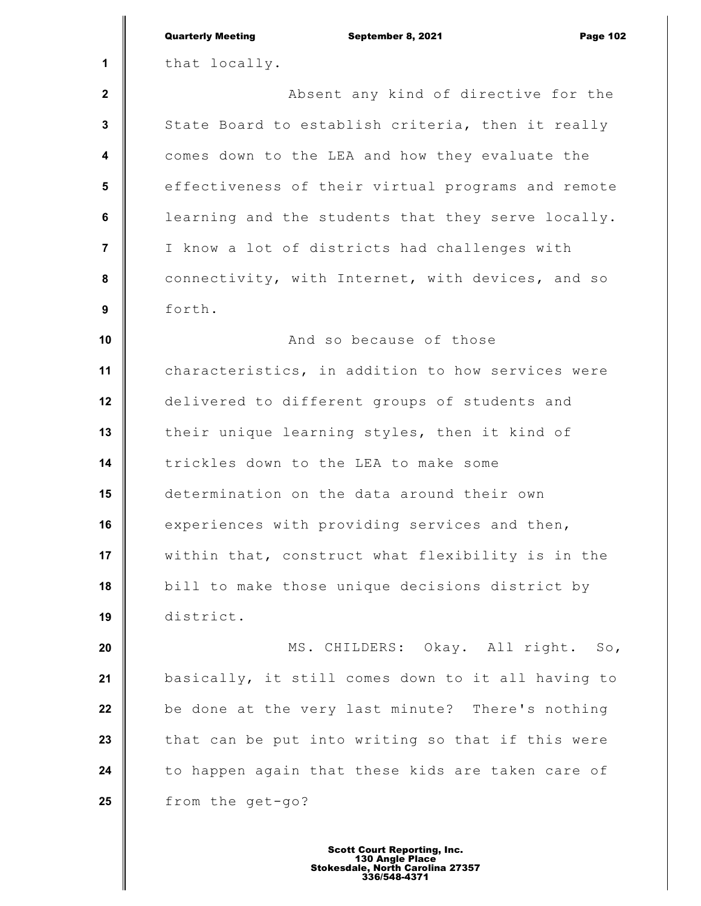|                 | <b>Quarterly Meeting</b><br>September 8, 2021<br><b>Page 102</b> |
|-----------------|------------------------------------------------------------------|
| 1               | that locally.                                                    |
| $\mathbf{2}$    | Absent any kind of directive for the                             |
| $\mathbf 3$     | State Board to establish criteria, then it really                |
| 4               | comes down to the LEA and how they evaluate the                  |
| $5\phantom{.0}$ | effectiveness of their virtual programs and remote               |
| 6               | learning and the students that they serve locally.               |
| $\overline{7}$  | I know a lot of districts had challenges with                    |
| 8               | connectivity, with Internet, with devices, and so                |
| 9               | forth.                                                           |
| 10              | And so because of those                                          |
| 11              | characteristics, in addition to how services were                |
| 12              | delivered to different groups of students and                    |
| 13              | their unique learning styles, then it kind of                    |
| 14              | trickles down to the LEA to make some                            |
| 15              | determination on the data around their own                       |
| 16              | experiences with providing services and then,                    |
| 17              | within that, construct what flexibility is in the                |
| 18              | bill to make those unique decisions district by                  |
| 19              | district.                                                        |
| 20              | MS. CHILDERS: Okay. All right. So,                               |
| 21              | basically, it still comes down to it all having to               |
| 22              | be done at the very last minute? There's nothing                 |
| 23              | that can be put into writing so that if this were                |
| 24              | to happen again that these kids are taken care of                |
| 25              | from the get-go?                                                 |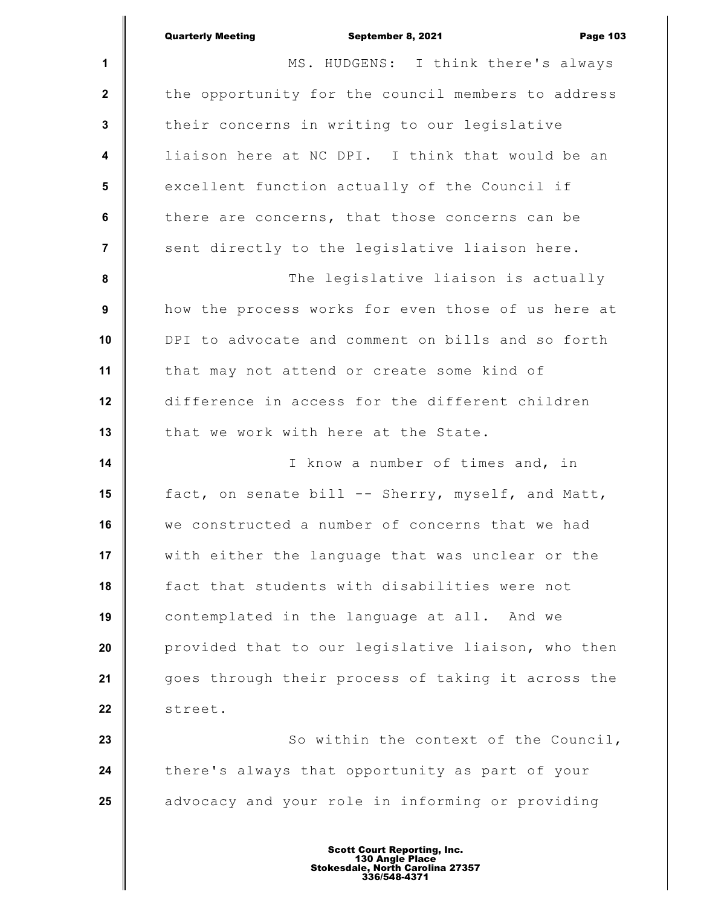|                         | <b>Quarterly Meeting</b><br><b>Page 103</b><br>September 8, 2021 |
|-------------------------|------------------------------------------------------------------|
| 1                       | MS. HUDGENS: I think there's always                              |
| $\mathbf{2}$            | the opportunity for the council members to address               |
| $\mathbf{3}$            | their concerns in writing to our legislative                     |
| $\overline{\mathbf{4}}$ | liaison here at NC DPI. I think that would be an                 |
| 5                       | excellent function actually of the Council if                    |
| 6                       | there are concerns, that those concerns can be                   |
| $\overline{7}$          | sent directly to the legislative liaison here.                   |
| 8                       | The legislative liaison is actually                              |
| 9                       | how the process works for even those of us here at               |
| 10                      | DPI to advocate and comment on bills and so forth                |
| 11                      | that may not attend or create some kind of                       |
| 12                      | difference in access for the different children                  |
| 13                      | that we work with here at the State.                             |
| 14                      | I know a number of times and, in                                 |
| 15                      | fact, on senate bill -- Sherry, myself, and Matt,                |
| 16                      | we constructed a number of concerns that we had                  |
| 17                      | with either the language that was unclear or the                 |
| 18                      | fact that students with disabilities were not                    |
| 19                      | contemplated in the language at all. And we                      |
| 20                      | provided that to our legislative liaison, who then               |
| 21                      | goes through their process of taking it across the               |
| 22                      | street.                                                          |
| 23                      | So within the context of the Council,                            |
| 24                      | there's always that opportunity as part of your                  |
| 25                      | advocacy and your role in informing or providing                 |
|                         |                                                                  |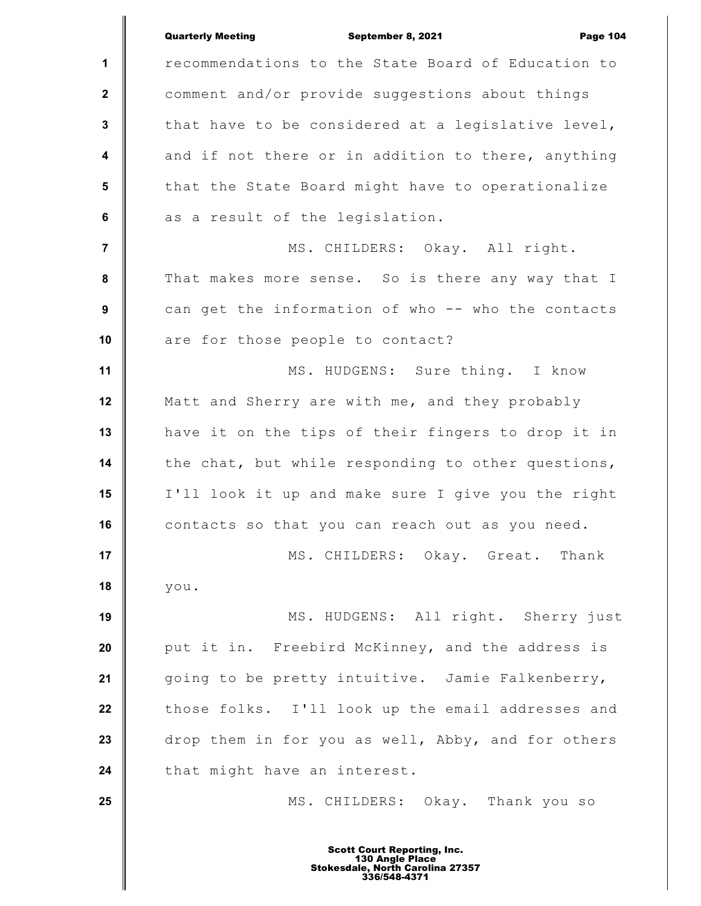|                         | <b>Quarterly Meeting</b><br>September 8, 2021<br><b>Page 104</b> |
|-------------------------|------------------------------------------------------------------|
| $\mathbf{1}$            | recommendations to the State Board of Education to               |
| $\mathbf{2}$            | comment and/or provide suggestions about things                  |
| $\mathbf{3}$            | that have to be considered at a legislative level,               |
| $\overline{\mathbf{4}}$ | and if not there or in addition to there, anything               |
| $5\phantom{.0}$         | that the State Board might have to operationalize                |
| $\bf 6$                 | as a result of the legislation.                                  |
| $\overline{7}$          | MS. CHILDERS: Okay. All right.                                   |
| 8                       | That makes more sense. So is there any way that I                |
| 9                       | can get the information of who -- who the contacts               |
| 10                      | are for those people to contact?                                 |
| 11                      | MS. HUDGENS: Sure thing. I know                                  |
| 12                      | Matt and Sherry are with me, and they probably                   |
| 13                      | have it on the tips of their fingers to drop it in               |
| 14                      | the chat, but while responding to other questions,               |
| 15                      | I'll look it up and make sure I give you the right               |
| 16                      | contacts so that you can reach out as you need.                  |
| 17                      | MS. CHILDERS: Okay. Great. Thank                                 |
| 18                      | you.                                                             |
| 19                      | MS. HUDGENS: All right. Sherry just                              |
| 20                      | put it in. Freebird McKinney, and the address is                 |
| 21                      | going to be pretty intuitive. Jamie Falkenberry,                 |
| 22                      | those folks. I'll look up the email addresses and                |
| 23                      | drop them in for you as well, Abby, and for others               |
| 24                      | that might have an interest.                                     |
| 25                      | MS. CHILDERS: Okay. Thank you so                                 |
|                         | <b>Scott Court Reporting, Inc.</b>                               |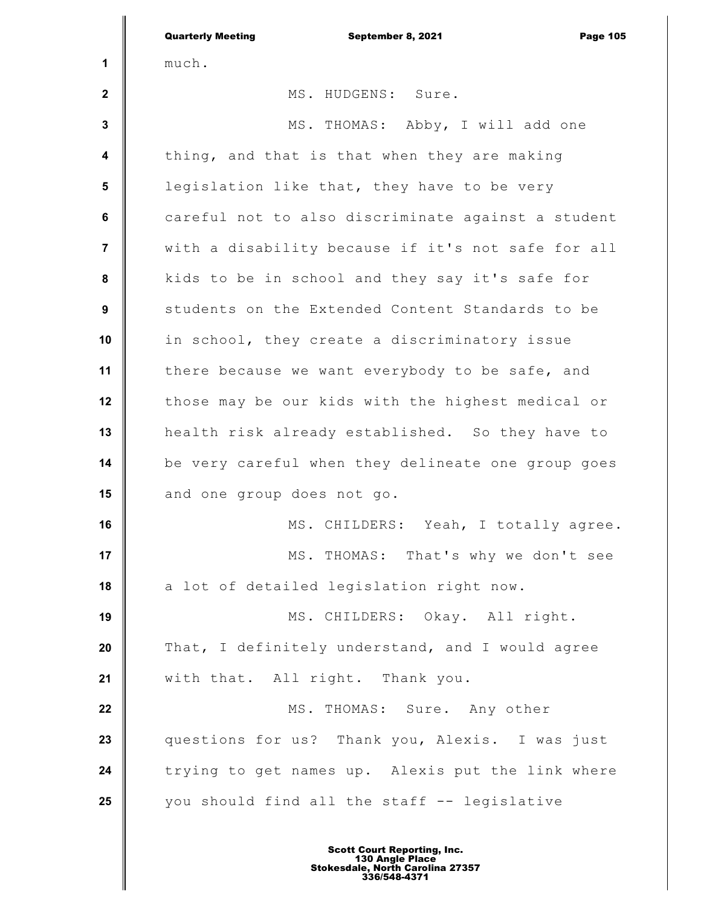|                         | <b>Quarterly Meeting</b><br>September 8, 2021<br><b>Page 105</b> |
|-------------------------|------------------------------------------------------------------|
| 1                       | much.                                                            |
| $\mathbf 2$             | MS. HUDGENS: Sure.                                               |
| $\mathbf{3}$            | MS. THOMAS: Abby, I will add one                                 |
| $\overline{\mathbf{4}}$ | thing, and that is that when they are making                     |
| $5\phantom{1}$          | legislation like that, they have to be very                      |
| $\bf 6$                 | careful not to also discriminate against a student               |
| $\overline{7}$          | with a disability because if it's not safe for all               |
| 8                       | kids to be in school and they say it's safe for                  |
| $\boldsymbol{9}$        | students on the Extended Content Standards to be                 |
| 10                      | in school, they create a discriminatory issue                    |
| 11                      | there because we want everybody to be safe, and                  |
| 12                      | those may be our kids with the highest medical or                |
| 13                      | health risk already established. So they have to                 |
| 14                      | be very careful when they delineate one group goes               |
| 15                      | and one group does not go.                                       |
| 16                      | MS. CHILDERS: Yeah, I totally agree.                             |
| 17                      | MS. THOMAS: That's why we don't see                              |
| 18                      | a lot of detailed legislation right now.                         |
| 19                      | MS. CHILDERS: Okay. All right.                                   |
| 20                      | That, I definitely understand, and I would agree                 |
| 21                      | with that. All right. Thank you.                                 |
| 22                      | MS. THOMAS: Sure. Any other                                      |
| 23                      | questions for us? Thank you, Alexis. I was just                  |
| 24                      | trying to get names up. Alexis put the link where                |
| 25                      | you should find all the staff -- legislative                     |
|                         |                                                                  |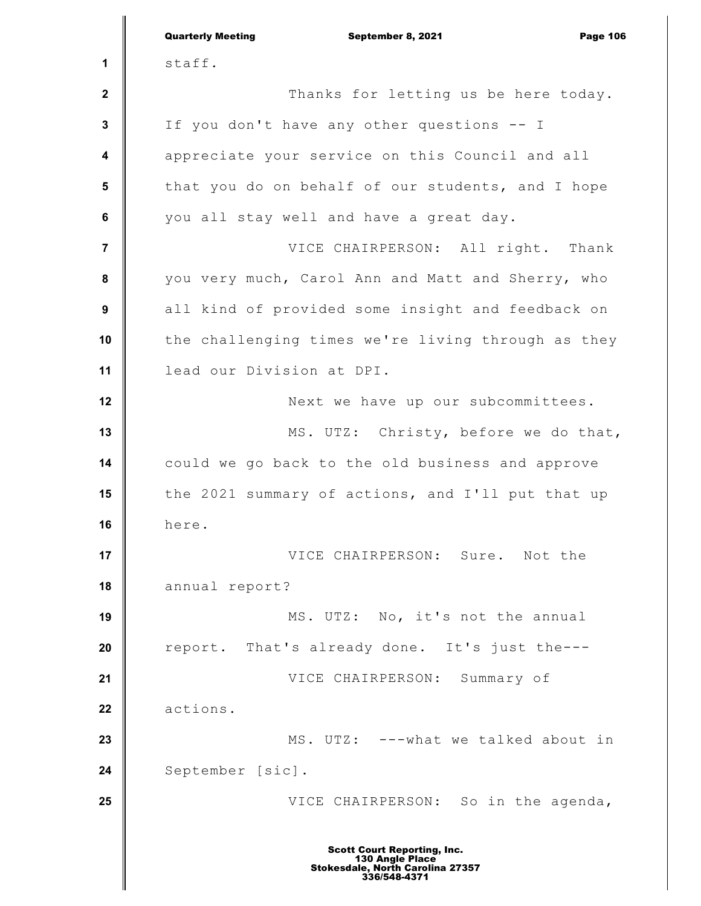|                         | <b>Quarterly Meeting</b><br>September 8, 2021<br><b>Page 106</b>                                          |
|-------------------------|-----------------------------------------------------------------------------------------------------------|
| 1                       | staff.                                                                                                    |
| $\mathbf{2}$            | Thanks for letting us be here today.                                                                      |
| $\mathbf 3$             | If you don't have any other questions -- I                                                                |
| $\overline{\mathbf{4}}$ | appreciate your service on this Council and all                                                           |
| 5                       | that you do on behalf of our students, and I hope                                                         |
| $6\phantom{1}$          | you all stay well and have a great day.                                                                   |
| $\overline{7}$          | VICE CHAIRPERSON: All right. Thank                                                                        |
| 8                       | you very much, Carol Ann and Matt and Sherry, who                                                         |
| $\boldsymbol{9}$        | all kind of provided some insight and feedback on                                                         |
| 10                      | the challenging times we're living through as they                                                        |
| 11                      | lead our Division at DPI.                                                                                 |
| 12                      | Next we have up our subcommittees.                                                                        |
| 13                      | MS. UTZ: Christy, before we do that,                                                                      |
| 14                      | could we go back to the old business and approve                                                          |
| 15                      | the 2021 summary of actions, and I'll put that up                                                         |
| 16                      | here.                                                                                                     |
| 17                      | VICE CHAIRPERSON: Sure. Not the                                                                           |
| 18                      | annual report?                                                                                            |
| 19                      | MS. UTZ: No, it's not the annual                                                                          |
| 20                      | report. That's already done. It's just the---                                                             |
| 21                      | VICE CHAIRPERSON: Summary of                                                                              |
| 22                      | actions.                                                                                                  |
| 23                      | MS. UTZ: ---what we talked about in                                                                       |
| 24                      | September [sic].                                                                                          |
| 25                      | VICE CHAIRPERSON: So in the agenda,                                                                       |
|                         | <b>Scott Court Reporting, Inc.</b><br>130 Angle Place<br>Stokesdale, North Carolina 27357<br>336/548-4371 |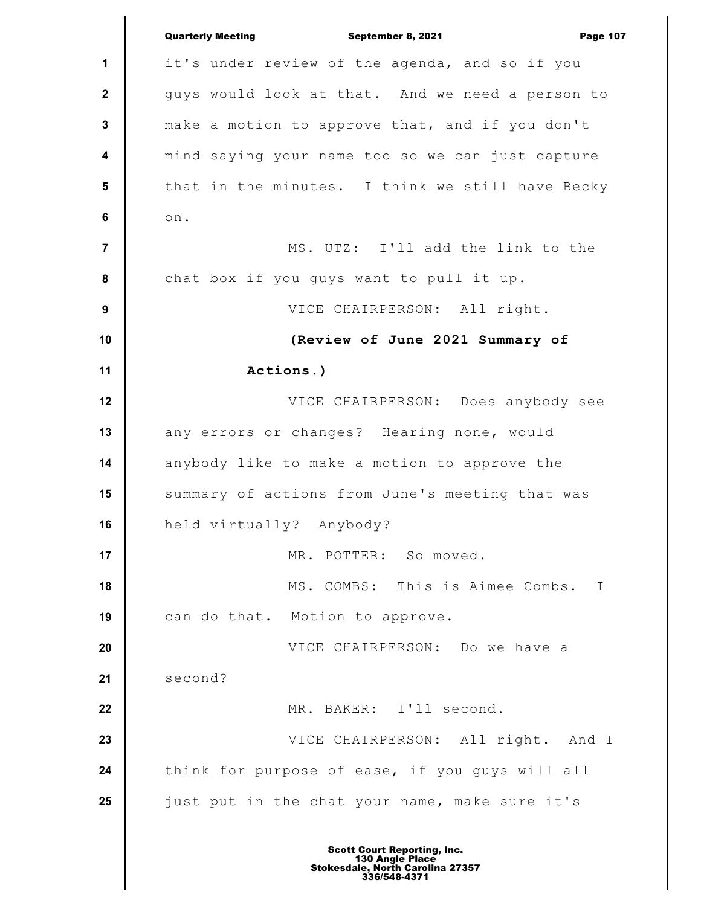|                 | <b>Quarterly Meeting</b><br>September 8, 2021<br><b>Page 107</b> |
|-----------------|------------------------------------------------------------------|
| $\mathbf 1$     | it's under review of the agenda, and so if you                   |
| $\mathbf{2}$    | guys would look at that. And we need a person to                 |
| 3               | make a motion to approve that, and if you don't                  |
| 4               | mind saying your name too so we can just capture                 |
| $5\phantom{.0}$ | that in the minutes. I think we still have Becky                 |
| 6               | on.                                                              |
| $\overline{7}$  | MS. UTZ: I'll add the link to the                                |
| 8               | chat box if you guys want to pull it up.                         |
| 9               | VICE CHAIRPERSON: All right.                                     |
| 10              | (Review of June 2021 Summary of                                  |
| 11              | Actions.)                                                        |
| 12              | VICE CHAIRPERSON: Does anybody see                               |
| 13              | any errors or changes? Hearing none, would                       |
| 14              | anybody like to make a motion to approve the                     |
| 15              | summary of actions from June's meeting that was                  |
| 16              | held virtually? Anybody?                                         |
| 17              | MR. POTTER: So moved.                                            |
| 18              | MS. COMBS: This is Aimee Combs. I                                |
| 19              | can do that. Motion to approve.                                  |
| 20              | VICE CHAIRPERSON: Do we have a                                   |
| 21              | second?                                                          |
| 22              | MR. BAKER: I'll second.                                          |
| 23              | VICE CHAIRPERSON: All right. And I                               |
| 24              | think for purpose of ease, if you guys will all                  |
| 25              | just put in the chat your name, make sure it's                   |
|                 |                                                                  |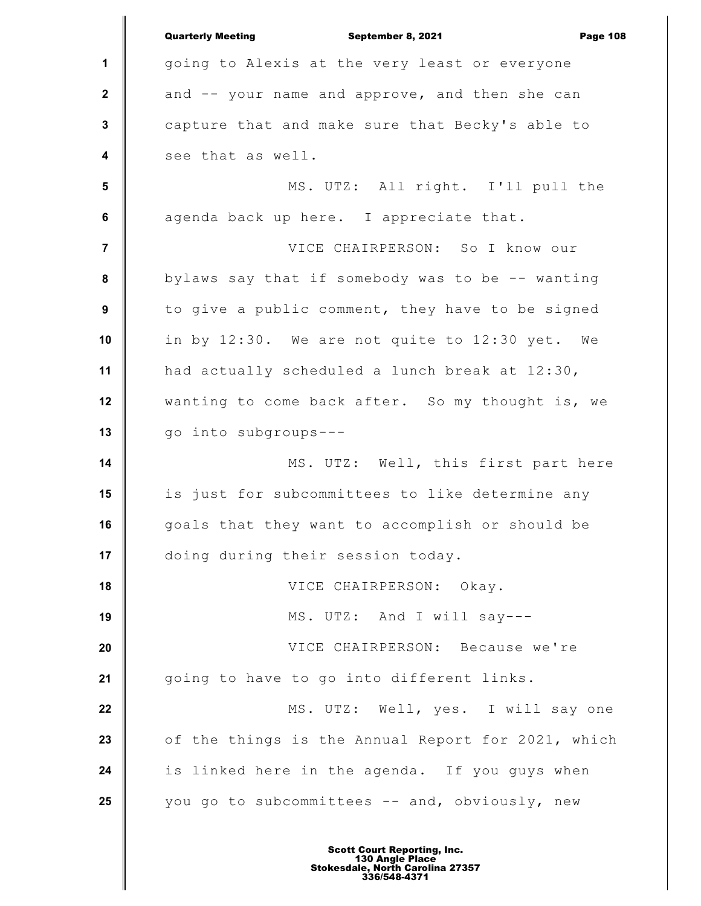**1 2 3 4 5 6 7 8 9 10 11 12 13 14 15 16 17 18 19 20 21 22 23 24 25** Quarterly Meeting **September 8, 2021 Page 108** going to Alexis at the very least or everyone and -- your name and approve, and then she can capture that and make sure that Becky's able to see that as well. MS. UTZ: All right. I'll pull the agenda back up here. I appreciate that. VICE CHAIRPERSON: So I know our bylaws say that if somebody was to be -- wanting to give a public comment, they have to be signed in by 12:30. We are not quite to 12:30 yet. We had actually scheduled a lunch break at 12:30, wanting to come back after. So my thought is, we go into subgroups--- MS. UTZ: Well, this first part here is just for subcommittees to like determine any goals that they want to accomplish or should be doing during their session today. VICE CHAIRPERSON: Okay. MS. UTZ: And I will say--- VICE CHAIRPERSON: Because we're going to have to go into different links. MS. UTZ: Well, yes. I will say one of the things is the Annual Report for 2021, which is linked here in the agenda. If you guys when you go to subcommittees -- and, obviously, new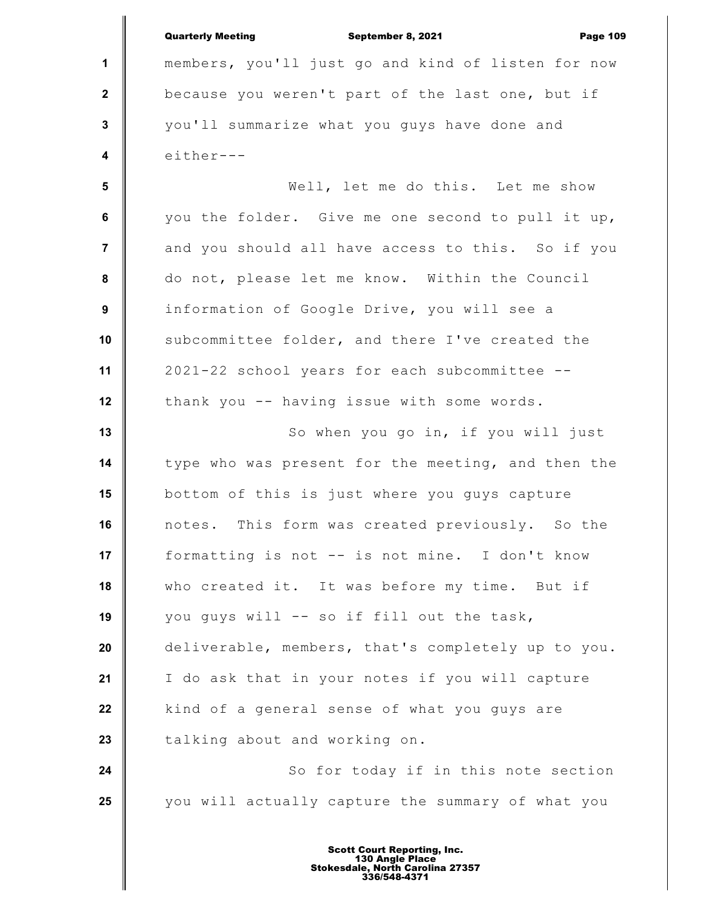|                         | <b>Quarterly Meeting</b><br>September 8, 2021<br><b>Page 109</b> |
|-------------------------|------------------------------------------------------------------|
| 1                       | members, you'll just go and kind of listen for now               |
| $\mathbf{2}$            | because you weren't part of the last one, but if                 |
| $\mathbf{3}$            | you'll summarize what you guys have done and                     |
| $\boldsymbol{4}$        | either---                                                        |
| $\overline{\mathbf{5}}$ | Well, let me do this. Let me show                                |
| 6                       | you the folder. Give me one second to pull it up,                |
| $\overline{\mathbf{r}}$ | and you should all have access to this. So if you                |
| 8                       | do not, please let me know. Within the Council                   |
| 9                       | information of Google Drive, you will see a                      |
| 10                      | subcommittee folder, and there I've created the                  |
| 11                      | 2021-22 school years for each subcommittee --                    |
| 12                      | thank you -- having issue with some words.                       |
| 13                      | So when you go in, if you will just                              |
| 14                      | type who was present for the meeting, and then the               |
| 15                      | bottom of this is just where you guys capture                    |
| 16                      | notes. This form was created previously. So the                  |
| 17                      | formatting is not -- is not mine. I don't know                   |
| 18                      | who created it. It was before my time. But if                    |
| 19                      | you guys will -- so if fill out the task,                        |
| 20                      | deliverable, members, that's completely up to you.               |
| 21                      | I do ask that in your notes if you will capture                  |
| 22                      | kind of a general sense of what you guys are                     |
| 23                      | talking about and working on.                                    |
| 24                      | So for today if in this note section                             |
| 25                      | you will actually capture the summary of what you                |
|                         |                                                                  |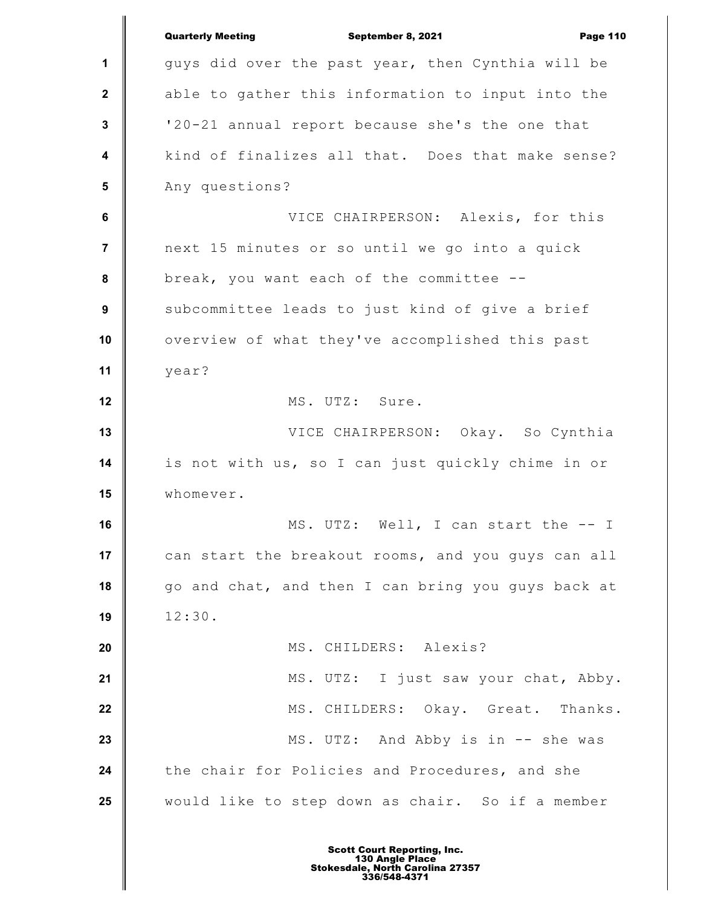|                         | <b>Quarterly Meeting</b><br><b>Page 110</b><br>September 8, 2021 |
|-------------------------|------------------------------------------------------------------|
| $\mathbf 1$             | guys did over the past year, then Cynthia will be                |
| $\mathbf{2}$            | able to gather this information to input into the                |
| $\mathbf{3}$            | '20-21 annual report because she's the one that                  |
| $\overline{\mathbf{4}}$ | kind of finalizes all that. Does that make sense?                |
| 5                       | Any questions?                                                   |
| 6                       | VICE CHAIRPERSON: Alexis, for this                               |
| $\overline{7}$          | next 15 minutes or so until we go into a quick                   |
| 8                       | break, you want each of the committee --                         |
| 9                       | subcommittee leads to just kind of give a brief                  |
| 10                      | overview of what they've accomplished this past                  |
| 11                      | year?                                                            |
| 12                      | MS. UTZ: Sure.                                                   |
| 13                      | VICE CHAIRPERSON: Okay. So Cynthia                               |
| 14                      | is not with us, so I can just quickly chime in or                |
| 15                      | whomever.                                                        |
| 16                      | MS. UTZ: Well, I can start the -- I                              |
| 17                      | can start the breakout rooms, and you quys can all               |
| 18                      | go and chat, and then I can bring you guys back at               |
| 19                      | 12:30.                                                           |
| 20                      | MS. CHILDERS: Alexis?                                            |
| 21                      | MS. UTZ: I just saw your chat, Abby.                             |
| 22                      | MS. CHILDERS: Okay. Great. Thanks.                               |
| 23                      | MS. UTZ: And Abby is in -- she was                               |
| 24                      | the chair for Policies and Procedures, and she                   |
| 25                      | would like to step down as chair. So if a member                 |
|                         |                                                                  |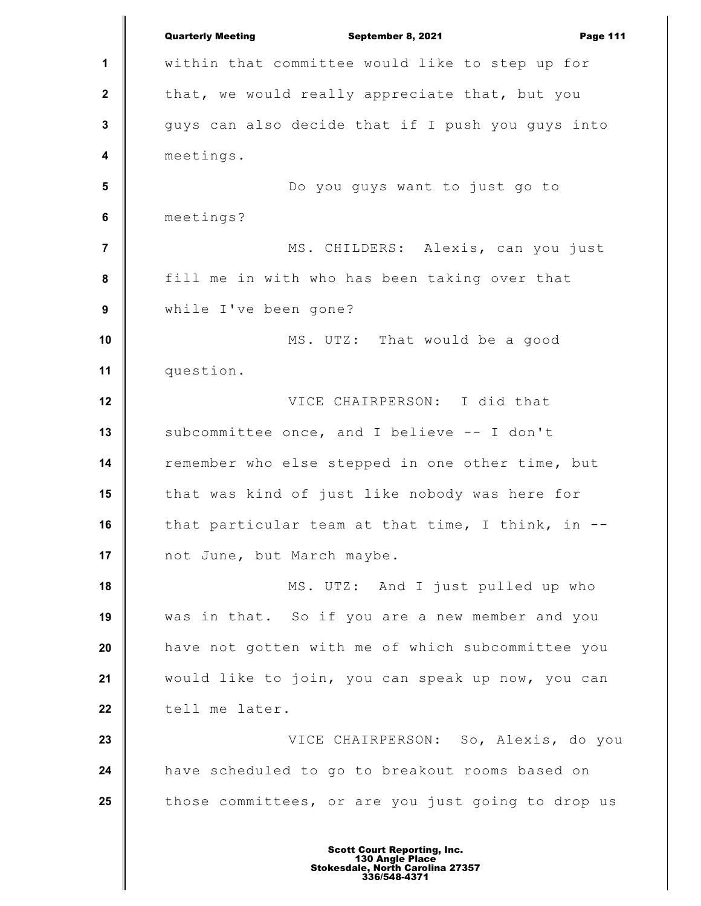**1 2 3 4 5 6 7 8 9 10 11 12 13 14 15 16 17 18 19 20 21 22 23 24 25** Quarterly Meeting **September 8, 2021 Page 111** within that committee would like to step up for that, we would really appreciate that, but you guys can also decide that if I push you guys into meetings. Do you guys want to just go to meetings? MS. CHILDERS: Alexis, can you just fill me in with who has been taking over that while I've been gone? MS. UTZ: That would be a good question. VICE CHAIRPERSON: I did that subcommittee once, and I believe -- I don't remember who else stepped in one other time, but that was kind of just like nobody was here for that particular team at that time, I think, in - not June, but March maybe. MS. UTZ: And I just pulled up who was in that. So if you are a new member and you have not gotten with me of which subcommittee you would like to join, you can speak up now, you can tell me later. VICE CHAIRPERSON: So, Alexis, do you have scheduled to go to breakout rooms based on those committees, or are you just going to drop us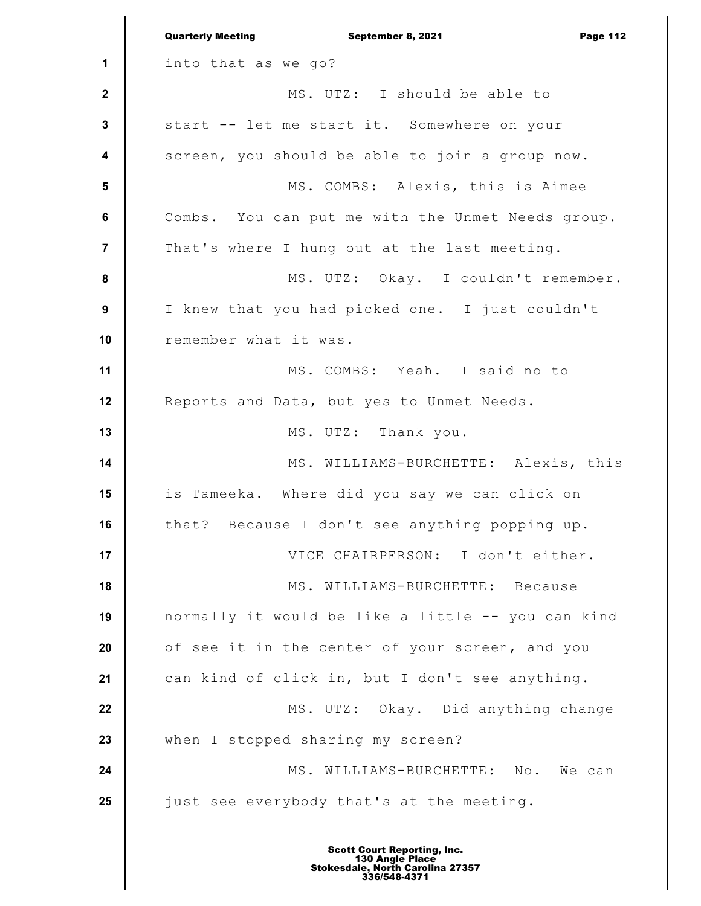**1 2 3 4 5 6 7 8 9 10 11 12 13 14 15 16 17 18 19 20 21 22 23 24 25** Quarterly Meeting **September 8, 2021 Page 112** into that as we go? MS. UTZ: I should be able to start -- let me start it. Somewhere on your screen, you should be able to join a group now. MS. COMBS: Alexis, this is Aimee Combs. You can put me with the Unmet Needs group. That's where I hung out at the last meeting. MS. UTZ: Okay. I couldn't remember. I knew that you had picked one. I just couldn't remember what it was. MS. COMBS: Yeah. I said no to Reports and Data, but yes to Unmet Needs. MS. UTZ: Thank you. MS. WILLIAMS-BURCHETTE: Alexis, this is Tameeka. Where did you say we can click on that? Because I don't see anything popping up. VICE CHAIRPERSON: I don't either. MS. WILLIAMS-BURCHETTE: Because normally it would be like a little -- you can kind of see it in the center of your screen, and you can kind of click in, but I don't see anything. MS. UTZ: Okay. Did anything change when I stopped sharing my screen? MS. WILLIAMS-BURCHETTE: No. We can just see everybody that's at the meeting.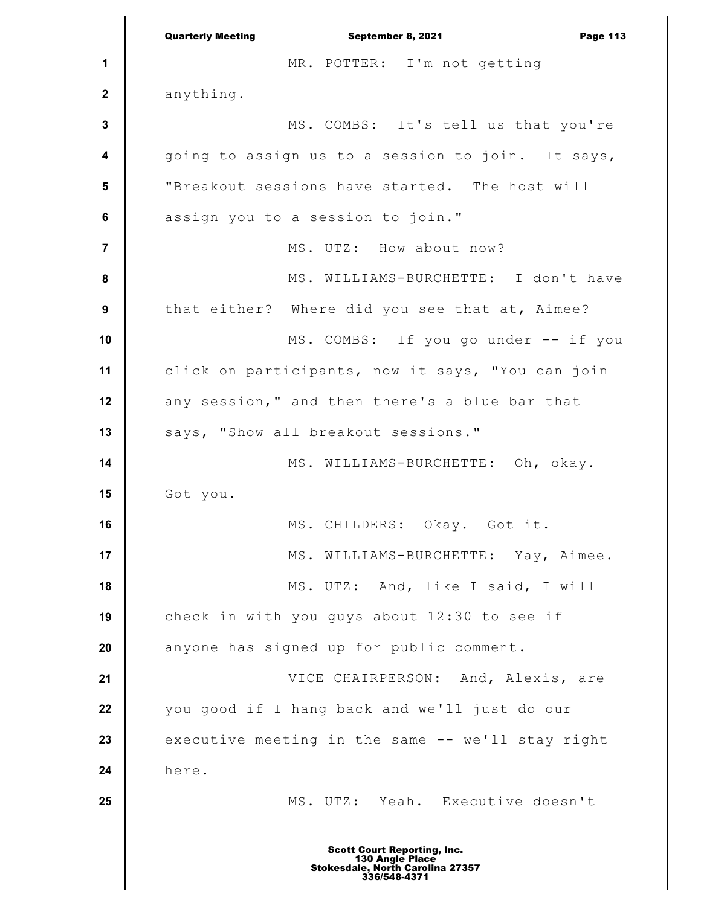|                  | <b>Quarterly Meeting</b><br>September 8, 2021<br><b>Page 113</b> |
|------------------|------------------------------------------------------------------|
| 1                | MR. POTTER: I'm not getting                                      |
| $\boldsymbol{2}$ | anything.                                                        |
| $\mathbf 3$      | MS. COMBS: It's tell us that you're                              |
| 4                | going to assign us to a session to join. It says,                |
| 5                | "Breakout sessions have started. The host will                   |
| $\bf 6$          | assign you to a session to join."                                |
| $\overline{7}$   | MS. UTZ: How about now?                                          |
| 8                | MS. WILLIAMS-BURCHETTE: I don't have                             |
| $\boldsymbol{9}$ | that either? Where did you see that at, Aimee?                   |
| 10               | MS. COMBS: If you go under -- if you                             |
| 11               | click on participants, now it says, "You can join                |
| 12               | any session," and then there's a blue bar that                   |
| 13               | says, "Show all breakout sessions."                              |
| 14               | MS. WILLIAMS-BURCHETTE: Oh, okay.                                |
| 15               | Got you.                                                         |
| 16               | MS. CHILDERS: Okay. Got it.                                      |
| 17               | MS. WILLIAMS-BURCHETTE: Yay, Aimee.                              |
| 18               | MS. UTZ: And, like I said, I will                                |
| 19               | check in with you guys about 12:30 to see if                     |
| 20               | anyone has signed up for public comment.                         |
| 21               | VICE CHAIRPERSON: And, Alexis, are                               |
| 22               | you good if I hang back and we'll just do our                    |
| 23               | executive meeting in the same -- we'll stay right                |
| 24               | here.                                                            |
| 25               | MS. UTZ: Yeah. Executive doesn't                                 |
|                  | <b>Scott Court Reporting, Inc.</b>                               |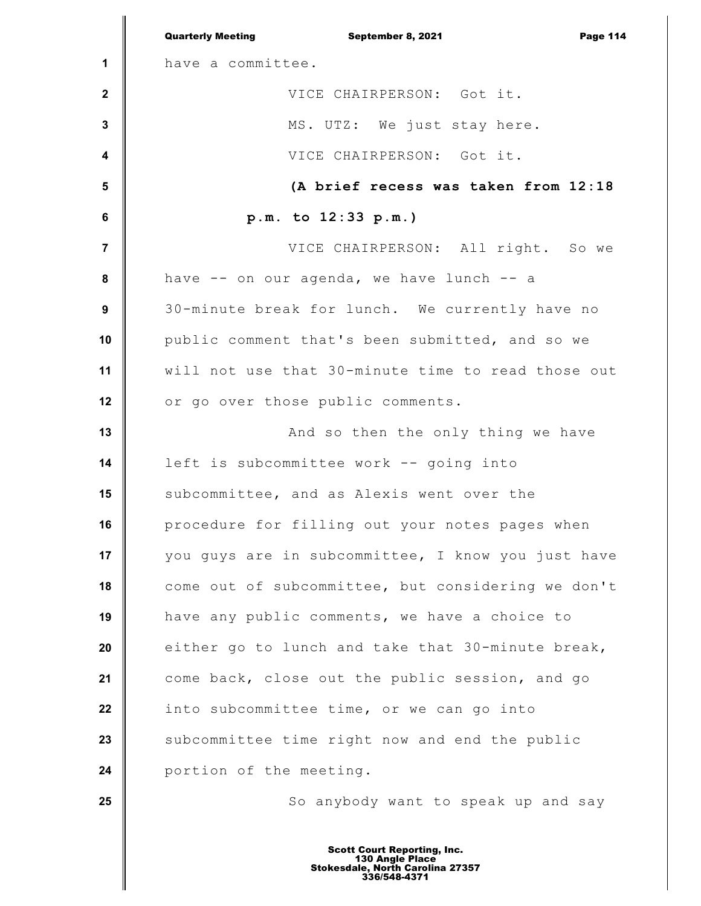|                         | <b>Quarterly Meeting</b><br>September 8, 2021<br><b>Page 114</b> |
|-------------------------|------------------------------------------------------------------|
| 1                       | have a committee.                                                |
| $\mathbf{2}$            | VICE CHAIRPERSON: Got it.                                        |
| $\mathbf 3$             | MS. UTZ: We just stay here.                                      |
| $\overline{\mathbf{4}}$ | VICE CHAIRPERSON: Got it.                                        |
| 5                       | (A brief recess was taken from 12:18                             |
| 6                       | p.m. to 12:33 p.m.)                                              |
| $\overline{\mathbf{r}}$ | VICE CHAIRPERSON: All right. So we                               |
| $\pmb{8}$               | have -- on our agenda, we have lunch -- a                        |
| 9                       | 30-minute break for lunch. We currently have no                  |
| 10                      | public comment that's been submitted, and so we                  |
| 11                      | will not use that 30-minute time to read those out               |
| 12                      | or go over those public comments.                                |
| 13                      | And so then the only thing we have                               |
| 14                      | left is subcommittee work -- going into                          |
| 15                      | subcommittee, and as Alexis went over the                        |
| 16                      | procedure for filling out your notes pages when                  |
| 17                      | you guys are in subcommittee, I know you just have               |
| 18                      | come out of subcommittee, but considering we don't               |
| 19                      | have any public comments, we have a choice to                    |
| 20                      | either go to lunch and take that 30-minute break,                |
| 21                      | come back, close out the public session, and go                  |
| 22                      | into subcommittee time, or we can go into                        |
| 23                      | subcommittee time right now and end the public                   |
| 24                      | portion of the meeting.                                          |
| 25                      | So anybody want to speak up and say                              |
|                         |                                                                  |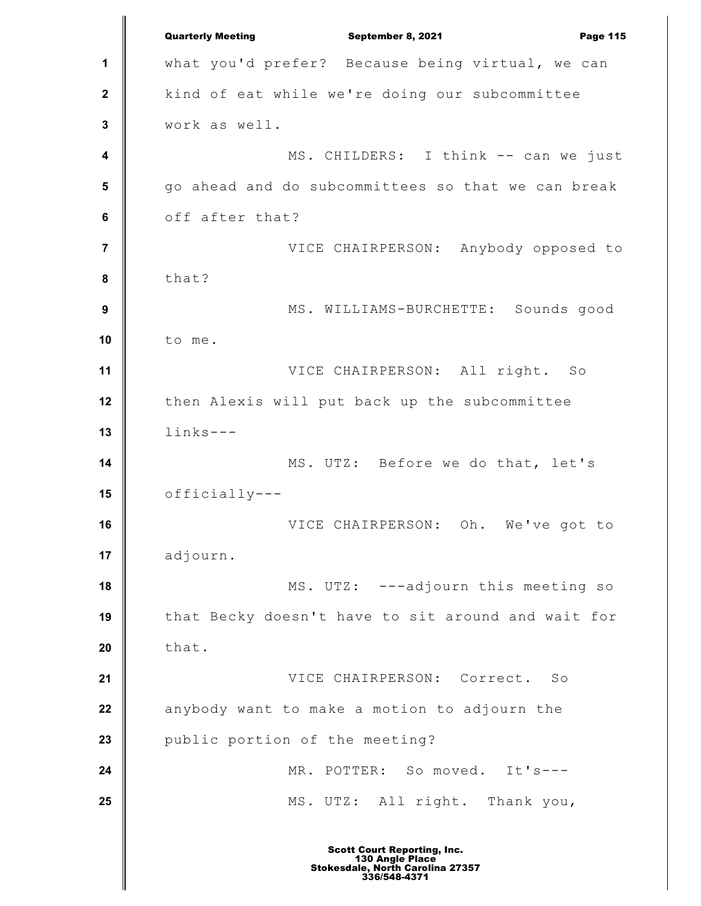**1 2 3 4 5 6 7 8 9 10 11 12 13 14 15 16 17 18 19 20 21 22 23 24 25** Quarterly Meeting **September 8, 2021 Page 115** what you'd prefer? Because being virtual, we can kind of eat while we're doing our subcommittee work as well. MS. CHILDERS: I think -- can we just go ahead and do subcommittees so that we can break off after that? VICE CHAIRPERSON: Anybody opposed to that? MS. WILLIAMS-BURCHETTE: Sounds good to me. VICE CHAIRPERSON: All right. So then Alexis will put back up the subcommittee links--- MS. UTZ: Before we do that, let's officially--- VICE CHAIRPERSON: Oh. We've got to adjourn. MS. UTZ: ---adjourn this meeting so that Becky doesn't have to sit around and wait for that. VICE CHAIRPERSON: Correct. So anybody want to make a motion to adjourn the public portion of the meeting? MR. POTTER: So moved. It's--- MS. UTZ: All right. Thank you,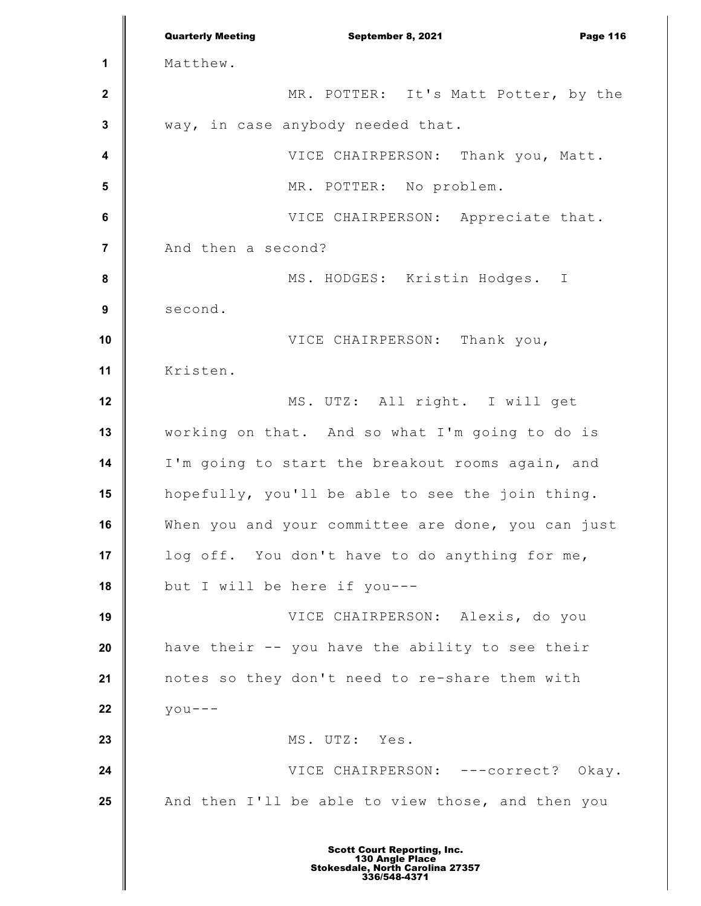**1 2 3 4 5 6 7 8 9 10 11 12 13 14 15 16 17 18 19 20 21 22 23 24 25** Quarterly Meeting **September 8, 2021 Page 116** Matthew. MR. POTTER: It's Matt Potter, by the way, in case anybody needed that. VICE CHAIRPERSON: Thank you, Matt. MR. POTTER: No problem. VICE CHAIRPERSON: Appreciate that. And then a second? MS. HODGES: Kristin Hodges. I second. VICE CHAIRPERSON: Thank you, Kristen. MS. UTZ: All right. I will get working on that. And so what I'm going to do is I'm going to start the breakout rooms again, and hopefully, you'll be able to see the join thing. When you and your committee are done, you can just log off. You don't have to do anything for me, but I will be here if you--- VICE CHAIRPERSON: Alexis, do you have their -- you have the ability to see their notes so they don't need to re-share them with  $y \circ u --$ MS. UTZ: Yes. VICE CHAIRPERSON: ---correct? Okay. And then I'll be able to view those, and then you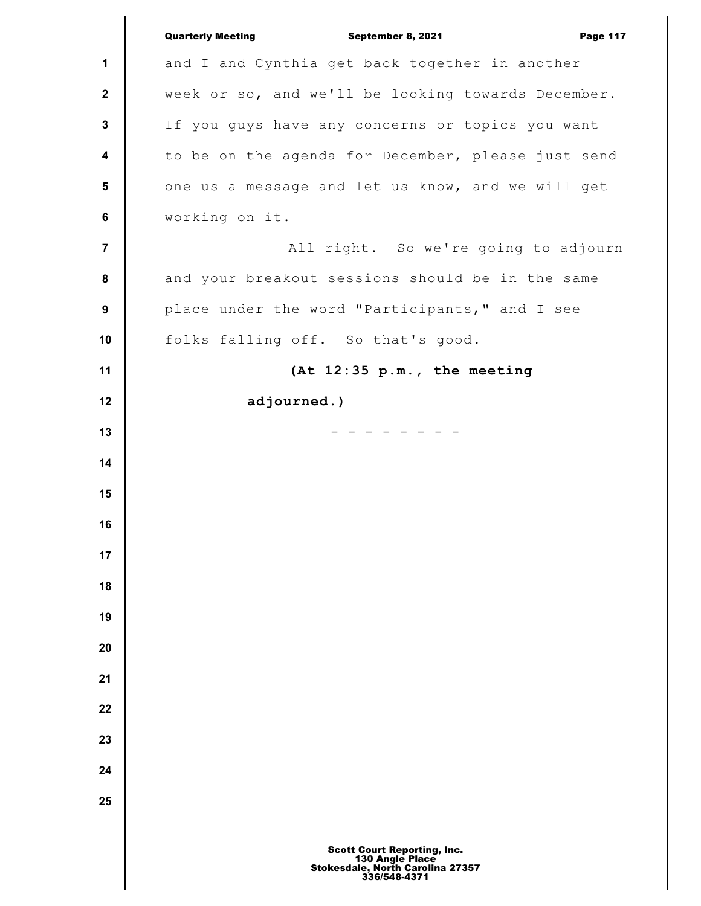|                | <b>Quarterly Meeting</b><br>September 8, 2021<br><b>Page 117</b>                                          |
|----------------|-----------------------------------------------------------------------------------------------------------|
| 1              | and I and Cynthia get back together in another                                                            |
| $\mathbf 2$    | week or so, and we'll be looking towards December.                                                        |
| $\mathbf 3$    | If you guys have any concerns or topics you want                                                          |
| 4              | to be on the agenda for December, please just send                                                        |
| 5              | one us a message and let us know, and we will get                                                         |
| 6              | working on it.                                                                                            |
| $\overline{7}$ | All right. So we're going to adjourn                                                                      |
| 8              | and your breakout sessions should be in the same                                                          |
| 9              | place under the word "Participants," and I see                                                            |
| 10             | folks falling off. So that's good.                                                                        |
| 11             | (At 12:35 p.m., the meeting                                                                               |
| 12             | adjourned.)                                                                                               |
| 13             |                                                                                                           |
| 14             |                                                                                                           |
| 15             |                                                                                                           |
| 16             |                                                                                                           |
| 17             |                                                                                                           |
| 18             |                                                                                                           |
| 19             |                                                                                                           |
| 20             |                                                                                                           |
| 21             |                                                                                                           |
| 22             |                                                                                                           |
| 23             |                                                                                                           |
| 24             |                                                                                                           |
| 25             |                                                                                                           |
|                |                                                                                                           |
|                | <b>Scott Court Reporting, Inc.</b><br>130 Angle Place<br>Stokesdale, North Carolina 27357<br>336/548-4371 |

∥